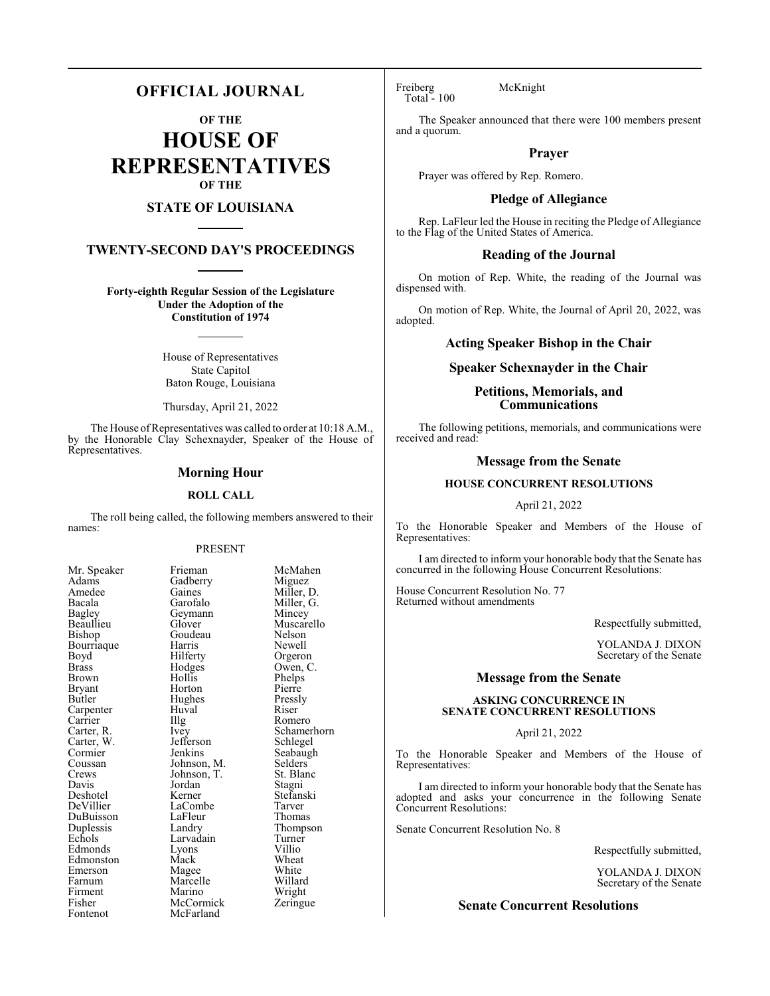# **OFFICIAL JOURNAL**

**OF THE**

**HOUSE OF REPRESENTATIVES OF THE**

# **STATE OF LOUISIANA**

# **TWENTY-SECOND DAY'S PROCEEDINGS**

**Forty-eighth Regular Session of the Legislature Under the Adoption of the Constitution of 1974**

> House of Representatives State Capitol Baton Rouge, Louisiana

> Thursday, April 21, 2022

The House of Representatives was called to order at 10:18 A.M., by the Honorable Clay Schexnayder, Speaker of the House of Representatives.

#### **Morning Hour**

#### **ROLL CALL**

The roll being called, the following members answered to their names:

#### PRESENT

Adams Gadberry<br>Amedee Gaines Bagley Geymann<br>Beaullieu Glover Bourriaque Harris<br>Boyd Hilferty Carpenter Huva<br>Carrier Hllg Carter, W. Jefferson Schwarter, W. See<br>Cormier Schleibelgelen DuBuisson LaFleur<br>Duplessis Landry Fisher McCormick<br>Fontenot McFarland

Mr. Speaker Frieman McMahen<br>Adams Gadberry Miguez Amedee Gaines Miller, D.<br>Bacala Garofalo Miller, G. Bacala Garofalo Miller, G. Beaullieu Glover Muscarello<br>Bishop Goudeau Nelson Goudeau Nelson<br>Harris Newell Boyd Hilferty Orgeron<br>Brass Hodges Owen, C Brass Hodges Owen, C. Hollis Phelps<br>
Horton Pierre Bryant Horton Pierre<br>Butler Hughes Pressly Hughes Pressl<br>Huval Riser Carrier Illg Romero<br>Carter, R. Ivey Schamer Ivey Schamerhorn<br>Jefferson Schlegel Cormier Jenkins Seabaugh<br>
Coussan Johnson, M. Selders Coussan Johnson, M. Selders<br>Crews Johnson, T. St. Blanc Crews Johnson, T. St. Blanch<br>Davis Jordan Stagni Davis Jordan Stagni Deshotel Kerner Stefanski LaCombe Tarver<br>
LaFleur Thomas Duplessis Landry Thompson Larvadain Turner<br>Lyons Villio Edmonds Lyons Villio Edmonston Mack Wheat<br>Emerson Magee White Emerson Magee White Farnum Marcelle Willard<br>Firment Marino Wright Firment Marino Wright<br>
Fisher McCormick Zeringue McFarland

Freiberg McKnight Total - 100

The Speaker announced that there were 100 members present and a quorum.

### **Prayer**

Prayer was offered by Rep. Romero.

## **Pledge of Allegiance**

Rep. LaFleur led the House in reciting the Pledge of Allegiance to the Flag of the United States of America.

#### **Reading of the Journal**

On motion of Rep. White, the reading of the Journal was dispensed with.

On motion of Rep. White, the Journal of April 20, 2022, was adopted.

#### **Acting Speaker Bishop in the Chair**

### **Speaker Schexnayder in the Chair**

### **Petitions, Memorials, and Communications**

The following petitions, memorials, and communications were received and read:

### **Message from the Senate**

### **HOUSE CONCURRENT RESOLUTIONS**

April 21, 2022

To the Honorable Speaker and Members of the House of Representatives:

I am directed to inform your honorable body that the Senate has concurred in the following House Concurrent Resolutions:

House Concurrent Resolution No. 77 Returned without amendments

Respectfully submitted,

YOLANDA J. DIXON Secretary of the Senate

# **Message from the Senate**

#### **ASKING CONCURRENCE IN SENATE CONCURRENT RESOLUTIONS**

#### April 21, 2022

To the Honorable Speaker and Members of the House of Representatives:

I am directed to inform your honorable body that the Senate has adopted and asks your concurrence in the following Senate Concurrent Resolutions:

Senate Concurrent Resolution No. 8

Respectfully submitted,

YOLANDA J. DIXON Secretary of the Senate

#### **Senate Concurrent Resolutions**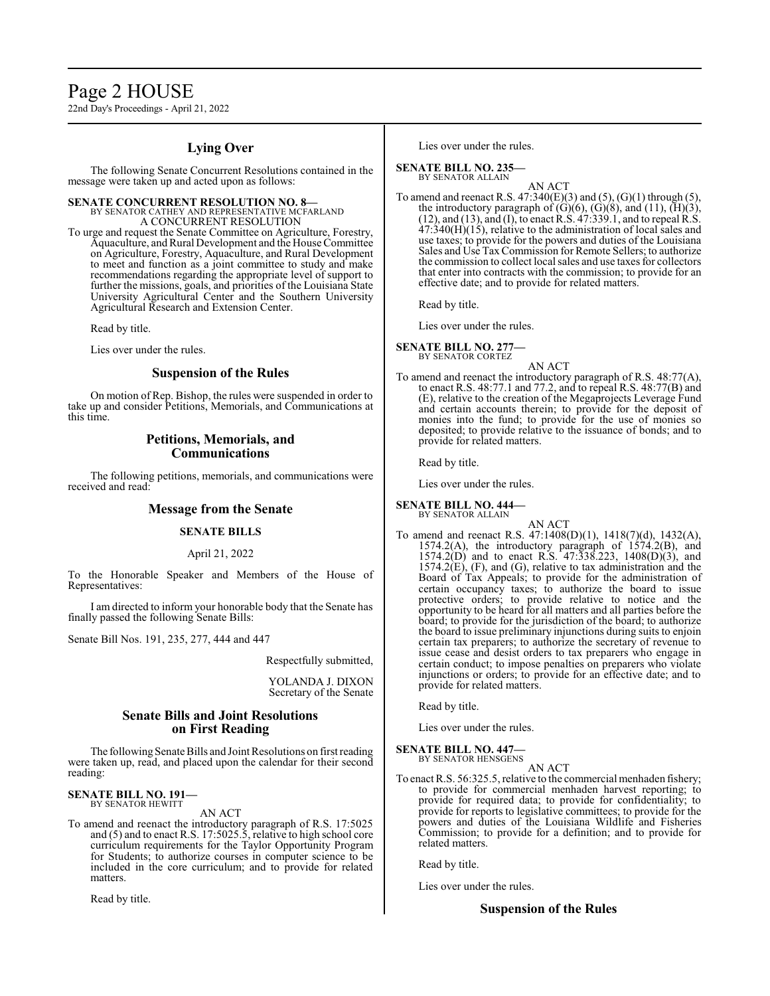# Page 2 HOUSE

22nd Day's Proceedings - April 21, 2022

# **Lying Over**

The following Senate Concurrent Resolutions contained in the message were taken up and acted upon as follows:

**SENATE CONCURRENT RESOLUTION NO. 8—**<br>BY SENATOR CATHEY AND REPRESENTATIVE MCFARLAND A CONCURRENT RESOLUTION

To urge and request the Senate Committee on Agriculture, Forestry, Aquaculture, andRural Development and the House Committee on Agriculture, Forestry, Aquaculture, and Rural Development to meet and function as a joint committee to study and make recommendations regarding the appropriate level of support to further the missions, goals, and priorities of the Louisiana State University Agricultural Center and the Southern University Agricultural Research and Extension Center.

Read by title.

Lies over under the rules.

#### **Suspension of the Rules**

On motion of Rep. Bishop, the rules were suspended in order to take up and consider Petitions, Memorials, and Communications at this time.

## **Petitions, Memorials, and Communications**

The following petitions, memorials, and communications were received and read:

### **Message from the Senate**

### **SENATE BILLS**

#### April 21, 2022

To the Honorable Speaker and Members of the House of Representatives:

I am directed to inform your honorable body that the Senate has finally passed the following Senate Bills:

Senate Bill Nos. 191, 235, 277, 444 and 447

Respectfully submitted,

YOLANDA J. DIXON Secretary of the Senate

## **Senate Bills and Joint Resolutions on First Reading**

The following Senate Bills and Joint Resolutions on first reading were taken up, read, and placed upon the calendar for their second reading:

**SENATE BILL NO. 191—** BY SENATOR HEWITT

#### AN ACT

To amend and reenact the introductory paragraph of R.S. 17:5025 and (5) and to enact R.S. 17:5025.5, relative to high school core curriculum requirements for the Taylor Opportunity Program for Students; to authorize courses in computer science to be included in the core curriculum; and to provide for related matters.

Read by title.

Lies over under the rules.

#### **SENATE BILL NO. 235—** BY SENATOR ALLAIN

AN ACT

To amend and reenact R.S.  $47:340(E)(3)$  and  $(5)$ ,  $(G)(1)$  through  $(5)$ , the introductory paragraph of  $(G)(6)$ ,  $(G)(8)$ , and  $(11)$ ,  $(H)(3)$ , (12), and (13), and (I), to enact R.S. 47:339.1, and to repeal R.S.  $47:340(H)(15)$ , relative to the administration of local sales and use taxes; to provide for the powers and duties of the Louisiana Sales and Use TaxCommission for Remote Sellers; to authorize the commission to collect local sales and use taxes for collectors that enter into contracts with the commission; to provide for an effective date; and to provide for related matters.

Read by title.

Lies over under the rules.

#### **SENATE BILL NO. 277—** BY SENATOR CORTEZ

AN ACT

To amend and reenact the introductory paragraph of R.S. 48:77(A), to enact R.S. 48:77.1 and 77.2, and to repeal R.S. 48:77(B) and (E), relative to the creation of the Megaprojects Leverage Fund and certain accounts therein; to provide for the deposit of monies into the fund; to provide for the use of monies so deposited; to provide relative to the issuance of bonds; and to provide for related matters.

Read by title.

Lies over under the rules.

**SENATE BILL NO. 444—**

BY SENATOR ALLAIN

AN ACT To amend and reenact R.S. 47:1408(D)(1), 1418(7)(d), 1432(A), 1574.2(A), the introductory paragraph of 1574.2(B), and 1574.2(D) and to enact R.S. 47:338.223, 1408(D)(3), and  $1574.2(E)$ , (F), and (G), relative to tax administration and the Board of Tax Appeals; to provide for the administration of certain occupancy taxes; to authorize the board to issue protective orders; to provide relative to notice and the opportunity to be heard for all matters and all parties before the board; to provide for the jurisdiction of the board; to authorize the board to issue preliminary injunctions during suits to enjoin certain tax preparers; to authorize the secretary of revenue to issue cease and desist orders to tax preparers who engage in certain conduct; to impose penalties on preparers who violate injunctions or orders; to provide for an effective date; and to provide for related matters.

Read by title.

Lies over under the rules.

### **SENATE BILL NO. 447—**

BY SENATOR HENSGENS AN ACT

To enact R.S. 56:325.5, relative to the commercial menhaden fishery; to provide for commercial menhaden harvest reporting; to provide for required data; to provide for confidentiality; to provide for reports to legislative committees; to provide for the powers and duties of the Louisiana Wildlife and Fisheries Commission; to provide for a definition; and to provide for related matters.

Read by title.

Lies over under the rules.

### **Suspension of the Rules**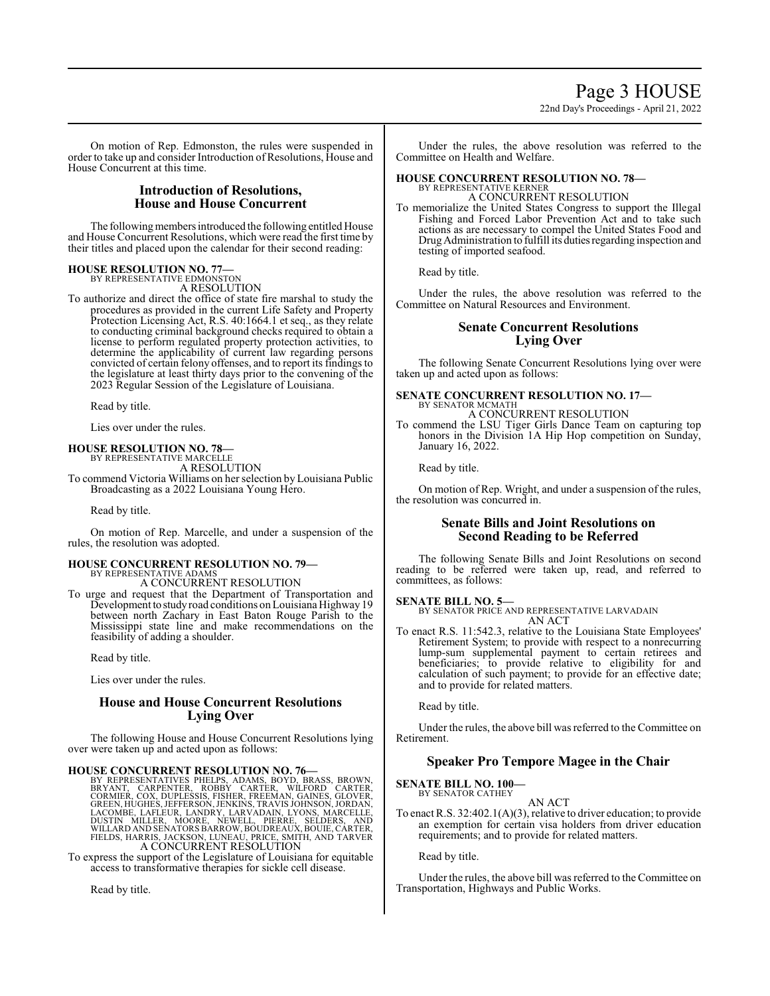# Page 3 HOUSE

22nd Day's Proceedings - April 21, 2022

On motion of Rep. Edmonston, the rules were suspended in order to take up and consider Introduction of Resolutions, House and House Concurrent at this time.

# **Introduction of Resolutions, House and House Concurrent**

The following members introduced the following entitled House and House Concurrent Resolutions, which were read the first time by their titles and placed upon the calendar for their second reading:

# **HOUSE RESOLUTION NO. 77—** BY REPRESENTATIVE EDMONSTON

A RESOLUTION

To authorize and direct the office of state fire marshal to study the procedures as provided in the current Life Safety and Property Protection Licensing Act, R.S. 40:1664.1 et seq., as they relate to conducting criminal background checks required to obtain a license to perform regulated property protection activities, to determine the applicability of current law regarding persons convicted of certain felony offenses, and to report its findings to the legislature at least thirty days prior to the convening of the 2023 Regular Session of the Legislature of Louisiana.

Read by title.

Lies over under the rules.

## **HOUSE RESOLUTION NO. 78—**

BY REPRESENTATIVE MARCELLE A RESOLUTION

To commend Victoria Williams on her selection by Louisiana Public Broadcasting as a 2022 Louisiana Young Hero.

Read by title.

On motion of Rep. Marcelle, and under a suspension of the rules, the resolution was adopted.

#### **HOUSE CONCURRENT RESOLUTION NO. 79—** BY REPRESENTATIVE ADAMS

A CONCURRENT RESOLUTION

To urge and request that the Department of Transportation and Development to study road conditions on Louisiana Highway 19 between north Zachary in East Baton Rouge Parish to the Mississippi state line and make recommendations on the feasibility of adding a shoulder.

Read by title.

Lies over under the rules.

# **House and House Concurrent Resolutions Lying Over**

The following House and House Concurrent Resolutions lying over were taken up and acted upon as follows:

HOUSE CONCURRENT RESOLUTION NO. 76—<br>BY REPRESENTATIVES PHELPS, ADAMS, BOYD, BRASS, BROWN,<br>BRYANT, CARPENTER, ROBBY CARTER, WILFORD CARTER,<br>CORMIER, COX, DUPLESSIS, FISHER, FREEMAN, GAINES, GLOVER,<br>GREEN, HUGHES, JEFFERSON,

To express the support of the Legislature of Louisiana for equitable access to transformative therapies for sickle cell disease.

Read by title.

Under the rules, the above resolution was referred to the Committee on Health and Welfare.

#### **HOUSE CONCURRENT RESOLUTION NO. 78—** BY REPRESENTATIVE KERNER A CONCURRENT RESOLUTION

To memorialize the United States Congress to support the Illegal Fishing and Forced Labor Prevention Act and to take such actions as are necessary to compel the United States Food and Drug Administration to fulfill its duties regarding inspection and testing of imported seafood.

Read by title.

Under the rules, the above resolution was referred to the Committee on Natural Resources and Environment.

### **Senate Concurrent Resolutions Lying Over**

The following Senate Concurrent Resolutions lying over were taken up and acted upon as follows:

#### **SENATE CONCURRENT RESOLUTION NO. 17—** BY SENATOR MCMATH

A CONCURRENT RESOLUTION

To commend the LSU Tiger Girls Dance Team on capturing top honors in the Division 1A Hip Hop competition on Sunday, January 16, 2022.

Read by title.

On motion of Rep. Wright, and under a suspension of the rules, the resolution was concurred in.

## **Senate Bills and Joint Resolutions on Second Reading to be Referred**

The following Senate Bills and Joint Resolutions on second reading to be referred were taken up, read, and referred to committees, as follows:

# **SENATE BILL NO. 5—**

BY SENATOR PRICE AND REPRESENTATIVE LARVADAIN AN ACT

To enact R.S. 11:542.3, relative to the Louisiana State Employees' Retirement System; to provide with respect to a nonrecurring lump-sum supplemental payment to certain retirees and beneficiaries; to provide relative to eligibility for and calculation of such payment; to provide for an effective date; and to provide for related matters.

Read by title.

Under the rules, the above bill was referred to the Committee on Retirement.

# **Speaker Pro Tempore Magee in the Chair**

#### **SENATE BILL NO. 100—** BY SENATOR CATHEY

AN ACT

To enact R.S. 32:402.1(A)(3), relative to driver education; to provide an exemption for certain visa holders from driver education requirements; and to provide for related matters.

Read by title.

Under the rules, the above bill was referred to the Committee on Transportation, Highways and Public Works.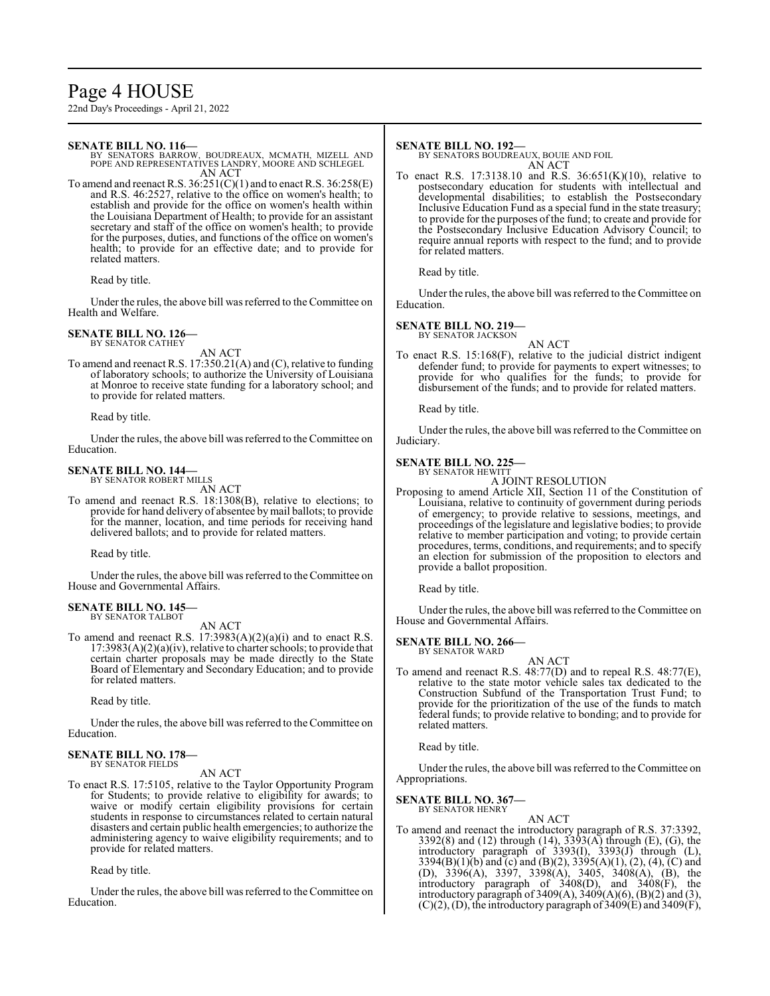# Page 4 HOUSE

22nd Day's Proceedings - April 21, 2022

#### **SENATE BILL NO. 116—**

BY SENATORS BARROW, BOUDREAUX, MCMATH, MIZELL AND POPE AND REPRESENTATIVES LANDRY, MOORE AND SCHLEGEL AN ACT

To amend and reenact R.S.  $36:251(C)(1)$  and to enact R.S.  $36:258(E)$ and R.S. 46:2527, relative to the office on women's health; to establish and provide for the office on women's health within the Louisiana Department of Health; to provide for an assistant secretary and staff of the office on women's health; to provide for the purposes, duties, and functions of the office on women's health; to provide for an effective date; and to provide for related matters.

Read by title.

Under the rules, the above bill was referred to the Committee on Health and Welfare.

#### **SENATE BILL NO. 126—** BY SENATOR CATHEY

AN ACT

To amend and reenact R.S. 17:350.21(A) and (C), relative to funding of laboratory schools; to authorize the University of Louisiana at Monroe to receive state funding for a laboratory school; and to provide for related matters.

Read by title.

Under the rules, the above bill was referred to the Committee on Education.

#### **SENATE BILL NO. 144—** BY SENATOR ROBERT MILLS

AN ACT

To amend and reenact R.S. 18:1308(B), relative to elections; to provide for hand delivery of absentee bymail ballots; to provide for the manner, location, and time periods for receiving hand delivered ballots; and to provide for related matters.

Read by title.

Under the rules, the above bill was referred to the Committee on House and Governmental Affairs.

#### **SENATE BILL NO. 145—** BY SENATOR TALBOT

AN ACT

To amend and reenact R.S.  $17:3983(A)(2)(a)(i)$  and to enact R.S. 17:3983(A)(2)(a)(iv), relative to charter schools; to provide that certain charter proposals may be made directly to the State Board of Elementary and Secondary Education; and to provide for related matters.

Read by title.

Under the rules, the above bill was referred to the Committee on Education.

#### **SENATE BILL NO. 178—** BY SENATOR FIELDS

AN ACT

To enact R.S. 17:5105, relative to the Taylor Opportunity Program for Students; to provide relative to eligibility for awards; to waive or modify certain eligibility provisions for certain students in response to circumstances related to certain natural disasters and certain public health emergencies; to authorize the administering agency to waive eligibility requirements; and to provide for related matters.

Read by title.

Under the rules, the above bill was referred to the Committee on Education.

#### **SENATE BILL NO. 192—**

BY SENATORS BOUDREAUX, BOUIE AND FOIL AN ACT

To enact R.S. 17:3138.10 and R.S. 36:651(K)(10), relative to postsecondary education for students with intellectual and developmental disabilities; to establish the Postsecondary Inclusive Education Fund as a special fund in the state treasury; to provide for the purposes ofthe fund; to create and provide for the Postsecondary Inclusive Education Advisory Council; to require annual reports with respect to the fund; and to provide for related matters.

Read by title.

Under the rules, the above bill was referred to the Committee on Education.

#### **SENATE BILL NO. 219—**

BY SENATOR JACKSON

AN ACT To enact R.S. 15:168(F), relative to the judicial district indigent defender fund; to provide for payments to expert witnesses; to provide for who qualifies for the funds; to provide for disbursement of the funds; and to provide for related matters.

Read by title.

Under the rules, the above bill was referred to the Committee on Judiciary.

### **SENATE BILL NO. 225—**

BY SENATOR HEWITT A JOINT RESOLUTION

Proposing to amend Article XII, Section 11 of the Constitution of Louisiana, relative to continuity of government during periods of emergency; to provide relative to sessions, meetings, and proceedings of the legislature and legislative bodies; to provide relative to member participation and voting; to provide certain procedures, terms, conditions, and requirements; and to specify an election for submission of the proposition to electors and provide a ballot proposition.

Read by title.

Under the rules, the above bill was referred to the Committee on House and Governmental Affairs.

# **SENATE BILL NO. 266—**

BY SENATOR WARD

AN ACT To amend and reenact R.S. 48:77(D) and to repeal R.S. 48:77(E), relative to the state motor vehicle sales tax dedicated to the Construction Subfund of the Transportation Trust Fund; to provide for the prioritization of the use of the funds to match federal funds; to provide relative to bonding; and to provide for related matters.

Read by title.

Under the rules, the above bill was referred to the Committee on Appropriations.

#### **SENATE BILL NO. 367—**

BY SENATOR HENRY

AN ACT To amend and reenact the introductory paragraph of R.S. 37:3392, 3392(8) and (12) through (14), 3393(A) through (E), (G), the introductory paragraph of 3393(I), 3393(J) through (L), 3394(B)(1)(b) and (c) and (B)(2), 3395(A)(1), (2), (4), (C) and (D), 3396(A), 3397, 3398(A), 3405, 3408(A), (B), the introductory paragraph of 3408(D), and 3408(F), the introductory paragraph of 3409(A), 3409(A)(6), (B)(2) and (3),  $(C)(2)$ , (D), the introductory paragraph of 3409 $(E)$  and 3409 $(F)$ ,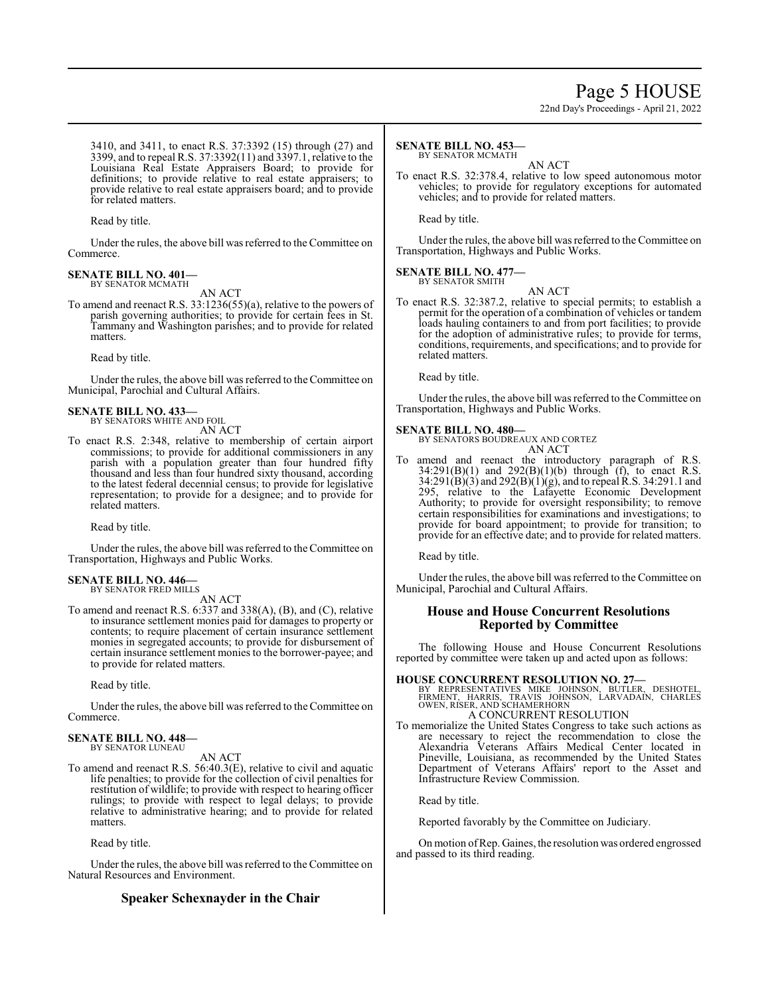# Page 5 HOUSE

22nd Day's Proceedings - April 21, 2022

3410, and 3411, to enact R.S. 37:3392 (15) through (27) and 3399, and to repeal R.S. 37:3392(11) and 3397.1, relative to the Louisiana Real Estate Appraisers Board; to provide for definitions; to provide relative to real estate appraisers; to provide relative to real estate appraisers board; and to provide for related matters.

Read by title.

Under the rules, the above bill was referred to the Committee on Commerce.

#### **SENATE BILL NO. 401—** BY SENATOR MCMATH

AN ACT

To amend and reenact R.S. 33:1236(55)(a), relative to the powers of parish governing authorities; to provide for certain fees in St. Tammany and Washington parishes; and to provide for related matters.

Read by title.

Under the rules, the above bill was referred to the Committee on Municipal, Parochial and Cultural Affairs.

#### **SENATE BILL NO. 433—** BY SENATORS WHITE AND FOIL

AN ACT

To enact R.S. 2:348, relative to membership of certain airport commissions; to provide for additional commissioners in any parish with a population greater than four hundred fifty thousand and less than four hundred sixty thousand, according to the latest federal decennial census; to provide for legislative representation; to provide for a designee; and to provide for related matters.

Read by title.

Under the rules, the above bill was referred to the Committee on Transportation, Highways and Public Works.

#### **SENATE BILL NO. 446—** BY SENATOR FRED MILLS

AN ACT

To amend and reenact R.S. 6:337 and 338(A), (B), and (C), relative to insurance settlement monies paid for damages to property or contents; to require placement of certain insurance settlement monies in segregated accounts; to provide for disbursement of certain insurance settlement monies to the borrower-payee; and to provide for related matters.

Read by title.

Under the rules, the above bill was referred to the Committee on Commerce.

# **SENATE BILL NO. 448—** BY SENATOR LUNEAU

AN ACT

To amend and reenact R.S. 56:40.3(E), relative to civil and aquatic life penalties; to provide for the collection of civil penalties for restitution of wildlife; to provide with respect to hearing officer rulings; to provide with respect to legal delays; to provide relative to administrative hearing; and to provide for related matters.

Read by title.

Under the rules, the above bill was referred to the Committee on Natural Resources and Environment.

# **Speaker Schexnayder in the Chair**

### **SENATE BILL NO. 453—**

BY SENATOR MCMATH

AN ACT To enact R.S. 32:378.4, relative to low speed autonomous motor vehicles; to provide for regulatory exceptions for automated vehicles; and to provide for related matters.

Read by title.

Under the rules, the above bill was referred to the Committee on Transportation, Highways and Public Works.

#### **SENATE BILL NO. 477—** BY SENATOR SMITH

AN ACT

To enact R.S. 32:387.2, relative to special permits; to establish a permit for the operation of a combination of vehicles or tandem loads hauling containers to and from port facilities; to provide for the adoption of administrative rules; to provide for terms, conditions, requirements, and specifications; and to provide for related matters.

Read by title.

Under the rules, the above bill was referred to the Committee on Transportation, Highways and Public Works.

## **SENATE BILL NO. 480—**

BY SENATORS BOUDREAUX AND CORTEZ AN ACT

To amend and reenact the introductory paragraph of R.S.  $34:291(B)(1)$  and  $292(B)(1)(b)$  through (f), to enact R.S. 34:291(B)(3) and 292(B)(1)(g), and to repeal R.S. 34:291.1 and 295, relative to the Lafayette Economic Development Authority; to provide for oversight responsibility; to remove certain responsibilities for examinations and investigations; to provide for board appointment; to provide for transition; to provide for an effective date; and to provide for related matters.

Read by title.

Under the rules, the above bill was referred to the Committee on Municipal, Parochial and Cultural Affairs.

# **House and House Concurrent Resolutions Reported by Committee**

The following House and House Concurrent Resolutions reported by committee were taken up and acted upon as follows:

# **HOUSE CONCURRENT RESOLUTION NO. 27—** BY REPRESENTATIVES MIKE JOHNSON, BUTLER, DESHOTEL,<br>FIRMENT, HARRIS, TRAVIS JOHNSON, LARVADAIN, CHARLES<br>OWEN,RISER,ANDSCHAMERHORN

A CONCURRENT RESOLUTION To memorialize the United States Congress to take such actions as are necessary to reject the recommendation to close the Alexandria Veterans Affairs Medical Center located in Pineville, Louisiana, as recommended by the United States Department of Veterans Affairs' report to the Asset and Infrastructure Review Commission.

Read by title.

Reported favorably by the Committee on Judiciary.

On motion ofRep. Gaines, the resolution was ordered engrossed and passed to its third reading.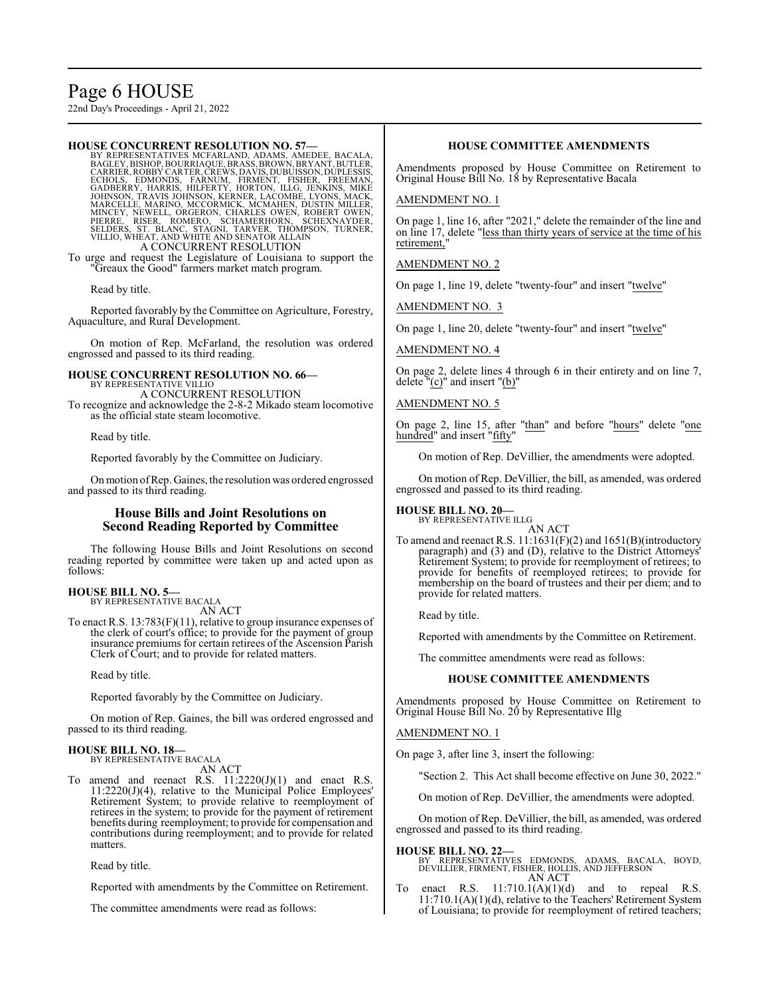# Page 6 HOUSE

22nd Day's Proceedings - April 21, 2022

#### **HOUSE CONCURRENT RESOLUTION NO. 57—**

BY REPRESENTATIVES MCFARLAND, ADAMS, AMEDEE, BACALA,<br>BAGLEY,BISHOP,BOURRIAQUE,BRASS,BROWN,BRYANT,BUTLER,<br>CARRIER,ROBBY CARTER,CREWS,DAVIS,DUBUISSON,DUPLESSIS,<br>ECHOLS, EDMONDS, FARNUM, FIRMENT, FISHER, FREEMAN,<br>GADBERR MARCELLE, MARINO, MCCORMICK, MCMAHEN, DUSTIN MILLER,<br>MINCEY, NEWELL, ORGERON, CHARLES OWEN, ROBERT OWEN,<br>PIERRE, RISER, ROMERO, SCHAMERHORN, SCHEXNAYDER,<br>SELDERS, ST. BLANC, STAGNI, TARVER, THOMPSON, TURNER,<br>VILLIO, WHEAT,

To urge and request the Legislature of Louisiana to support the "Greaux the Good" farmers market match program.

Read by title.

Reported favorably by the Committee on Agriculture, Forestry, Aquaculture, and Rural Development.

On motion of Rep. McFarland, the resolution was ordered engrossed and passed to its third reading.

**HOUSE CONCURRENT RESOLUTION NO. 66—** BY REPRESENTATIVE VILLIO

A CONCURRENT RESOLUTION To recognize and acknowledge the 2-8-2 Mikado steam locomotive as the official state steam locomotive.

Read by title.

Reported favorably by the Committee on Judiciary.

Onmotion ofRep. Gaines, the resolution was ordered engrossed and passed to its third reading.

## **House Bills and Joint Resolutions on Second Reading Reported by Committee**

The following House Bills and Joint Resolutions on second reading reported by committee were taken up and acted upon as follows:

**HOUSE BILL NO. 5—** BY REPRESENTATIVE BACALA

AN ACT

To enact R.S. 13:783(F)(11), relative to group insurance expenses of the clerk of court's office; to provide for the payment of group insurance premiums for certain retirees of the Ascension Parish Clerk of Court; and to provide for related matters.

Read by title.

Reported favorably by the Committee on Judiciary.

On motion of Rep. Gaines, the bill was ordered engrossed and passed to its third reading.

#### **HOUSE BILL NO. 18—** BY REPRESENTATIVE BACALA

AN ACT

To amend and reenact R.S. 11:2220(J)(1) and enact R.S. 11:2220(J)(4), relative to the Municipal Police Employees' Retirement System; to provide relative to reemployment of retirees in the system; to provide for the payment of retirement benefits during reemployment; to provide for compensation and contributions during reemployment; and to provide for related matters.

Read by title.

Reported with amendments by the Committee on Retirement.

The committee amendments were read as follows:

### **HOUSE COMMITTEE AMENDMENTS**

Amendments proposed by House Committee on Retirement to Original House Bill No. 18 by Representative Bacala

#### AMENDMENT NO. 1

On page 1, line 16, after "2021," delete the remainder of the line and on line 17, delete "less than thirty years of service at the time of his retirement,"

AMENDMENT NO. 2

On page 1, line 19, delete "twenty-four" and insert "twelve"

AMENDMENT NO. 3

On page 1, line 20, delete "twenty-four" and insert "twelve"

AMENDMENT NO. 4

On page 2, delete lines 4 through 6 in their entirety and on line 7, delete  $\frac{m(c)}{2}$  and insert  $\frac{m(b)}{2}$ 

#### AMENDMENT NO. 5

On page 2, line 15, after "than" and before "hours" delete "one hundred" and insert "fifty"

On motion of Rep. DeVillier, the amendments were adopted.

On motion of Rep. DeVillier, the bill, as amended, was ordered engrossed and passed to its third reading.

# **HOUSE BILL NO. 20—**

BY REPRESENTATIVE ILLG AN ACT

To amend and reenact R.S. 11:1631(F)(2) and 1651(B)(introductory paragraph) and (3) and (D), relative to the District Attorneys' Retirement System; to provide for reemployment of retirees; to provide for benefits of reemployed retirees; to provide for membership on the board of trustees and their per diem; and to provide for related matters.

Read by title.

Reported with amendments by the Committee on Retirement.

The committee amendments were read as follows:

#### **HOUSE COMMITTEE AMENDMENTS**

Amendments proposed by House Committee on Retirement to Original House Bill No. 20 by Representative Illg

#### AMENDMENT NO. 1

On page 3, after line 3, insert the following:

"Section 2. This Act shall become effective on June 30, 2022."

On motion of Rep. DeVillier, the amendments were adopted.

On motion of Rep. DeVillier, the bill, as amended, was ordered engrossed and passed to its third reading.

**HOUSE BILL NO. 22—** BY REPRESENTATIVES EDMONDS, ADAMS, BACALA, BOYD, DEVILLIER, FIRMENT, FISHER, HOLLIS, AND JEFFERSON AN ACT

To enact R.S.  $11:710.1(A)(1)(d)$  and to repeal R.S. enact R.S.  $11:710.1(A)(1)(d)$  and to repeal R.S.  $11:710.1(A)(1)(d)$ , relative to the Teachers' Retirement System of Louisiana; to provide for reemployment of retired teachers;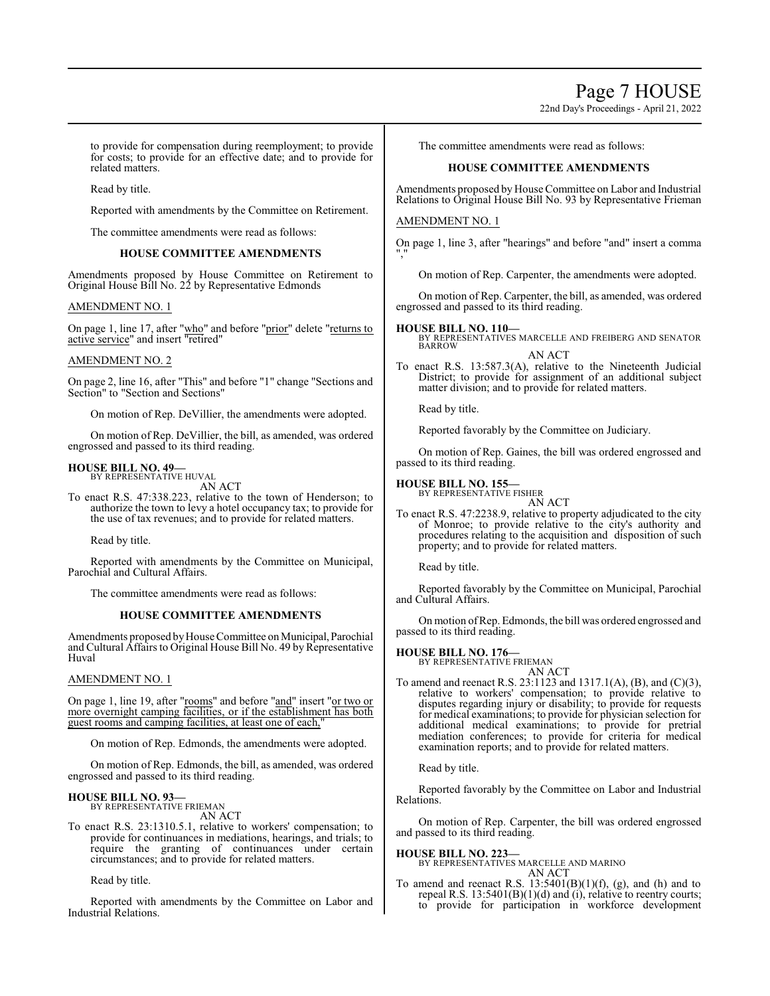22nd Day's Proceedings - April 21, 2022

to provide for compensation during reemployment; to provide for costs; to provide for an effective date; and to provide for related matters.

Read by title.

Reported with amendments by the Committee on Retirement.

The committee amendments were read as follows:

#### **HOUSE COMMITTEE AMENDMENTS**

Amendments proposed by House Committee on Retirement to Original House Bill No. 22 by Representative Edmonds

#### AMENDMENT NO. 1

On page 1, line 17, after "who" and before "prior" delete "returns to active service" and insert "retired"

#### AMENDMENT NO. 2

On page 2, line 16, after "This" and before "1" change "Sections and Section" to "Section and Sections"

On motion of Rep. DeVillier, the amendments were adopted.

On motion of Rep. DeVillier, the bill, as amended, was ordered engrossed and passed to its third reading.

#### **HOUSE BILL NO. 49—** BY REPRESENTATIVE HUVAL

AN ACT

To enact R.S. 47:338.223, relative to the town of Henderson; to authorize the town to levy a hotel occupancy tax; to provide for the use of tax revenues; and to provide for related matters.

Read by title.

Reported with amendments by the Committee on Municipal, Parochial and Cultural Affairs.

The committee amendments were read as follows:

#### **HOUSE COMMITTEE AMENDMENTS**

Amendments proposed by House Committee on Municipal, Parochial and Cultural Affairs to Original House Bill No. 49 by Representative Huval

#### AMENDMENT NO. 1

On page 1, line 19, after "rooms" and before "and" insert "or two or more overnight camping facilities, or if the establishment has both guest rooms and camping facilities, at least one of each,"

On motion of Rep. Edmonds, the amendments were adopted.

On motion of Rep. Edmonds, the bill, as amended, was ordered engrossed and passed to its third reading.

#### **HOUSE BILL NO. 93—** BY REPRESENTATIVE FRIEMAN

AN ACT

To enact R.S. 23:1310.5.1, relative to workers' compensation; to provide for continuances in mediations, hearings, and trials; to require the granting of continuances under certain circumstances; and to provide for related matters.

Read by title.

Reported with amendments by the Committee on Labor and Industrial Relations.

The committee amendments were read as follows:

#### **HOUSE COMMITTEE AMENDMENTS**

Amendments proposed by House Committee on Labor and Industrial Relations to Original House Bill No. 93 by Representative Frieman

#### AMENDMENT NO. 1

On page 1, line 3, after "hearings" and before "and" insert a comma ","

On motion of Rep. Carpenter, the amendments were adopted.

On motion of Rep. Carpenter, the bill, as amended, was ordered engrossed and passed to its third reading.

#### **HOUSE BILL NO. 110—**

BY REPRESENTATIVES MARCELLE AND FREIBERG AND SENATOR BARROW

AN ACT To enact R.S. 13:587.3(A), relative to the Nineteenth Judicial

District; to provide for assignment of an additional subject matter division; and to provide for related matters.

Read by title.

Reported favorably by the Committee on Judiciary.

On motion of Rep. Gaines, the bill was ordered engrossed and passed to its third reading.

# **HOUSE BILL NO. 155—**

BY REPRESENTATIVE FISHER

AN ACT To enact R.S. 47:2238.9, relative to property adjudicated to the city of Monroe; to provide relative to the city's authority and procedures relating to the acquisition and disposition of such property; and to provide for related matters.

Read by title.

Reported favorably by the Committee on Municipal, Parochial and Cultural Affairs.

On motion ofRep. Edmonds, the bill was ordered engrossed and passed to its third reading.

# **HOUSE BILL NO. 176—** BY REPRESENTATIVE FRIEMAN

AN ACT

To amend and reenact R.S. 23:1123 and 1317.1(A), (B), and (C)(3), relative to workers' compensation; to provide relative to disputes regarding injury or disability; to provide for requests for medical examinations; to provide for physician selection for additional medical examinations; to provide for pretrial mediation conferences; to provide for criteria for medical examination reports; and to provide for related matters.

Read by title.

Reported favorably by the Committee on Labor and Industrial Relations.

On motion of Rep. Carpenter, the bill was ordered engrossed and passed to its third reading.

**HOUSE BILL NO. 223—**

BY REPRESENTATIVES MARCELLE AND MARINO AN ACT

To amend and reenact R.S.  $13:5401(B)(1)(f)$ , (g), and (h) and to repeal R.S.  $13:5401(B)(1)(d)$  and (i), relative to reentry courts; to provide for participation in workforce development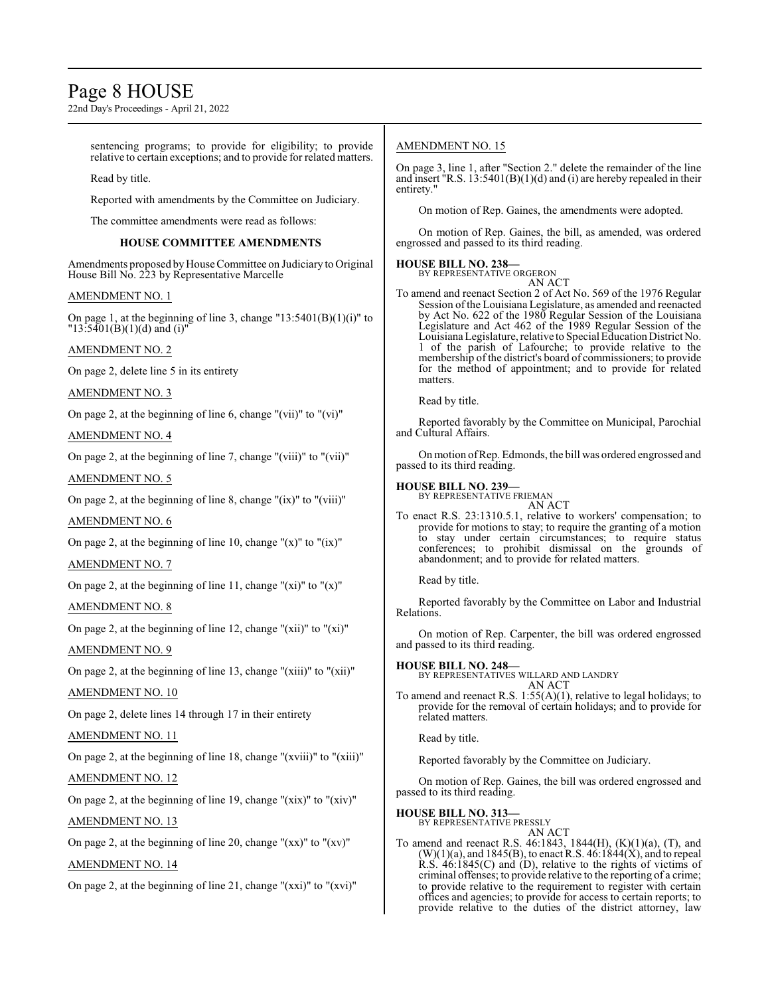# Page 8 HOUSE

22nd Day's Proceedings - April 21, 2022

sentencing programs; to provide for eligibility; to provide relative to certain exceptions; and to provide for related matters.

Read by title.

Reported with amendments by the Committee on Judiciary.

The committee amendments were read as follows:

# **HOUSE COMMITTEE AMENDMENTS**

Amendments proposed byHouse Committee on Judiciary to Original House Bill No. 223 by Representative Marcelle

#### AMENDMENT NO. 1

On page 1, at the beginning of line 3, change " $13:5401(B)(1)(i)$ " to  $"13:5401(B)(1)(d)$  and (i)'

#### AMENDMENT NO. 2

On page 2, delete line 5 in its entirety

AMENDMENT NO. 3

On page 2, at the beginning of line 6, change "(vii)" to "(vi)"

## AMENDMENT NO. 4

On page 2, at the beginning of line 7, change "(viii)" to "(vii)"

#### AMENDMENT NO. 5

On page 2, at the beginning of line 8, change " $(ix)$ " to " $(viii)$ "

#### AMENDMENT NO. 6

On page 2, at the beginning of line 10, change " $(x)$ " to " $(ix)$ "

### AMENDMENT NO. 7

On page 2, at the beginning of line 11, change " $(xi)$ " to " $(x)$ "

### AMENDMENT NO. 8

On page 2, at the beginning of line 12, change " $(xii)$ " to " $(xi)$ "

AMENDMENT NO. 9

On page 2, at the beginning of line 13, change " $(xiii)$ " to " $(xii)$ "

### AMENDMENT NO. 10

On page 2, delete lines 14 through 17 in their entirety

### AMENDMENT NO. 11

On page 2, at the beginning of line 18, change "(xviii)" to "(xiii)"

# AMENDMENT NO. 12

On page 2, at the beginning of line 19, change " $(xix)$ " to " $(xiv)$ "

# AMENDMENT NO. 13

On page 2, at the beginning of line 20, change " $(xx)$ " to " $(xy)$ "

## AMENDMENT NO. 14

On page 2, at the beginning of line 21, change "(xxi)" to "(xvi)"

### AMENDMENT NO. 15

On page 3, line 1, after "Section 2." delete the remainder of the line and insert  $\text{R.S. } 13:5401(B)(1)(d)$  and (i) are hereby repealed in their entirety."

On motion of Rep. Gaines, the amendments were adopted.

On motion of Rep. Gaines, the bill, as amended, was ordered engrossed and passed to its third reading.

# **HOUSE BILL NO. 238—** BY REPRESENTATIVE ORGERON

AN ACT

To amend and reenact Section 2 of Act No. 569 of the 1976 Regular Session of the Louisiana Legislature, as amended and reenacted by Act No. 622 of the 1980 Regular Session of the Louisiana Legislature and Act 462 of the 1989 Regular Session of the Louisiana Legislature, relative to Special Education District No. 1 of the parish of Lafourche; to provide relative to the membership of the district's board of commissioners; to provide for the method of appointment; and to provide for related matters.

Read by title.

Reported favorably by the Committee on Municipal, Parochial and Cultural Affairs.

On motion ofRep. Edmonds, the bill was ordered engrossed and passed to its third reading.

#### **HOUSE BILL NO. 239—**

BY REPRESENTATIVE FRIEMAN AN ACT

To enact R.S. 23:1310.5.1, relative to workers' compensation; to provide for motions to stay; to require the granting of a motion to stay under certain circumstances; to require status conferences; to prohibit dismissal on the grounds of abandonment; and to provide for related matters.

Read by title.

Reported favorably by the Committee on Labor and Industrial Relations.

On motion of Rep. Carpenter, the bill was ordered engrossed and passed to its third reading.

#### **HOUSE BILL NO. 248—**

BY REPRESENTATIVES WILLARD AND LANDRY AN ACT

To amend and reenact R.S.  $1:55(A)(1)$ , relative to legal holidays; to provide for the removal of certain holidays; and to provide for related matters.

Read by title.

Reported favorably by the Committee on Judiciary.

On motion of Rep. Gaines, the bill was ordered engrossed and passed to its third reading.

#### **HOUSE BILL NO. 313—**

BY REPRESENTATIVE PRESSLY

AN ACT To amend and reenact R.S. 46:1843, 1844(H), (K)(1)(a), (T), and  $(W)(1)(a)$ , and 1845(B), to enact R.S. 46:1844(X), and to repeal R.S. 46:1845(C) and (D), relative to the rights of victims of criminal offenses; to provide relative to the reporting of a crime; to provide relative to the requirement to register with certain offices and agencies; to provide for access to certain reports; to provide relative to the duties of the district attorney, law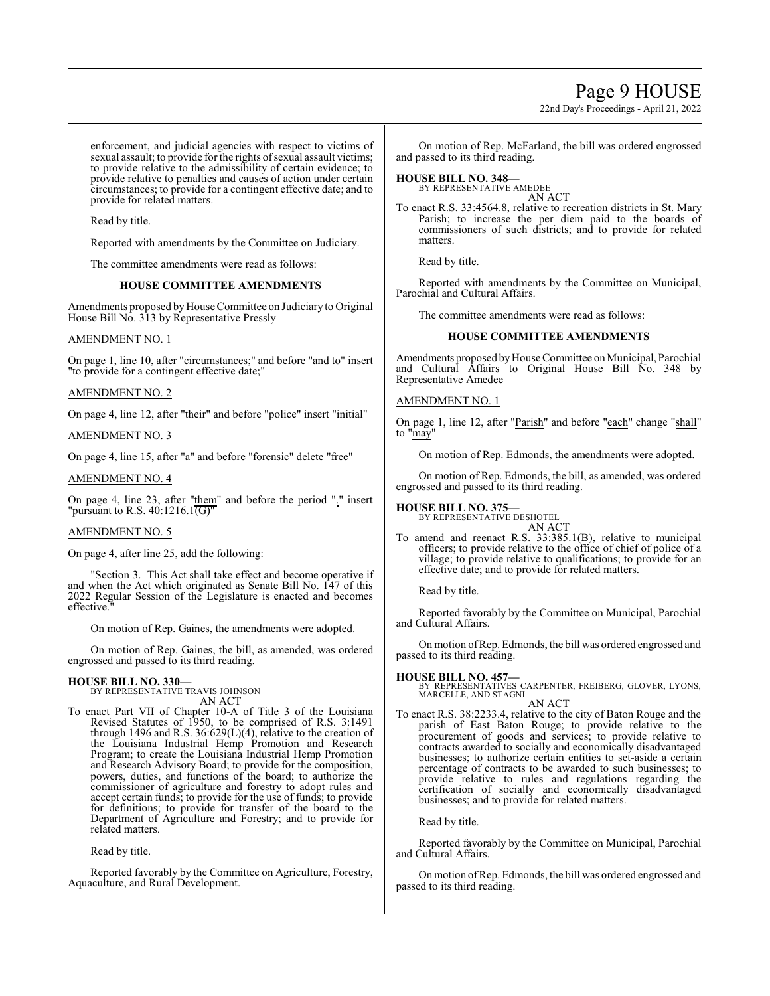# Page 9 HOUSE

22nd Day's Proceedings - April 21, 2022

enforcement, and judicial agencies with respect to victims of sexual assault; to provide for the rights of sexual assault victims; to provide relative to the admissibility of certain evidence; to provide relative to penalties and causes of action under certain circumstances; to provide for a contingent effective date; and to provide for related matters.

Read by title.

Reported with amendments by the Committee on Judiciary.

The committee amendments were read as follows:

#### **HOUSE COMMITTEE AMENDMENTS**

Amendments proposed byHouse Committee on Judiciary to Original House Bill No. 313 by Representative Pressly

#### AMENDMENT NO. 1

On page 1, line 10, after "circumstances;" and before "and to" insert "to provide for a contingent effective date;"

#### AMENDMENT NO. 2

On page 4, line 12, after "their" and before "police" insert "initial"

AMENDMENT NO. 3

On page 4, line 15, after "a" and before "forensic" delete "free"

### AMENDMENT NO. 4

On page 4, line 23, after "them" and before the period "." insert "pursuant to R.S.  $40:1216.1(\overline{G})$ "

#### AMENDMENT NO. 5

On page 4, after line 25, add the following:

"Section 3. This Act shall take effect and become operative if and when the Act which originated as Senate Bill No. 147 of this 2022 Regular Session of the Legislature is enacted and becomes effective.

On motion of Rep. Gaines, the amendments were adopted.

On motion of Rep. Gaines, the bill, as amended, was ordered engrossed and passed to its third reading.

# **HOUSE BILL NO. 330—** BY REPRESENTATIVE TRAVIS JOHNSON

AN ACT

To enact Part VII of Chapter 10-A of Title 3 of the Louisiana Revised Statutes of 1950, to be comprised of R.S. 3:1491 through 1496 and R.S. 36:629(L)(4), relative to the creation of the Louisiana Industrial Hemp Promotion and Research Program; to create the Louisiana Industrial Hemp Promotion and Research Advisory Board; to provide for the composition, powers, duties, and functions of the board; to authorize the commissioner of agriculture and forestry to adopt rules and accept certain funds; to provide for the use of funds; to provide for definitions; to provide for transfer of the board to the Department of Agriculture and Forestry; and to provide for related matters.

Read by title.

Reported favorably by the Committee on Agriculture, Forestry, Aquaculture, and Rural Development.

On motion of Rep. McFarland, the bill was ordered engrossed and passed to its third reading.

# **HOUSE BILL NO. 348—** BY REPRESENTATIVE AMEDEE

AN ACT

To enact R.S. 33:4564.8, relative to recreation districts in St. Mary Parish; to increase the per diem paid to the boards of commissioners of such districts; and to provide for related matters.

Read by title.

Reported with amendments by the Committee on Municipal, Parochial and Cultural Affairs.

The committee amendments were read as follows:

#### **HOUSE COMMITTEE AMENDMENTS**

Amendments proposed by House Committee on Municipal, Parochial and Cultural Affairs to Original House Bill No. 348 by Representative Amedee

#### AMENDMENT NO. 1

On page 1, line 12, after "Parish" and before "each" change "shall" to "may"

On motion of Rep. Edmonds, the amendments were adopted.

On motion of Rep. Edmonds, the bill, as amended, was ordered engrossed and passed to its third reading.

#### **HOUSE BILL NO. 375—**

BY REPRESENTATIVE DESHOTEL AN ACT

To amend and reenact R.S. 33:385.1(B), relative to municipal officers; to provide relative to the office of chief of police of a village; to provide relative to qualifications; to provide for an effective date; and to provide for related matters.

Read by title.

Reported favorably by the Committee on Municipal, Parochial and Cultural Affairs.

On motion ofRep. Edmonds, the bill was ordered engrossed and passed to its third reading.

#### **HOUSE BILL NO. 457—**

BY REPRESENTATIVES CARPENTER, FREIBERG, GLOVER, LYONS, MARCELLE, AND STAGNI AN ACT

To enact R.S. 38:2233.4, relative to the city of Baton Rouge and the parish of East Baton Rouge; to provide relative to the procurement of goods and services; to provide relative to contracts awarded to socially and economically disadvantaged businesses; to authorize certain entities to set-aside a certain percentage of contracts to be awarded to such businesses; to provide relative to rules and regulations regarding the certification of socially and economically disadvantaged businesses; and to provide for related matters.

Read by title.

Reported favorably by the Committee on Municipal, Parochial and Cultural Affairs.

On motion of Rep. Edmonds, the bill was ordered engrossed and passed to its third reading.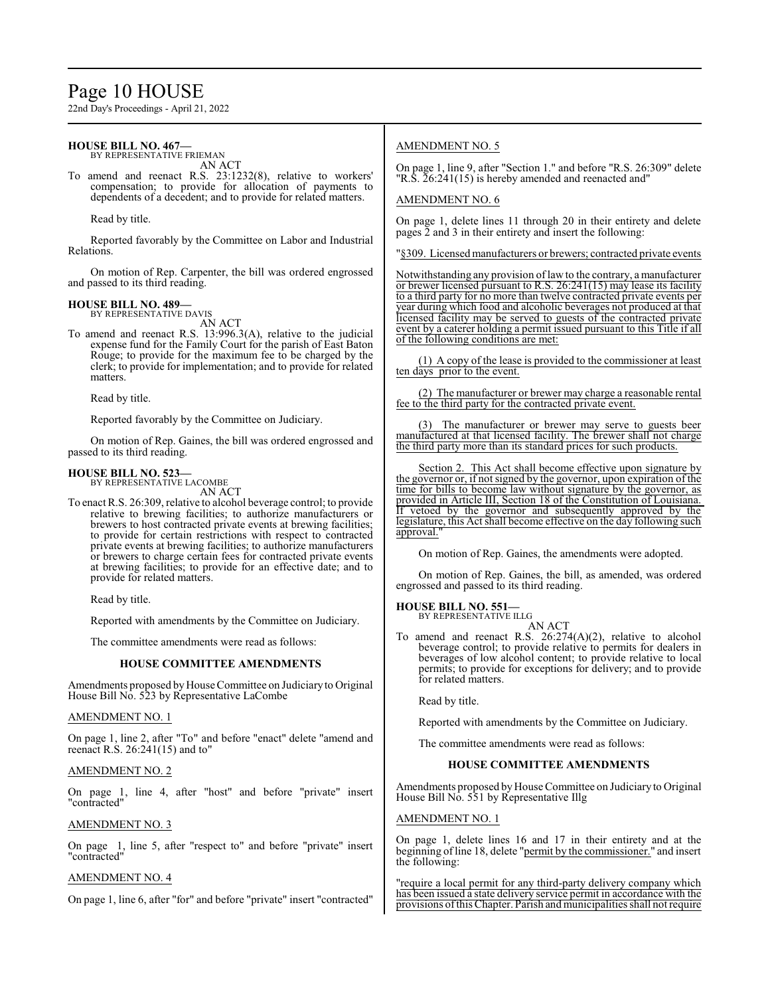# Page 10 HOUSE

22nd Day's Proceedings - April 21, 2022

#### **HOUSE BILL NO. 467—** BY REPRESENTATIVE FRIEMAN

AN ACT

To amend and reenact R.S. 23:1232(8), relative to workers' compensation; to provide for allocation of payments to dependents of a decedent; and to provide for related matters.

Read by title.

Reported favorably by the Committee on Labor and Industrial Relations.

On motion of Rep. Carpenter, the bill was ordered engrossed and passed to its third reading.

#### **HOUSE BILL NO. 489—**

BY REPRESENTATIVE DAVIS AN ACT

To amend and reenact R.S. 13:996.3(A), relative to the judicial expense fund for the Family Court for the parish of East Baton Rouge; to provide for the maximum fee to be charged by the clerk; to provide for implementation; and to provide for related matters.

Read by title.

Reported favorably by the Committee on Judiciary.

On motion of Rep. Gaines, the bill was ordered engrossed and passed to its third reading.

#### **HOUSE BILL NO. 523—**

BY REPRESENTATIVE LACOMBE AN ACT

To enact R.S. 26:309, relative to alcohol beverage control; to provide relative to brewing facilities; to authorize manufacturers or brewers to host contracted private events at brewing facilities; to provide for certain restrictions with respect to contracted private events at brewing facilities; to authorize manufacturers or brewers to charge certain fees for contracted private events at brewing facilities; to provide for an effective date; and to provide for related matters.

Read by title.

Reported with amendments by the Committee on Judiciary.

The committee amendments were read as follows:

#### **HOUSE COMMITTEE AMENDMENTS**

Amendments proposed by House Committee on Judiciary to Original House Bill No. 523 by Representative LaCombe

#### AMENDMENT NO. 1

On page 1, line 2, after "To" and before "enact" delete "amend and reenact R.S. 26:241(15) and to"

#### AMENDMENT NO. 2

On page 1, line 4, after "host" and before "private" insert "contracted"

### AMENDMENT NO. 3

On page 1, line 5, after "respect to" and before "private" insert "contracted"

#### AMENDMENT NO. 4

On page 1, line 6, after "for" and before "private" insert "contracted"

### AMENDMENT NO. 5

On page 1, line 9, after "Section 1." and before "R.S. 26:309" delete "R.S. 26:241(15) is hereby amended and reenacted and"

#### AMENDMENT NO. 6

On page 1, delete lines 11 through 20 in their entirety and delete pages  $\overline{2}$  and 3 in their entirety and insert the following:

"§309. Licensed manufacturers or brewers; contracted private events

Notwithstanding any provision oflaw to the contrary, a manufacturer or brewer licensed pursuant to R.S. 26:241(15) may lease its facility to a third party for no more than twelve contracted private events per year during which food and alcoholic beverages not produced at that licensed facility may be served to guests of the contracted private event by a caterer holding a permit issued pursuant to this Title if all of the following conditions are met:

(1) A copy of the lease is provided to the commissioner at least ten days prior to the event.

(2) The manufacturer or brewer may charge a reasonable rental fee to the third party for the contracted private event.

The manufacturer or brewer may serve to guests beer manufactured at that licensed facility. The brewer shall not charge the third party more than its standard prices for such products.

Section 2. This Act shall become effective upon signature by the governor or, if not signed by the governor, upon expiration of the time for bills to become law without signature by the governor, as provided in Article III, Section 18 of the Constitution of Louisiana. If vetoed by the governor and subsequently approved by the legislature, this Act shall become effective on the day following such approval.

On motion of Rep. Gaines, the amendments were adopted.

On motion of Rep. Gaines, the bill, as amended, was ordered engrossed and passed to its third reading.

**HOUSE BILL NO. 551—**

BY REPRESENTATIVE ILLG AN ACT

To amend and reenact R.S. 26:274(A)(2), relative to alcohol beverage control; to provide relative to permits for dealers in beverages of low alcohol content; to provide relative to local permits; to provide for exceptions for delivery; and to provide for related matters.

Read by title.

Reported with amendments by the Committee on Judiciary.

The committee amendments were read as follows:

#### **HOUSE COMMITTEE AMENDMENTS**

Amendments proposed by House Committee on Judiciary to Original House Bill No. 551 by Representative Illg

#### AMENDMENT NO. 1

On page 1, delete lines 16 and 17 in their entirety and at the beginning ofline 18, delete "permit by the commissioner." and insert the following:

"require a local permit for any third-party delivery company which has been issued a state delivery service permit in accordance with the provisions ofthis Chapter. Parish and municipalities shall not require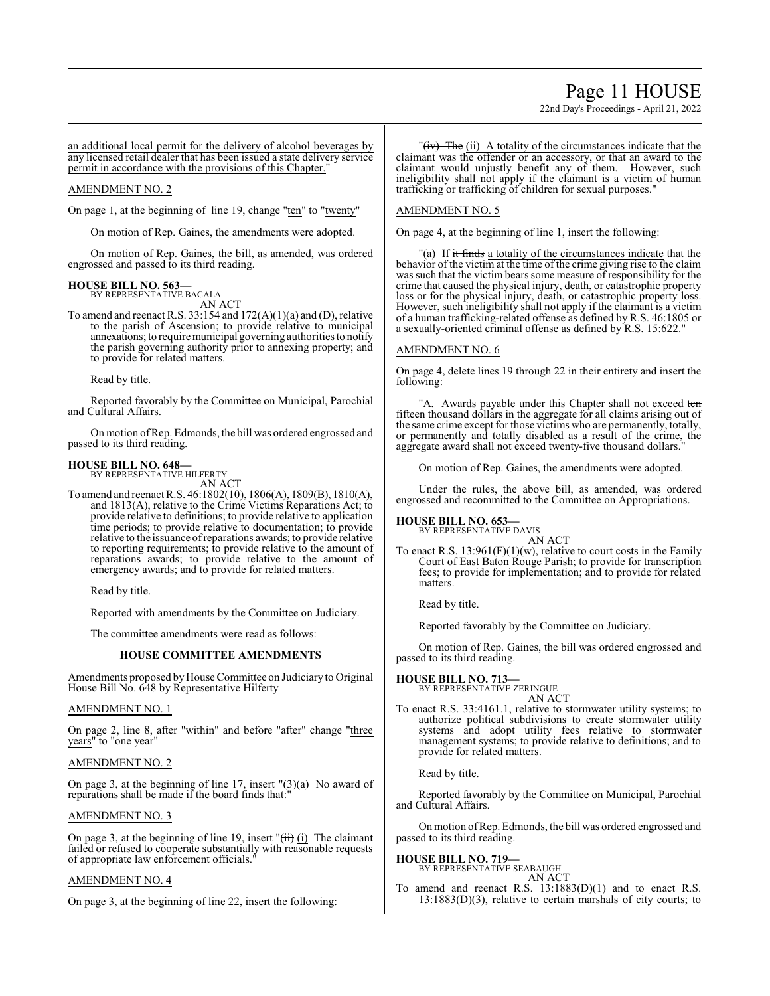# Page 11 HOUSE

22nd Day's Proceedings - April 21, 2022

an additional local permit for the delivery of alcohol beverages by any licensed retail dealer that has been issued a state delivery service permit in accordance with the provisions of this Chapter."

#### AMENDMENT NO. 2

On page 1, at the beginning of line 19, change "ten" to "twenty"

On motion of Rep. Gaines, the amendments were adopted.

On motion of Rep. Gaines, the bill, as amended, was ordered engrossed and passed to its third reading.

# **HOUSE BILL NO. 563—**

BY REPRESENTATIVE BACALA AN ACT

To amend and reenact R.S.  $33:154$  and  $172(A)(1)(a)$  and (D), relative to the parish of Ascension; to provide relative to municipal annexations; to require municipal governing authorities to notify the parish governing authority prior to annexing property; and to provide for related matters.

Read by title.

Reported favorably by the Committee on Municipal, Parochial and Cultural Affairs.

On motion ofRep. Edmonds, the bill was ordered engrossed and passed to its third reading.

### **HOUSE BILL NO. 648—**

BY REPRESENTATIVE HILFERTY AN ACT

To amend and reenact R.S. 46:1802(10), 1806(A), 1809(B), 1810(A), and 1813(A), relative to the Crime Victims Reparations Act; to provide relative to definitions; to provide relative to application time periods; to provide relative to documentation; to provide relative to the issuance ofreparations awards; to provide relative to reporting requirements; to provide relative to the amount of reparations awards; to provide relative to the amount of emergency awards; and to provide for related matters.

Read by title.

Reported with amendments by the Committee on Judiciary.

The committee amendments were read as follows:

#### **HOUSE COMMITTEE AMENDMENTS**

Amendments proposed byHouse Committee on Judiciary to Original House Bill No. 648 by Representative Hilferty

#### AMENDMENT NO. 1

On page 2, line 8, after "within" and before "after" change "three years" to "one year"

#### AMENDMENT NO. 2

On page 3, at the beginning of line  $17$ , insert " $(3)(a)$  No award of reparations shall be made if the board finds that:"

#### AMENDMENT NO. 3

On page 3, at the beginning of line 19, insert " $(ii)$  (i) The claimant failed or refused to cooperate substantially with reasonable requests of appropriate law enforcement officials."

#### AMENDMENT NO. 4

On page 3, at the beginning of line 22, insert the following:

"(iv) The (ii) A totality of the circumstances indicate that the claimant was the offender or an accessory, or that an award to the claimant would unjustly benefit any of them. However, such ineligibility shall not apply if the claimant is a victim of human trafficking or trafficking of children for sexual purposes."

#### AMENDMENT NO. 5

On page 4, at the beginning of line 1, insert the following:

"(a) If it finds a totality of the circumstances indicate that the behavior of the victim at the time of the crime giving rise to the claim was such that the victim bears some measure of responsibility for the crime that caused the physical injury, death, or catastrophic property loss or for the physical injury, death, or catastrophic property loss. However, such ineligibility shall not apply if the claimant is a victim of a human trafficking-related offense as defined by R.S. 46:1805 or a sexually-oriented criminal offense as defined by R.S. 15:622."

## AMENDMENT NO. 6

On page 4, delete lines 19 through 22 in their entirety and insert the following:

"A. Awards payable under this Chapter shall not exceed ten fifteen thousand dollars in the aggregate for all claims arising out of the same crime except for those victims who are permanently, totally, or permanently and totally disabled as a result of the crime, the aggregate award shall not exceed twenty-five thousand dollars."

On motion of Rep. Gaines, the amendments were adopted.

Under the rules, the above bill, as amended, was ordered engrossed and recommitted to the Committee on Appropriations.

**HOUSE BILL NO. 653—** BY REPRESENTATIVE DAVIS

AN ACT

To enact R.S.  $13:961(F)(1)(w)$ , relative to court costs in the Family Court of East Baton Rouge Parish; to provide for transcription fees; to provide for implementation; and to provide for related matters.

Read by title.

Reported favorably by the Committee on Judiciary.

On motion of Rep. Gaines, the bill was ordered engrossed and passed to its third reading.

# **HOUSE BILL NO. 713—** BY REPRESENTATIVE ZERINGUE

AN ACT

To enact R.S. 33:4161.1, relative to stormwater utility systems; to authorize political subdivisions to create stormwater utility systems and adopt utility fees relative to stormwater management systems; to provide relative to definitions; and to provide for related matters.

Read by title.

Reported favorably by the Committee on Municipal, Parochial and Cultural Affairs.

Onmotion ofRep. Edmonds, the bill was ordered engrossed and passed to its third reading.

#### **HOUSE BILL NO. 719—**

BY REPRESENTATIVE SEABAUGH AN ACT

To amend and reenact R.S. 13:1883(D)(1) and to enact R.S. 13:1883(D)(3), relative to certain marshals of city courts; to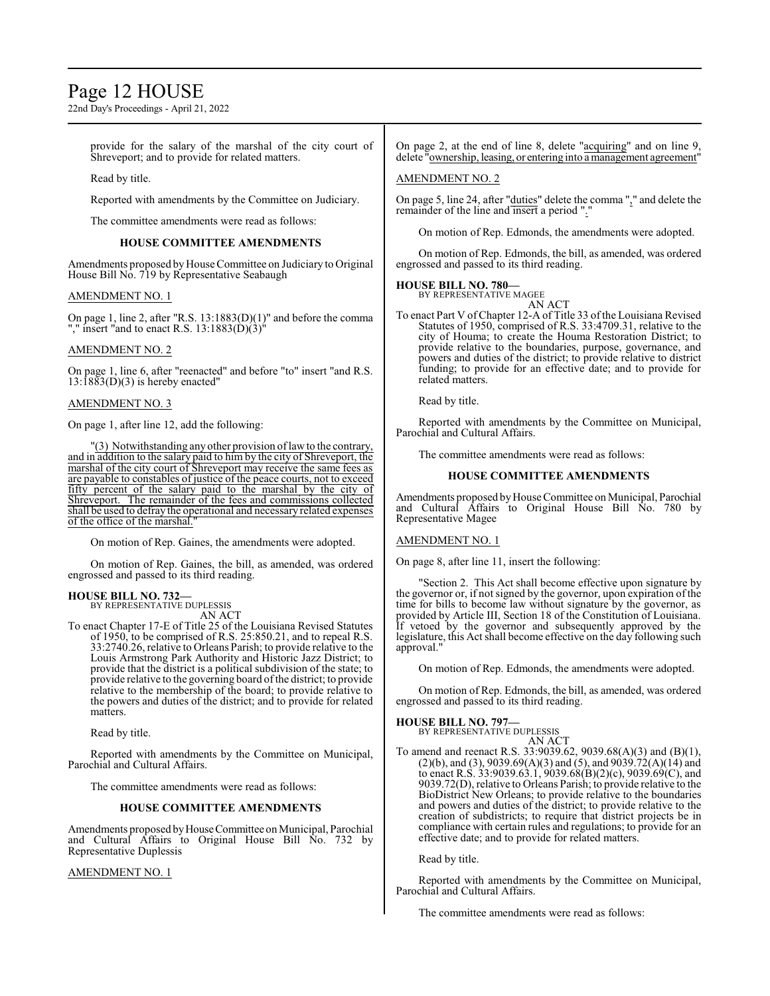# Page 12 HOUSE

22nd Day's Proceedings - April 21, 2022

provide for the salary of the marshal of the city court of Shreveport; and to provide for related matters.

Read by title.

Reported with amendments by the Committee on Judiciary.

The committee amendments were read as follows:

#### **HOUSE COMMITTEE AMENDMENTS**

Amendments proposed byHouse Committee on Judiciary to Original House Bill No. 719 by Representative Seabaugh

#### AMENDMENT NO. 1

On page 1, line 2, after "R.S. 13:1883(D)(1)" and before the comma "," insert "and to enact R.S.  $13:1883(\tilde{D})(3)$ "

#### AMENDMENT NO. 2

On page 1, line 6, after "reenacted" and before "to" insert "and R.S.  $13:1883(D)(3)$  is hereby enacted"

#### AMENDMENT NO. 3

On page 1, after line 12, add the following:

"(3) Notwithstanding any other provision oflawto the contrary, and in addition to the salary paid to him by the city of Shreveport, the marshal of the city court of Shreveport may receive the same fees as are payable to constables of justice of the peace courts, not to exceed fifty percent of the salary paid to the marshal by the city of Shreveport. The remainder of the fees and commissions collected shall be used to defray the operational and necessary related expenses of the office of the marshal."

On motion of Rep. Gaines, the amendments were adopted.

On motion of Rep. Gaines, the bill, as amended, was ordered engrossed and passed to its third reading.

# **HOUSE BILL NO. 732—** BY REPRESENTATIVE DUPLESSIS

AN ACT

To enact Chapter 17-E of Title 25 of the Louisiana Revised Statutes of 1950, to be comprised of R.S. 25:850.21, and to repeal R.S. 33:2740.26, relative to Orleans Parish; to provide relative to the Louis Armstrong Park Authority and Historic Jazz District; to provide that the district is a political subdivision of the state; to provide relative to the governing board ofthe district; to provide relative to the membership of the board; to provide relative to the powers and duties of the district; and to provide for related matters.

Read by title.

Reported with amendments by the Committee on Municipal, Parochial and Cultural Affairs.

The committee amendments were read as follows:

#### **HOUSE COMMITTEE AMENDMENTS**

Amendments proposed byHouseCommittee on Municipal, Parochial and Cultural Affairs to Original House Bill No. 732 by Representative Duplessis

#### AMENDMENT NO. 1

On page 2, at the end of line 8, delete "acquiring" and on line 9, delete "ownership, leasing, or entering into a management agreement"

#### AMENDMENT NO. 2

On page 5, line 24, after "duties" delete the comma "," and delete the remainder of the line and insert a period "."

On motion of Rep. Edmonds, the amendments were adopted.

On motion of Rep. Edmonds, the bill, as amended, was ordered engrossed and passed to its third reading.

#### **HOUSE BILL NO. 780—**

BY REPRESENTATIVE MAGEE AN ACT

To enact Part V of Chapter 12-A of Title 33 of the Louisiana Revised Statutes of 1950, comprised of R.S. 33:4709.31, relative to the city of Houma; to create the Houma Restoration District; to provide relative to the boundaries, purpose, governance, and powers and duties of the district; to provide relative to district funding; to provide for an effective date; and to provide for related matters.

Read by title.

Reported with amendments by the Committee on Municipal, Parochial and Cultural Affairs.

The committee amendments were read as follows:

#### **HOUSE COMMITTEE AMENDMENTS**

Amendments proposed byHouse Committee on Municipal, Parochial and Cultural Affairs to Original House Bill No. 780 by Representative Magee

#### AMENDMENT NO. 1

On page 8, after line 11, insert the following:

"Section 2. This Act shall become effective upon signature by the governor or, if not signed by the governor, upon expiration of the time for bills to become law without signature by the governor, as provided by Article III, Section 18 of the Constitution of Louisiana. If vetoed by the governor and subsequently approved by the legislature, this Act shall become effective on the day following such approval."

On motion of Rep. Edmonds, the amendments were adopted.

On motion of Rep. Edmonds, the bill, as amended, was ordered engrossed and passed to its third reading.

#### **HOUSE BILL NO. 797—**

BY REPRESENTATIVE DUPLESSIS AN ACT

To amend and reenact R.S. 33:9039.62, 9039.68(A)(3) and (B)(1),  $(2)(b)$ , and  $(3)$ , 9039.69 $(A)(3)$  and  $(5)$ , and 9039.72 $(A)(14)$  and to enact R.S.  $33:9039.63.1$ ,  $9039.68(B)(2)(c)$ ,  $9039.69(C)$ , and 9039.72(D), relative to Orleans Parish; to provide relative to the BioDistrict New Orleans; to provide relative to the boundaries and powers and duties of the district; to provide relative to the creation of subdistricts; to require that district projects be in compliance with certain rules and regulations; to provide for an effective date; and to provide for related matters.

Read by title.

Reported with amendments by the Committee on Municipal, Parochial and Cultural Affairs.

The committee amendments were read as follows: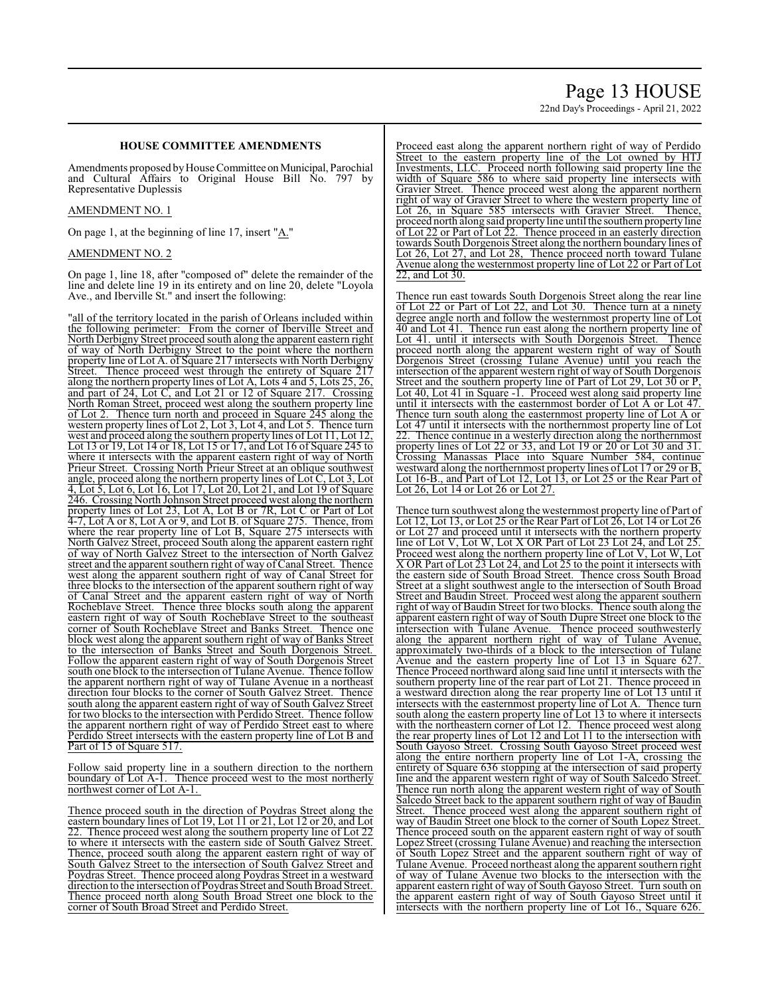# Page 13 HOUSE

22nd Day's Proceedings - April 21, 2022

### **HOUSE COMMITTEE AMENDMENTS**

Amendments proposed by House Committee on Municipal, Parochial and Cultural Affairs to Original House Bill No. 797 by Representative Duplessis

#### AMENDMENT NO. 1

On page 1, at the beginning of line 17, insert "A."

#### AMENDMENT NO. 2

On page 1, line 18, after "composed of" delete the remainder of the line and delete line 19 in its entirety and on line 20, delete "Loyola Ave., and Iberville St." and insert the following:

"all of the territory located in the parish of Orleans included within the following perimeter: From the corner of Iberville Street and North Derbigny Street proceed south along the apparent eastern right of way of North Derbigny Street to the point where the northern property line of Lot A. of Square 217 intersects with North Derbigny<br>Street. Thence proceed west through the entirety of Square 217 Thence proceed west through the entirety of Square 217 along the northern property lines of Lot A, Lots 4 and 5, Lots 25, 26, and part of 24, Lot C, and Lot 21 or 12 of Square 217. Crossing North Roman Street, proceed west along the southern property line of Lot 2. Thence turn north and proceed in Square 245 along the western property lines of Lot 2, Lot 3, Lot 4, and Lot 5. Thence turn west and proceed along the southern property lines of Lot 11, Lot 12, Lot 13 or 19, Lot 14 or 18, Lot 15 or 17, and Lot 16 of Square 245 to where it intersects with the apparent eastern right of way of North Prieur Street. Crossing North Prieur Street at an oblique southwest angle, proceed along the northern property lines of Lot C, Lot 3, Lot 4, Lot 5, Lot 6, Lot 16, Lot 17, Lot 20, Lot 21, and Lot 19 of Square 246. Crossing North Johnson Street proceed west along the northern property lines of Lot 23, Lot A, Lot B or 7R, Lot C or Part of Lot 4-7, Lot A or 8, Lot A or 9, and Lot B. of Square 275. Thence, from where the rear property line of Lot B, Square 275 intersects with North Galvez Street, proceed South along the apparent eastern right of way of North Galvez Street to the intersection of North Galvez street and the apparent southern right of way of Canal Street. Thence west along the apparent southern right of way of Canal Street for three blocks to the intersection of the apparent southern right of way of Canal Street and the apparent eastern right of way of North Rocheblave Street. Thence three blocks south along the apparent eastern right of way of South Rocheblave Street to the southeast corner of South Rocheblave Street and Banks Street. Thence one block west along the apparent southern right of way of Banks Street to the intersection of Banks Street and South Dorgenois Street. Follow the apparent eastern right of way of South Dorgenois Street south one block to the intersection of Tulane Avenue. Thence follow the apparent northern right of way of Tulane Avenue in a northeast direction four blocks to the corner of South Galvez Street. Thence south along the apparent eastern right of way of South Galvez Street for two blocks to the intersection with Perdido Street. Thence follow the apparent northern right of way of Perdido Street east to where Perdido Street intersects with the eastern property line of Lot B and Part of 15 of Square 517.

Follow said property line in a southern direction to the northern boundary of Lot A-1. Thence proceed west to the most northerly northwest corner of Lot A-1.

Thence proceed south in the direction of Poydras Street along the eastern boundary lines of Lot 19, Lot 11 or 21, Lot 12 or 20, and Lot 22. Thence proceed west along the southern property line of Lot 22 to where it intersects with the eastern side of South Galvez Street. Thence, proceed south along the apparent eastern right of way of South Galvez Street to the intersection of South Galvez Street and Poydras Street. Thence proceed along Poydras Street in a westward direction to the intersection of Poydras Street and South Broad Street. Thence proceed north along South Broad Street one block to the corner of South Broad Street and Perdido Street.

Proceed east along the apparent northern right of way of Perdido Street to the eastern property line of the Lot owned by HTJ Investments, LLC. Proceed north following said property line the width of Square 586 to where said property line intersects with Gravier Street. Thence proceed west along the apparent northern right of way of Gravier Street to where the western property line of Lot 26, in Square 585 intersects with Gravier Street. Thence, proceed north along said property line until the southern property line of Lot 22 or Part of Lot 22. Thence proceed in an easterly direction towards South Dorgenois Street along the northern boundary lines of Lot 26, Lot 27, and Lot 28, Thence proceed north toward Tulane Avenue along the westernmost property line of Lot 22 or Part of Lot 22, and Lot 30.

Thence run east towards South Dorgenois Street along the rear line of Lot 22 or Part of Lot 22, and Lot 30. Thence turn at a ninety degree angle north and follow the westernmost property line of Lot 40 and Lot 41. Thence run east along the northern property line of Lot 41. until it intersects with South Dorgenois Street. Thence proceed north along the apparent western right of way of South Dorgenois Street (crossing Tulane Avenue) until you reach the intersection of the apparent western right of way of South Dorgenois Street and the southern property line of Part of Lot 29, Lot 30 or P, Lot 40, Lot 41 in Square -1. Proceed west along said property line until it intersects with the easternmost border of Lot A or Lot 47. Thence turn south along the easternmost property line of Lot A or Lot 47 until it intersects with the northernmost property line of Lot Thence continue in a westerly direction along the northernmost property lines of Lot 22 or 33, and Lot 19 or 20 or Lot 30 and 31. Crossing Manassas Place into Square Number 584, continue westward along the northernmost property lines of Lot 17 or 29 or B, Lot 16-B., and Part of Lot 12, Lot 13, or Lot 25 or the Rear Part of Lot 26, Lot 14 or Lot 26 or Lot 27.

Thence turn southwest along the westernmost property line of Part of Lot 12, Lot 13, or Lot 25 or the Rear Part of Lot 26, Lot 14 or Lot 26 or Lot 27 and proceed until it intersects with the northern property line of Lot V, Lot W, Lot X OR Part of Lot 23 Lot 24, and Lot 25. Proceed west along the northern property line of Lot V, Lot W, Lot X OR Part of Lot 23 Lot 24, and Lot 25 to the point it intersects with the eastern side of South Broad Street. Thence cross South Broad Street at a slight southwest angle to the intersection of South Broad Street and Baudin Street. Proceed west along the apparent southern right of way of Baudin Street for two blocks. Thence south along the apparent eastern right of way of South Dupre Street one block to the intersection with Tulane Avenue. Thence proceed southwesterly along the apparent northern right of way of Tulane Avenue, approximately two-thirds of a block to the intersection of Tulane Avenue and the eastern property line of Lot 13 in Square 627. Thence Proceed northward along said line until it intersects with the southern property line of the rear part of Lot 21. Thence proceed in a westward direction along the rear property line of Lot 13 until it intersects with the easternmost property line of Lot A. Thence turn south along the eastern property line of Lot 13 to where it intersects with the northeastern corner of Lot 12. Thence proceed west along the rear property lines of Lot 12 and Lot 11 to the intersection with South Gayoso Street. Crossing South Gayoso Street proceed west along the entire northern property line of Lot 1-A, crossing the entirety of Square 636 stopping at the intersection of said property line and the apparent western right of way of South Salcedo Street. Thence run north along the apparent western right of way of South Salcedo Street back to the apparent southern right of way of Baudin Street. Thence proceed west along the apparent southern right of way of Baudin Street one block to the corner of South Lopez Street. Thence proceed south on the apparent eastern right of way of south Lopez Street (crossing Tulane Avenue) and reaching the intersection of South Lopez Street and the apparent southern right of way of Tulane Avenue. Proceed northeast along the apparent southern right of way of Tulane Avenue two blocks to the intersection with the apparent eastern right of way of South Gayoso Street. Turn south on the apparent eastern right of way of South Gayoso Street until it intersects with the northern property line of Lot 16., Square 626.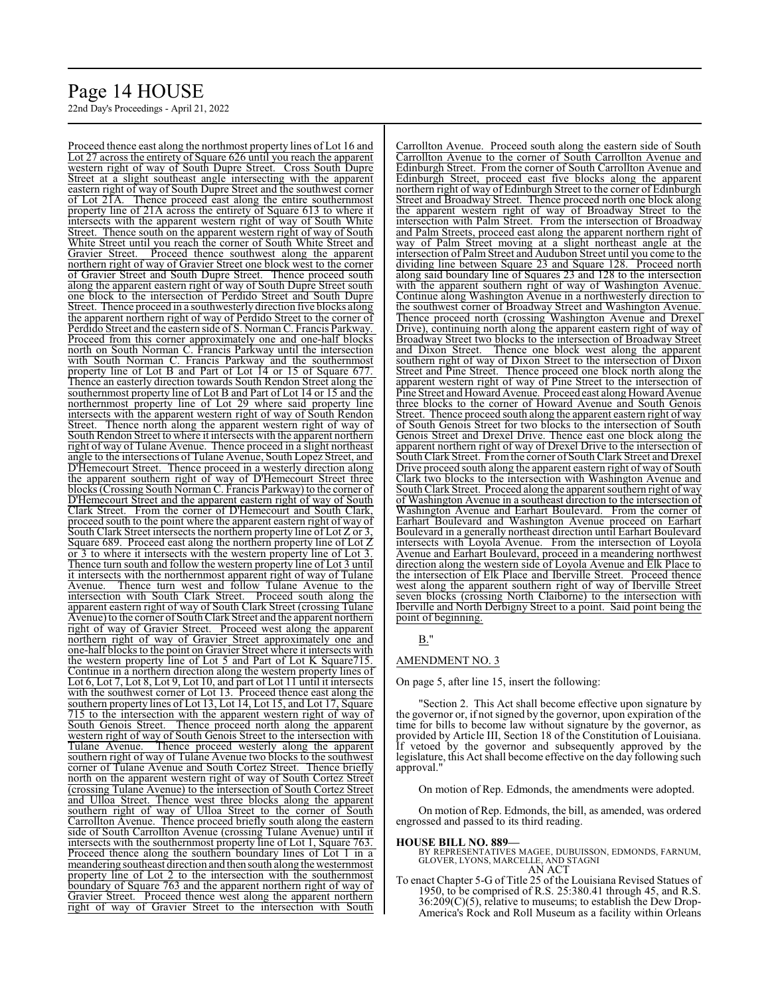# Page 14 HOUSE

22nd Day's Proceedings - April 21, 2022

Proceed thence east along the northmost property lines of Lot 16 and Lot 27 across the entirety of Square 626 until you reach the apparent western right of way of South Dupre Street. Cross South Dupre Street at a slight southeast angle intersecting with the apparent eastern right of way of South Dupre Street and the southwest corner of Lot 21A. Thence proceed east along the entire southernmost property line of 21A across the entirety of Square 613 to where it intersects with the apparent western right of way of South White Street. Thence south on the apparent western right of way of South White Street until you reach the corner of South White Street and Gravier Street. Proceed thence southwest along the apparent northern right of way of Gravier Street one block west to the corner of Gravier Street and South Dupre Street. Thence proceed south along the apparent eastern right of way of South Dupre Street south one block to the intersection of Perdido Street and South Dupre Street. Thence proceed in a southwesterly direction five blocks along the apparent northern right of way of Perdido Street to the corner of Perdido Street and the eastern side of S. Norman C. Francis Parkway. Proceed from this corner approximately one and one-half blocks north on South Norman C. Francis Parkway until the intersection with South Norman C. Francis Parkway and the southernmost property line of Lot B and Part of Lot 14 or 15 of Square 677. Thence an easterly direction towards South Rendon Street along the southernmost property line of Lot B and Part of Lot 14 or 15 and the northernmost property line of Lot 29 where said property line intersects with the apparent western right of way of South Rendon Street. Thence north along the apparent western right of way of Thence north along the apparent western right of way of South Rendon Street to where it intersects with the apparent northern right of way of Tulane Avenue. Thence proceed in a slight northeast angle to the intersections of Tulane Avenue, South Lopez Street, and D'Hemecourt Street. Thence proceed in a westerly direction along the apparent southern right of way of D'Hemecourt Street three blocks (Crossing South Norman C. Francis Parkway) to the corner of D'Hemecourt Street and the apparent eastern right of way of South Clark Street. From the corner of D'Hemecourt and South Clark, proceed south to the point where the apparent eastern right of way of South Clark Street intersects the northern property line of Lot Z or 3, Square 689. Proceed east along the northern property line of Lot Z or 3 to where it intersects with the western property line of Lot 3. Thence turn south and follow the western property line of Lot 3 until it intersects with the northernmost apparent right of way of Tulane Avenue. Thence turn west and follow Tulane Avenue to the intersection with South Clark Street. Proceed south along the apparent eastern right of way of South Clark Street (crossing Tulane Avenue) to the corner of South Clark Street and the apparent northern right of way of Gravier Street. Proceed west along the apparent northern right of way of Gravier Street approximately one and one-half blocks to the point on Gravier Street where it intersects with the western property line of Lot 5 and Part of Lot K Square715. Continue in a northern direction along the western property lines of Lot 6, Lot 7, Lot 8, Lot 9, Lot 10, and part of Lot 11 until it intersects with the southwest corner of Lot 13. Proceed thence east along the southern property lines of Lot 13, Lot 14, Lot 15, and Lot 17, Square 715 to the intersection with the apparent western right of way of South Genois Street. Thence proceed north along the apparent western right of way of South Genois Street to the intersection with Tulane Avenue. Thence proceed westerly along the apparent southern right of way of Tulane Avenue two blocks to the southwest corner of Tulane Avenue and South Cortez Street. Thence briefly north on the apparent western right of way of South Cortez Street (crossing Tulane Avenue) to the intersection of South Cortez Street and Ulloa Street. Thence west three blocks along the apparent southern right of way of Ulloa Street to the corner of South Carrollton Avenue. Thence proceed briefly south along the eastern side of South Carrollton Avenue (crossing Tulane Avenue) until it intersects with the southernmost property line of Lot 1, Square 763. Proceed thence along the southern boundary lines of Lot 1 in a meandering southeast direction and then south along the westernmost property line of Lot 2 to the intersection with the southernmost boundary of Square 763 and the apparent northern right of way of Gravier Street. Proceed thence west along the apparent northern right of way of Gravier Street to the intersection with South

Carrollton Avenue. Proceed south along the eastern side of South Carrollton Avenue to the corner of South Carrollton Avenue and Edinburgh Street. From the corner of South Carrollton Avenue and Edinburgh Street, proceed east five blocks along the apparent northern right of way of Edinburgh Street to the corner of Edinburgh Street and Broadway Street. Thence proceed north one block along the apparent western right of way of Broadway Street to the intersection with Palm Street. From the intersection of Broadway and Palm Streets, proceed east along the apparent northern right of way of Palm Street moving at a slight northeast angle at the intersection of Palm Street and Audubon Street until you come to the dividing line between Square 23 and Square 128. Proceed north along said boundary line of Squares 23 and 128 to the intersection with the apparent southern right of way of Washington Avenue. Continue along Washington Avenue in a northwesterly direction to the southwest corner of Broadway Street and Washington Avenue. Thence proceed north (crossing Washington Avenue and Drexel Drive), continuing north along the apparent eastern right of way of Broadway Street two blocks to the intersection of Broadway Street and Dixon Street. Thence one block west along the apparent southern right of way of Dixon Street to the intersection of Dixon Street and Pine Street. Thence proceed one block north along the apparent western right of way of Pine Street to the intersection of Pine Street and Howard Avenue. Proceed east along Howard Avenue three blocks to the corner of Howard Avenue and South Genois Street. Thence proceed south along the apparent eastern right of way of South Genois Street for two blocks to the intersection of South Genois Street and Drexel Drive. Thence east one block along the apparent northern right of way of Drexel Drive to the intersection of South Clark Street. Fromthe corner of South Clark Street and Drexel Drive proceed south along the apparent eastern right of way of South Clark two blocks to the intersection with Washington Avenue and South Clark Street. Proceed along the apparent southern right of way of Washington Avenue in a southeast direction to the intersection of Washington Avenue and Earhart Boulevard. From the corner of Earhart Boulevard and Washington Avenue proceed on Earhart Boulevard in a generally northeast direction until Earhart Boulevard intersects with Loyola Avenue. From the intersection of Loyola Avenue and Earhart Boulevard, proceed in a meandering northwest direction along the western side of Loyola Avenue and Elk Place to the intersection of Elk Place and Iberville Street. Proceed thence west along the apparent southern right of way of Iberville Street seven blocks (crossing North Claiborne) to the intersection with Iberville and North Derbigny Street to a point. Said point being the point of beginning.

#### B."

#### AMENDMENT NO. 3

On page 5, after line 15, insert the following:

"Section 2. This Act shall become effective upon signature by the governor or, if not signed by the governor, upon expiration of the time for bills to become law without signature by the governor, as provided by Article III, Section 18 of the Constitution of Louisiana. If vetoed by the governor and subsequently approved by the legislature, this Act shall become effective on the day following such approval."

On motion of Rep. Edmonds, the amendments were adopted.

On motion of Rep. Edmonds, the bill, as amended, was ordered engrossed and passed to its third reading.

#### **HOUSE BILL NO. 889—**

BY REPRESENTATIVES MAGEE, DUBUISSON, EDMONDS, FARNUM, GLOVER, LYONS, MARCELLE, AND STAGNI AN ACT

To enact Chapter 5-G of Title 25 of the Louisiana Revised Statues of 1950, to be comprised of R.S. 25:380.41 through 45, and R.S. 36:209(C)(5), relative to museums; to establish the Dew Drop-America's Rock and Roll Museum as a facility within Orleans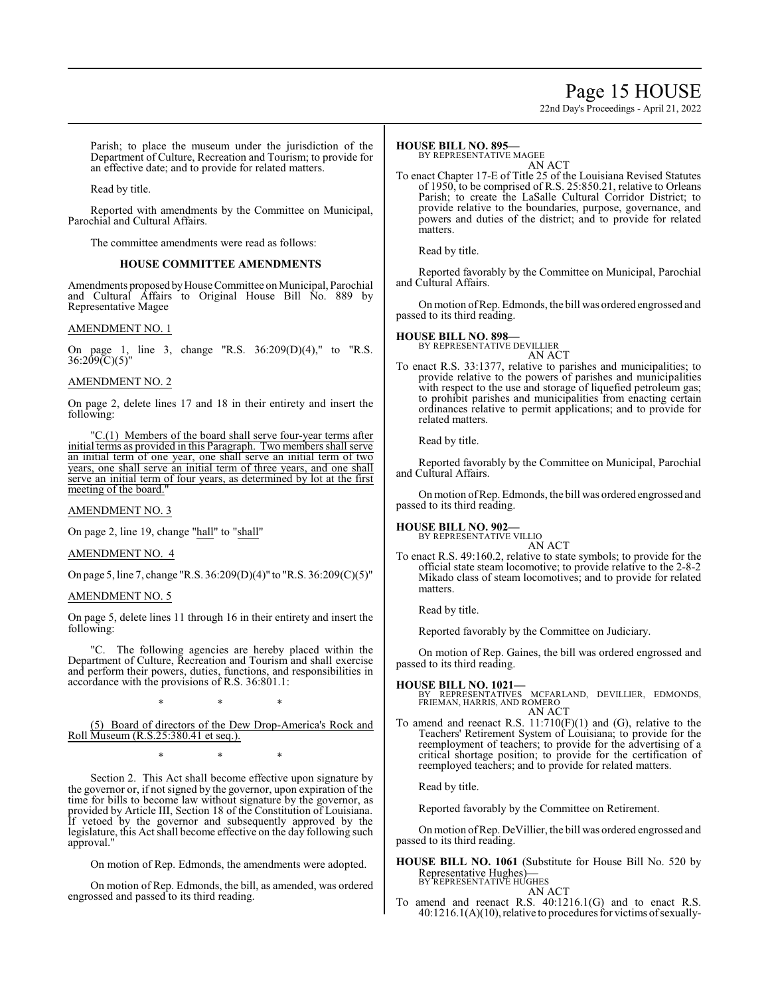# Page 15 HOUSE

22nd Day's Proceedings - April 21, 2022

Parish; to place the museum under the jurisdiction of the Department of Culture, Recreation and Tourism; to provide for an effective date; and to provide for related matters.

Read by title.

Reported with amendments by the Committee on Municipal, Parochial and Cultural Affairs.

The committee amendments were read as follows:

### **HOUSE COMMITTEE AMENDMENTS**

Amendments proposed byHouse Committee on Municipal, Parochial and Cultural Affairs to Original House Bill No. 889 by Representative Magee

#### AMENDMENT NO. 1

On page 1, line 3, change "R.S. 36:209(D)(4)," to "R.S. 36:209(C)(5)"

#### AMENDMENT NO. 2

On page 2, delete lines 17 and 18 in their entirety and insert the following:

"C.(1) Members of the board shall serve four-year terms after initial terms as provided in this Paragraph. Two members shall serve an initial term of one year, one shall serve an initial term of two years, one shall serve an initial term of three years, and one shall serve an initial term of four years, as determined by lot at the first meeting of the board."

#### AMENDMENT NO. 3

On page 2, line 19, change "hall" to "shall"

#### AMENDMENT NO. 4

On page 5, line 7, change "R.S. 36:209(D)(4)" to "R.S. 36:209(C)(5)"

#### AMENDMENT NO. 5

On page 5, delete lines 11 through 16 in their entirety and insert the following:

"C. The following agencies are hereby placed within the Department of Culture, Recreation and Tourism and shall exercise and perform their powers, duties, functions, and responsibilities in accordance with the provisions of R.S. 36:801.1:

\* \* \*

(5) Board of directors of the Dew Drop-America's Rock and Roll Museum (R.S.25:380.41 et seq.).

\* \* \*

Section 2. This Act shall become effective upon signature by the governor or, if not signed by the governor, upon expiration of the time for bills to become law without signature by the governor, as provided by Article III, Section 18 of the Constitution of Louisiana. If vetoed by the governor and subsequently approved by the legislature, this Act shall become effective on the day following such approval.

On motion of Rep. Edmonds, the amendments were adopted.

On motion of Rep. Edmonds, the bill, as amended, was ordered engrossed and passed to its third reading.

#### **HOUSE BILL NO. 895—**

BY REPRESENTATIVE MAGEE

AN ACT To enact Chapter 17-E of Title 25 of the Louisiana Revised Statutes of 1950, to be comprised of R.S. 25:850.21, relative to Orleans Parish; to create the LaSalle Cultural Corridor District; to provide relative to the boundaries, purpose, governance, and powers and duties of the district; and to provide for related matters.

Read by title.

Reported favorably by the Committee on Municipal, Parochial and Cultural Affairs.

On motion ofRep. Edmonds, the bill was ordered engrossed and passed to its third reading.

# **HOUSE BILL NO. 898—** BY REPRESENTATIVE DEVILLIER

AN ACT

To enact R.S. 33:1377, relative to parishes and municipalities; to provide relative to the powers of parishes and municipalities with respect to the use and storage of liquefied petroleum gas; to prohibit parishes and municipalities from enacting certain ordinances relative to permit applications; and to provide for related matters.

Read by title.

Reported favorably by the Committee on Municipal, Parochial and Cultural Affairs.

On motion ofRep. Edmonds, the bill was ordered engrossed and passed to its third reading.

**HOUSE BILL NO. 902—** BY REPRESENTATIVE VILLIO

AN ACT To enact R.S. 49:160.2, relative to state symbols; to provide for the official state steam locomotive; to provide relative to the 2-8-2 Mikado class of steam locomotives; and to provide for related matters.

Read by title.

Reported favorably by the Committee on Judiciary.

On motion of Rep. Gaines, the bill was ordered engrossed and passed to its third reading.

**HOUSE BILL NO. 1021—** BY REPRESENTATIVES MCFARLAND, DEVILLIER, EDMONDS, FRIEMAN, HARRIS, AND ROMERO AN ACT

To amend and reenact R.S.  $11:710(F)(1)$  and (G), relative to the Teachers' Retirement System of Louisiana; to provide for the reemployment of teachers; to provide for the advertising of a critical shortage position; to provide for the certification of reemployed teachers; and to provide for related matters.

Read by title.

Reported favorably by the Committee on Retirement.

Onmotion ofRep. DeVillier, the bill was ordered engrossed and passed to its third reading.

**HOUSE BILL NO. 1061** (Substitute for House Bill No. 520 by Representative Hughes)— BY REPRESENTATIVE HUGHES

AN ACT

To amend and reenact R.S. 40:1216.1(G) and to enact R.S. 40:1216.1(A)(10), relative to procedures for victims of sexually-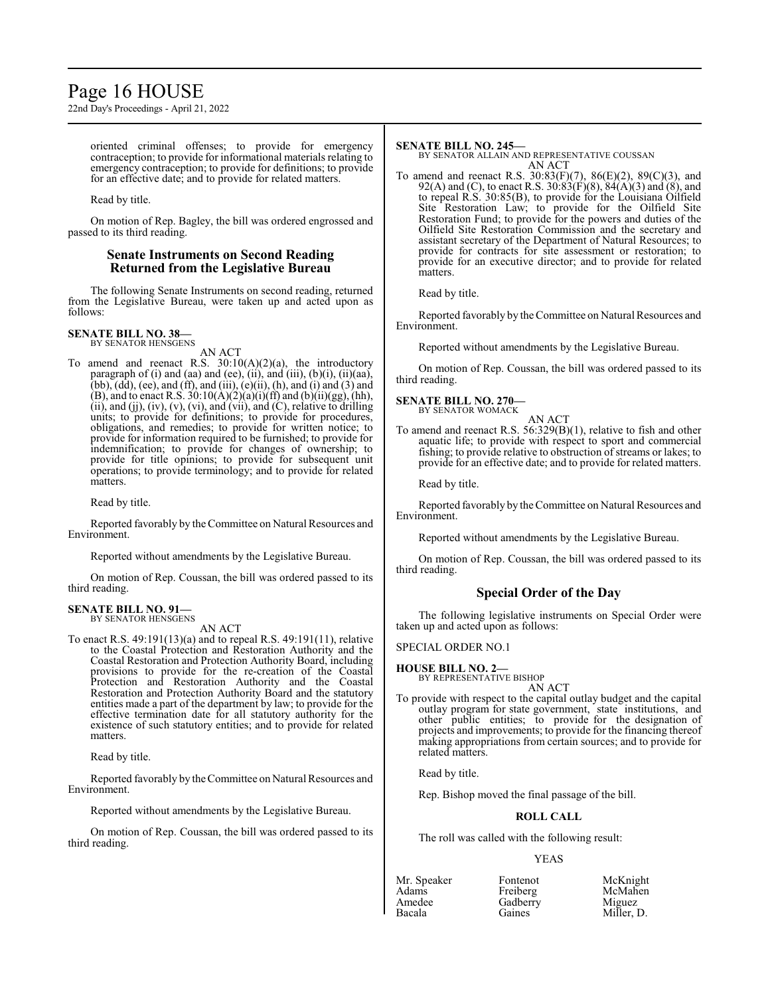# Page 16 HOUSE

22nd Day's Proceedings - April 21, 2022

oriented criminal offenses; to provide for emergency contraception; to provide for informational materials relating to emergency contraception; to provide for definitions; to provide for an effective date; and to provide for related matters.

Read by title.

On motion of Rep. Bagley, the bill was ordered engrossed and passed to its third reading.

## **Senate Instruments on Second Reading Returned from the Legislative Bureau**

The following Senate Instruments on second reading, returned from the Legislative Bureau, were taken up and acted upon as follows:

#### **SENATE BILL NO. 38—** BY SENATOR HENSGENS

AN ACT

To amend and reenact R.S.  $30:10(A)(2)(a)$ , the introductory paragraph of  $(i)$  and  $(aa)$  and  $(ee)$ ,  $(ii)$ ,  $an\delta$   $(iii)$ ,  $(b)(i)$ ,  $(ii)(aa)$ ,  $(bb)$ ,  $(dd)$ ,  $(ee)$ , and  $(ff)$ , and  $(iii)$ ,  $(e)(ii)$ ,  $(h)$ , and  $(i)$  and  $(3)$  and (B), and to enact R.S.  $30:10(A)(2)(a)(i)(ff)$  and  $(b)(ii)(gg)$ , (hh), (ii), and (jj),  $(iv)$ ,  $(v)$ ,  $(vi)$ , and  $(vii)$ , and  $(C)$ , relative to drilling units; to provide for definitions; to provide for procedures, obligations, and remedies; to provide for written notice; to provide for information required to be furnished; to provide for indemnification; to provide for changes of ownership; to provide for title opinions; to provide for subsequent unit operations; to provide terminology; and to provide for related matters.

Read by title.

Reported favorably by the Committee on Natural Resources and Environment.

Reported without amendments by the Legislative Bureau.

On motion of Rep. Coussan, the bill was ordered passed to its third reading.

#### **SENATE BILL NO. 91—** BY SENATOR HENSGENS

AN ACT

To enact R.S. 49:191(13)(a) and to repeal R.S. 49:191(11), relative to the Coastal Protection and Restoration Authority and the Coastal Restoration and Protection Authority Board, including provisions to provide for the re-creation of the Coastal Protection and Restoration Authority and the Coastal Restoration and Protection Authority Board and the statutory entities made a part of the department by law; to provide for the effective termination date for all statutory authority for the existence of such statutory entities; and to provide for related matters.

Read by title.

Reported favorably by theCommittee on Natural Resources and Environment.

Reported without amendments by the Legislative Bureau.

On motion of Rep. Coussan, the bill was ordered passed to its third reading.

#### **SENATE BILL NO. 245—**

BY SENATOR ALLAIN AND REPRESENTATIVE COUSSAN AN ACT

To amend and reenact R.S. 30:83(F)(7), 86(E)(2), 89(C)(3), and 92(A) and (C), to enact R.S. 30:83(F)(8), 84(A)(3) and (8), and to repeal R.S. 30:85(B), to provide for the Louisiana Oilfield Site Restoration Law; to provide for the Oilfield Site Restoration Fund; to provide for the powers and duties of the Oilfield Site Restoration Commission and the secretary and assistant secretary of the Department of Natural Resources; to provide for contracts for site assessment or restoration; to provide for an executive director; and to provide for related matters.

Read by title.

Reported favorably by the Committee on Natural Resources and Environment.

Reported without amendments by the Legislative Bureau.

On motion of Rep. Coussan, the bill was ordered passed to its third reading.

## **SENATE BILL NO. 270—**

BY SENATOR WOMACK AN ACT

To amend and reenact R.S. 56:329(B)(1), relative to fish and other aquatic life; to provide with respect to sport and commercial fishing; to provide relative to obstruction of streams or lakes; to provide for an effective date; and to provide for related matters.

Read by title.

Reported favorably by the Committee on Natural Resources and Environment.

Reported without amendments by the Legislative Bureau.

On motion of Rep. Coussan, the bill was ordered passed to its third reading.

# **Special Order of the Day**

The following legislative instruments on Special Order were taken up and acted upon as follows:

#### SPECIAL ORDER NO.1

**HOUSE BILL NO. 2—**

BY REPRESENTATIVE BISHOP AN ACT

To provide with respect to the capital outlay budget and the capital outlay program for state government, state institutions, and other public entities; to provide for the designation of projects and improvements; to provide for the financing thereof making appropriations from certain sources; and to provide for related matters.

Read by title.

Rep. Bishop moved the final passage of the bill.

#### **ROLL CALL**

The roll was called with the following result:

#### YEAS

| Fontenot | McKnight             |
|----------|----------------------|
| Freiberg | McMahen              |
| Gadberry |                      |
| Gaines   | Miguez<br>Miller, D. |
|          |                      |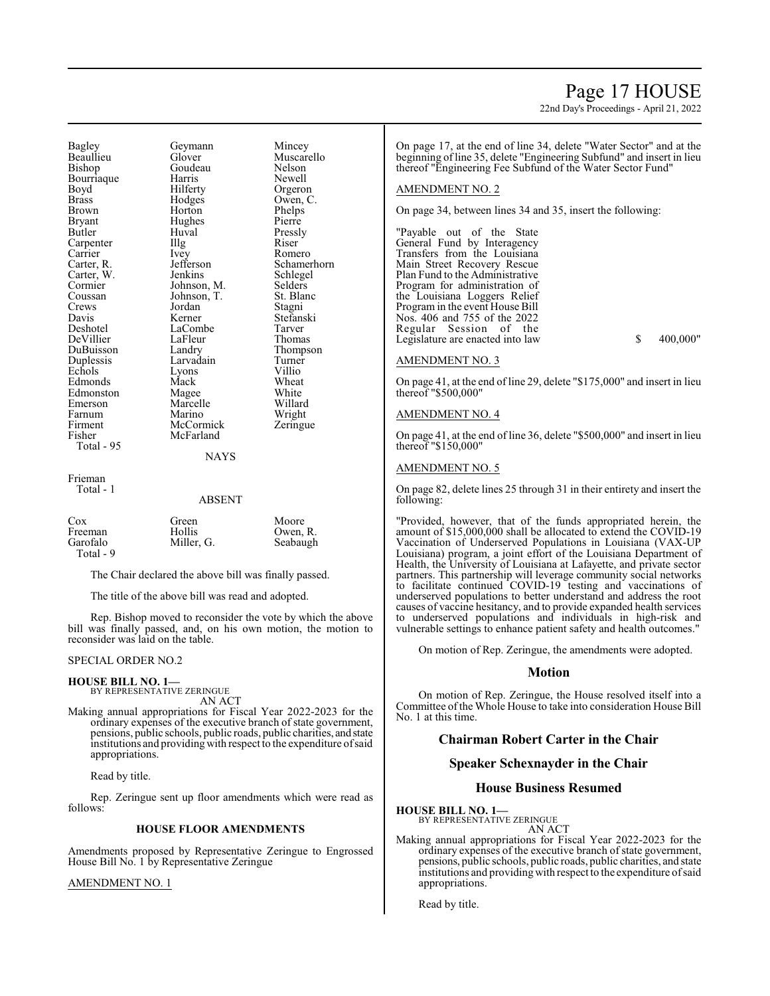# Bagley Geymann Mincey<br>Beaullieu Glover Muscar Beaullieu Glover Muscarello Bourriaque Harris<br>Boyd Hilferty Boyd Hilferty Orgeron<br>Brass Hodges Owen, C Brown Horton Phelps<br>Bryant Hughes Pierre Bryant Hughes<br>Butler Huval Carpenter Illg<br>Carrier Ivey Carrier Ivey Romero<br>Carter, R. Jefferson Schame Carter, W. Jenkins Schlege<br>Cormier Johnson, M. Selders Cormier Johnson, M. Selders<br>Coussan Johnson, T. St. Blanc Crews Jordan Stagni<br>
Davis Kerner Stefan: Davis Kerner Stefanski<br>Deshotel LaCombe Tarver DeVillier LaFleur<br>DuBuisson Landry DuBuisson Landry Thompson<br>
Duplessis Larvadain Turner Echols Lyons Villio<br>Edmonds Mack Wheat Edmonds Mack Wheat<br>Edmonston Magee White Edmonston Magee White Emerson Marcelle Willard<br>Farnum Marino Wright Farnum Marino Wright<br>
Firment McCormick Zeringue Firment McCormick<br>Fisher McFarland Total - 95

Goudeau Nelson<br>Harris Newell Huval Pressly<br>Illg Riser Johnson, T. LaCombe Tarver<br>LaFleur Thomas Larvadain Turner<br>Lyons Villio McFarland

Owen, C. Jefferson Schamerhorn<br>Jenkins Schlegel

#### **NAYS**

Frieman Total - 1

ABSENT

| Cox                   | Green      | Moore    |
|-----------------------|------------|----------|
| Freeman               | Hollis     | Owen, R. |
| Garofalo<br>Total - 9 | Miller, G. | Seabaugh |

The Chair declared the above bill was finally passed.

The title of the above bill was read and adopted.

Rep. Bishop moved to reconsider the vote by which the above bill was finally passed, and, on his own motion, the motion to reconsider was laid on the table.

#### SPECIAL ORDER NO.2

**HOUSE BILL NO. 1—** BY REPRESENTATIVE ZERINGUE AN ACT

Making annual appropriations for Fiscal Year 2022-2023 for the ordinary expenses of the executive branch of state government, pensions, public schools, public roads, public charities, and state institutions and providing with respect to the expenditure of said appropriations.

Read by title.

Rep. Zeringue sent up floor amendments which were read as follows:

#### **HOUSE FLOOR AMENDMENTS**

Amendments proposed by Representative Zeringue to Engrossed House Bill No. 1 by Representative Zeringue

#### AMENDMENT NO. 1

Page 17 HOUSE

22nd Day's Proceedings - April 21, 2022

On page 17, at the end of line 34, delete "Water Sector" and at the beginning of line 35, delete "Engineering Subfund" and insert in lieu thereof "Engineering Fee Subfund of the Water Sector Fund"

#### AMENDMENT NO. 2

On page 34, between lines 34 and 35, insert the following:

"Payable out of the State General Fund by Interagency Transfers from the Louisiana Main Street Recovery Rescue Plan Fund to the Administrative Program for administration of the Louisiana Loggers Relief Program in the event House Bill Nos. 406 and 755 of the 2022 Regular Session of the Legislature are enacted into law \$ 400,000"

### AMENDMENT NO. 3

On page 41, at the end of line 29, delete "\$175,000" and insert in lieu thereof "\$500,000"

#### AMENDMENT NO. 4

On page 41, at the end of line 36, delete "\$500,000" and insert in lieu thereof "\$150,000"

#### AMENDMENT NO. 5

On page 82, delete lines 25 through 31 in their entirety and insert the following:

"Provided, however, that of the funds appropriated herein, the amount of \$15,000,000 shall be allocated to extend the COVID-19 Vaccination of Underserved Populations in Louisiana (VAX-UP Louisiana) program, a joint effort of the Louisiana Department of Health, the University of Louisiana at Lafayette, and private sector partners. This partnership will leverage community social networks to facilitate continued COVID-19 testing and vaccinations of underserved populations to better understand and address the root causes of vaccine hesitancy, and to provide expanded health services to underserved populations and individuals in high-risk and vulnerable settings to enhance patient safety and health outcomes."

On motion of Rep. Zeringue, the amendments were adopted.

#### **Motion**

On motion of Rep. Zeringue, the House resolved itself into a Committee of the Whole House to take into consideration House Bill No. 1 at this time.

### **Chairman Robert Carter in the Chair**

### **Speaker Schexnayder in the Chair**

# **House Business Resumed**

**HOUSE BILL NO. 1—** BY REPRESENTATIVE ZERINGUE

AN ACT

Making annual appropriations for Fiscal Year 2022-2023 for the ordinary expenses of the executive branch of state government, pensions, public schools, public roads, public charities, and state institutions and providing with respect to the expenditure of said appropriations.

Read by title.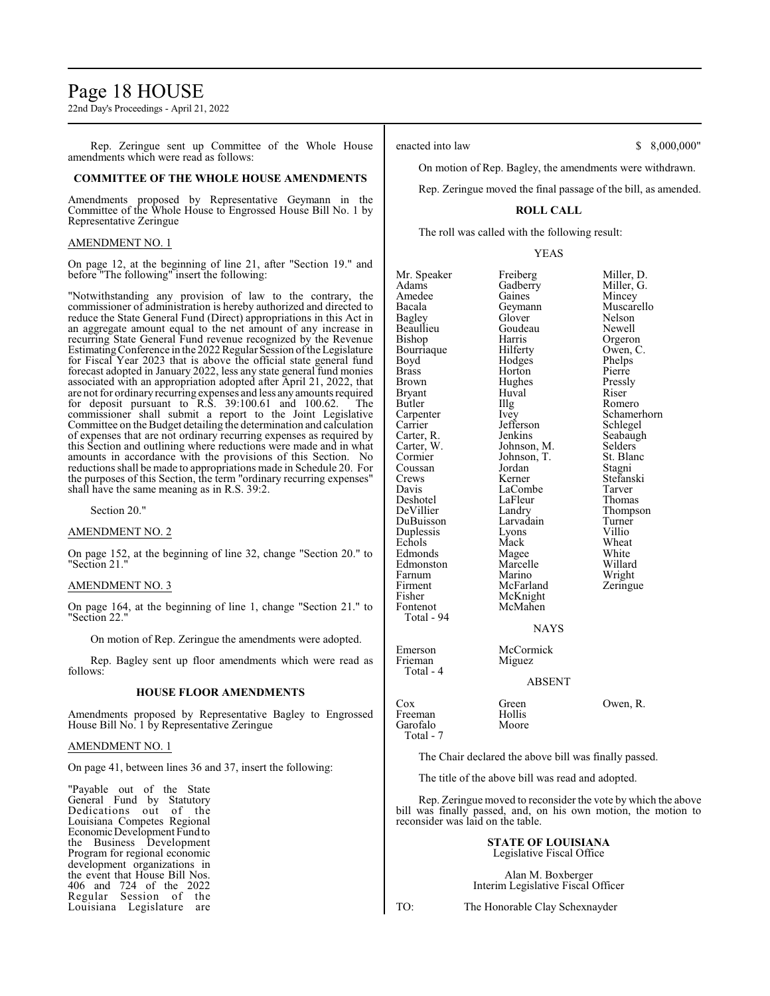# Page 18 HOUSE

22nd Day's Proceedings - April 21, 2022

Rep. Zeringue sent up Committee of the Whole House amendments which were read as follows:

#### **COMMITTEE OF THE WHOLE HOUSE AMENDMENTS**

Amendments proposed by Representative Geymann in the Committee of the Whole House to Engrossed House Bill No. 1 by Representative Zeringue

#### AMENDMENT NO. 1

On page 12, at the beginning of line 21, after "Section 19." and before "The following" insert the following:

"Notwithstanding any provision of law to the contrary, the commissioner of administration is hereby authorized and directed to reduce the State General Fund (Direct) appropriations in this Act in an aggregate amount equal to the net amount of any increase in recurring State General Fund revenue recognized by the Revenue Estimating Conference in the 2022 Regular Session of the Legislature for Fiscal Year 2023 that is above the official state general fund forecast adopted in January 2022, less any state general fund monies associated with an appropriation adopted after April 21, 2022, that are not for ordinary recurring expenses and less any amounts required for deposit pursuant to R.S. 39:100.61 and 100.62. The commissioner shall submit a report to the Joint Legislative Committee on the Budget detailing the determination and calculation of expenses that are not ordinary recurring expenses as required by this Section and outlining where reductions were made and in what amounts in accordance with the provisions of this Section. No reductions shall be made to appropriations made in Schedule 20. For the purposes of this Section, the term "ordinary recurring expenses" shall have the same meaning as in R.S. 39:2.

Section 20."

#### AMENDMENT NO. 2

On page 152, at the beginning of line 32, change "Section 20." to "Section 21."

#### AMENDMENT NO. 3

On page 164, at the beginning of line 1, change "Section 21." to "Section 22."

On motion of Rep. Zeringue the amendments were adopted.

Rep. Bagley sent up floor amendments which were read as follows:

#### **HOUSE FLOOR AMENDMENTS**

Amendments proposed by Representative Bagley to Engrossed House Bill No. 1 by Representative Zeringue

#### AMENDMENT NO. 1

On page 41, between lines 36 and 37, insert the following:

"Payable out of the State General Fund by Statutory Dedications out of the Louisiana Competes Regional EconomicDevelopment Fund to the Business Development Program for regional economic development organizations in the event that House Bill Nos. 406 and 724 of the 2022 Regular Session of the Louisiana Legislature are enacted into law \$ 8,000,000"

On motion of Rep. Bagley, the amendments were withdrawn.

Rep. Zeringue moved the final passage of the bill, as amended.

#### **ROLL CALL**

The roll was called with the following result:

YEAS

Mr. Speaker Freiberg Miller, D.<br>Adams Gadberry Miller, G. Amedee Gaines<br>Bacala Geymann Bacala Geymann Muscarello Beaullieu Goude<br>Bishop Harris Bourriaque Hilferty Owen,<br>Boyd Hodges Phelps Boyd Hodges Phelps<br>Brass Horton Pierre Brass Horton Pierre Brown Hughes Press<br>Bryant Huyal Riser Bryant Huval Riser Butler IIIg Romero<br>
Carpenter Ivey Schame Carpenter Ivey Schamerhorn<br>
Carrier Iefferson Schlegel Carter, R. Jenkins Seabaughter, R. Seabaughter, Seabaughter, Seabaughter, Seabaughter, Seabaughter, Seabaughter, Seabaughter, Seabaughter, Seabaughter, Seabaughter, Seabaughter, Seabaughter, Seabaughter, Seabaughter, Seaba Carter, W. Johnson, M. Selders Cormier Johnson, T. St. Blanc Coussan Jordan<br>Crews Kerner Crews Kerner Stefanski<br>
Davis LaCombe Tarver Deshotel LaFleu<br>
DeVillier Landry DuBuisson Larvadain Turner Duplessis Lyons<br>
Echols Mack Edmonds Magee White Edmonston Marcelle Willard Farnum Marino<br>Firment McFarland Firment McFarland Zeringue<br>
Fisher McKnight Fisher McKnight<br>Fontenot McMahen Total - 94

McMahen

Gadberry Miller,<br>
Gaines Mincev Glover Nelson<br>Goudeau Newell Harris Orgeron<br>Hilferty Owen, C. Jefferson Schlegel<br>Jenkins Seabaugh Johnson, T. St. Blanch<br>Jordan Stagni LaCombe Tarver<br>
LaFleur Thomas Landry Thompson<br>
Larvadain Turner Mack Wheat<br>
Magee White

Emerson McCormick<br>Frieman Miguez

#### ABSENT

NAYS

Cox Green Owen, R.<br>Freeman Hollis Freeman Hollis<br>Garofalo Moore Garofalo Total - 7

Frieman Total - 4

The Chair declared the above bill was finally passed.

The title of the above bill was read and adopted.

Rep. Zeringue moved to reconsider the vote by which the above bill was finally passed, and, on his own motion, the motion to reconsider was laid on the table.

#### **STATE OF LOUISIANA** Legislative Fiscal Office

Alan M. Boxberger Interim Legislative Fiscal Officer

TO: The Honorable Clay Schexnayder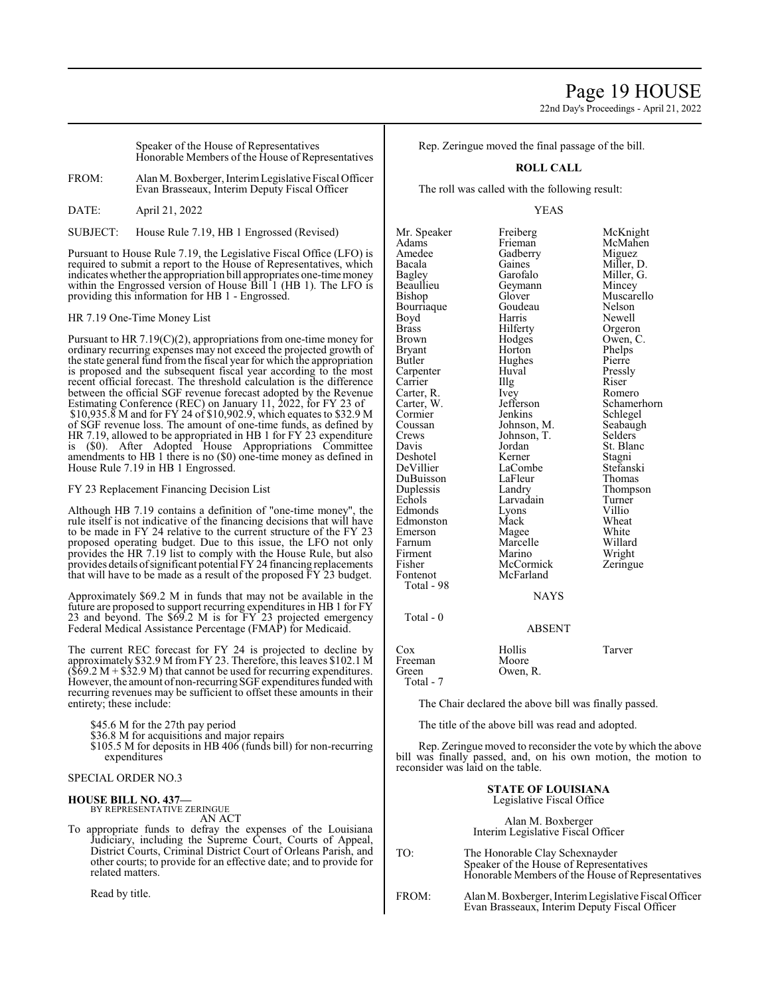22nd Day's Proceedings - April 21, 2022

Speaker of the House of Representatives Honorable Members of the House of Representatives

FROM: Alan M. Boxberger, InterimLegislative Fiscal Officer Evan Brasseaux, Interim Deputy Fiscal Officer

DATE: April 21, 2022

SUBJECT: House Rule 7.19, HB 1 Engrossed (Revised)

Pursuant to House Rule 7.19, the Legislative Fiscal Office (LFO) is required to submit a report to the House of Representatives, which indicates whether the appropriation bill appropriates one-time money within the Engrossed version of House Bill 1 (HB 1). The LFO is providing this information for HB 1 - Engrossed.

HR 7.19 One-Time Money List

Pursuant to HR 7.19(C)(2), appropriations from one-time money for ordinary recurring expenses may not exceed the projected growth of the state general fund fromthe fiscal year for which the appropriation is proposed and the subsequent fiscal year according to the most recent official forecast. The threshold calculation is the difference between the official SGF revenue forecast adopted by the Revenue Estimating Conference (REC) on January 11, 2022, for FY 23 of \$10,935.8 M and for FY 24 of \$10,902.9, which equates to \$32.9 M of SGF revenue loss. The amount of one-time funds, as defined by HR 7.19, allowed to be appropriated in HB 1 for FY 23 expenditure is (\$0). After Adopted House Appropriations Committee amendments to HB 1 there is no (\$0) one-time money as defined in House Rule 7.19 in HB 1 Engrossed.

FY 23 Replacement Financing Decision List

Although HB 7.19 contains a definition of "one-time money", the rule itself is not indicative of the financing decisions that will have to be made in FY 24 relative to the current structure of the FY 23 proposed operating budget. Due to this issue, the LFO not only provides the HR 7.19 list to comply with the House Rule, but also provides details ofsignificant potential FY 24 financing replacements that will have to be made as a result of the proposed FY 23 budget.

Approximately \$69.2 M in funds that may not be available in the future are proposed to support recurring expenditures in HB 1 for FY 23 and beyond. The \$69.2 M is for FY 23 projected emergency Federal Medical Assistance Percentage (FMAP) for Medicaid.

The current REC forecast for FY 24 is projected to decline by approximately \$32.9 M fromFY 23. Therefore, this leaves \$102.1 M  $(\$69.2 M + \$32.9 M)$  that cannot be used for recurring expenditures. However, the amount of non-recurring SGF expenditures funded with recurring revenues may be sufficient to offset these amounts in their entirety; these include:

\$45.6 M for the 27th pay period

\$36.8 M for acquisitions and major repairs

\$105.5 M for deposits in HB 406 (funds bill) for non-recurring expenditures

# SPECIAL ORDER NO.3

#### **HOUSE BILL NO. 437—** BY REPRESENTATIVE ZERINGUE

AN ACT

To appropriate funds to defray the expenses of the Louisiana Judiciary, including the Supreme Court, Courts of Appeal, District Courts, Criminal District Court of Orleans Parish, and other courts; to provide for an effective date; and to provide for related matters.

Read by title.

Rep. Zeringue moved the final passage of the bill.

# **ROLL CALL**

The roll was called with the following result:

#### YEAS

Mr. Speaker Freiberg McKnight<br>
Adams Frieman McMahen Adams Frieman McMahen Amedee Gadberry<br>Bacala Gaines Bacala Gaines Miller, D.<br>Bagley Garofalo Miller, G. Beaullieu Geymann Geymann Glover Bourriaque Goude<br>Boyd Harris Boyd Harris Newell<br>Brass Hilferty Orgeron Brass Hilferty Orgeron Brown Hodges Owen, C.<br>Brvant Horton Phelps Bryant Horton Phelps Carpenter Huval Pressl<br>Carrier Hulg Riser Carrier Illg Riser<br>
Carter R. Ivev Romero Carter, R. Ivey<br>Carter, W. Jefferson Carter, W. Jefferson Schamerhorn Cormier Jenkins Schlegel<br>Coussan Johnson, M. Seabaugh Coussan Johnson, M. Seabaugh<br>Crews Johnson, T. Selders Crews Johnson, T.<br>Davis Jordan Deshotel Kerner Stagni DuBuisson LaFleu<br>
Duplessis Landry Duplessis Landry Thompson<br>
Echols Larvadain Turner Edmonds Lyons Villio Edmonston Mack Wheat<br>Emerson Magee White Farnum Marcelle Willard<br>Firment Marino Wright Firment Marino Wright<br>
Fisher McCormick Zeringue Fisher McCormick<br>Fontenot McFarland Total - 98

McFarland

Garofalo Miller, G.<br>Geymann Mincey Glover Muscarello<br>Goudeau Nelson Hughes Pierre<br>Huval Pressly Jordan St. Blanc<br>Kerner Stagni LaCombe<br>LaFleur Thomas Larvadain Turner<br>
Lyons Villio Magee White<br>
Marcelle Willard

## NAYS

Total - 0

# ABSENT

Cox Hollis Tarver Freeman<br>Green Total - 7

The Chair declared the above bill was finally passed.

The title of the above bill was read and adopted.

Owen, R.

Rep. Zeringue moved to reconsider the vote by which the above bill was finally passed, and, on his own motion, the motion to reconsider was laid on the table.

### **STATE OF LOUISIANA** Legislative Fiscal Office

Alan M. Boxberger Interim Legislative Fiscal Officer

| TO: | The Honorable Clay Schexnayder<br>Speaker of the House of Representatives<br>Honorable Members of the House of Representatives |
|-----|--------------------------------------------------------------------------------------------------------------------------------|
|     |                                                                                                                                |

FROM: AlanM. Boxberger, InterimLegislative Fiscal Officer Evan Brasseaux, Interim Deputy Fiscal Officer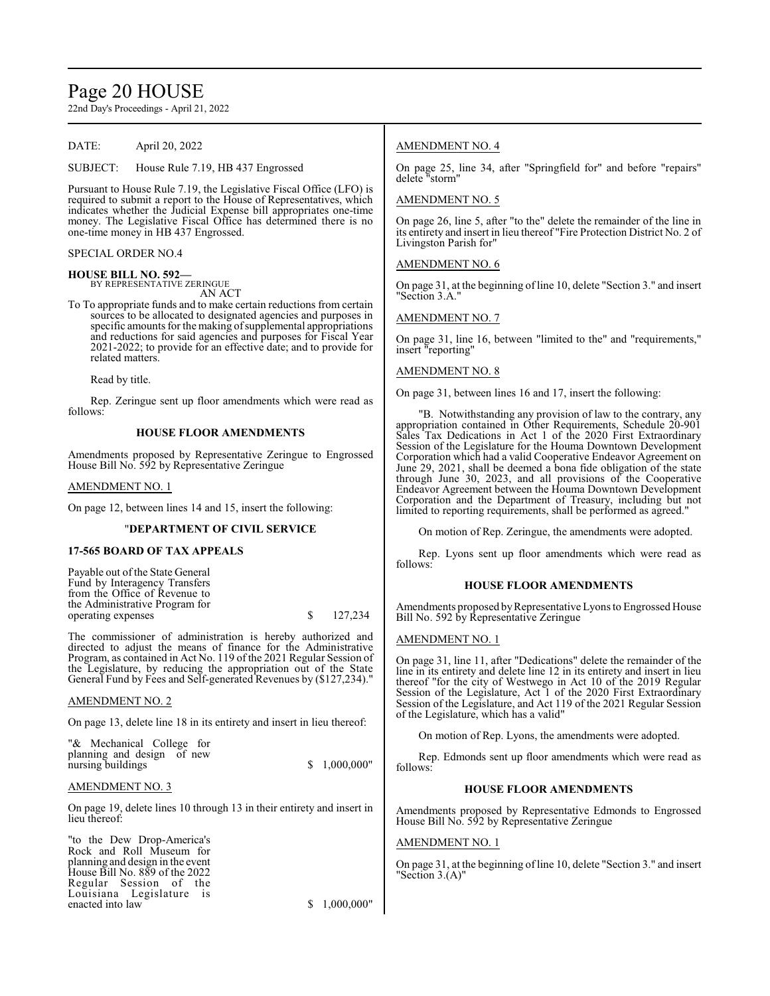# Page 20 HOUSE

22nd Day's Proceedings - April 21, 2022

DATE: April 20, 2022

SUBJECT: House Rule 7.19, HB 437 Engrossed

Pursuant to House Rule 7.19, the Legislative Fiscal Office (LFO) is required to submit a report to the House of Representatives, which indicates whether the Judicial Expense bill appropriates one-time money. The Legislative Fiscal Office has determined there is no one-time money in HB 437 Engrossed.

#### SPECIAL ORDER NO.4

**HOUSE BILL NO. 592—** BY REPRESENTATIVE ZERINGUE

AN ACT

To To appropriate funds and to make certain reductions from certain sources to be allocated to designated agencies and purposes in specific amounts for the making of supplemental appropriations and reductions for said agencies and purposes for Fiscal Year 2021-2022; to provide for an effective date; and to provide for related matters.

Read by title.

Rep. Zeringue sent up floor amendments which were read as follows:

#### **HOUSE FLOOR AMENDMENTS**

Amendments proposed by Representative Zeringue to Engrossed House Bill No. 592 by Representative Zeringue

#### AMENDMENT NO. 1

On page 12, between lines 14 and 15, insert the following:

#### "**DEPARTMENT OF CIVIL SERVICE**

#### **17-565 BOARD OF TAX APPEALS**

Payable out of the State General Fund by Interagency Transfers from the Office of Revenue to the Administrative Program for operating expenses \$ 127,234

The commissioner of administration is hereby authorized and directed to adjust the means of finance for the Administrative Program, as contained in Act No. 119 of the 2021 Regular Session of the Legislature, by reducing the appropriation out of the State General Fund by Fees and Self-generated Revenues by (\$127,234).

#### AMENDMENT NO. 2

On page 13, delete line 18 in its entirety and insert in lieu thereof:

"& Mechanical College for planning and design of new nursing buildings  $$ 1,000,000"$ 

### AMENDMENT NO. 3

On page 19, delete lines 10 through 13 in their entirety and insert in lieu thereof:

"to the Dew Drop-America's Rock and Roll Museum for planning and design in the event House Bill No. 889 of the 2022 Regular Session of the Louisiana Legislature is enacted into law  $$ 1,000,000"$ 

### AMENDMENT NO. 4

On page 25, line 34, after "Springfield for" and before "repairs" delete "storm"

#### AMENDMENT NO. 5

On page 26, line 5, after "to the" delete the remainder of the line in its entirety and insert in lieu thereof "Fire Protection District No. 2 of Livingston Parish for"

AMENDMENT NO. 6

On page 31, at the beginning of line 10, delete "Section 3." and insert "Section 3.A."

#### AMENDMENT NO. 7

On page 31, line 16, between "limited to the" and "requirements," insert "reporting"

#### AMENDMENT NO. 8

On page 31, between lines 16 and 17, insert the following:

"B. Notwithstanding any provision of law to the contrary, any appropriation contained in Other Requirements, Schedule 20-901 Sales Tax Dedications in Act 1 of the 2020 First Extraordinary Session of the Legislature for the Houma Downtown Development Corporation which had a valid Cooperative Endeavor Agreement on June 29, 2021, shall be deemed a bona fide obligation of the state through June 30, 2023, and all provisions of the Cooperative Endeavor Agreement between the Houma Downtown Development Corporation and the Department of Treasury, including but not limited to reporting requirements, shall be performed as agreed."

On motion of Rep. Zeringue, the amendments were adopted.

Rep. Lyons sent up floor amendments which were read as follows:

#### **HOUSE FLOOR AMENDMENTS**

Amendments proposed by Representative Lyons to Engrossed House Bill No. 592 by Representative Zeringue

#### AMENDMENT NO. 1

On page 31, line 11, after "Dedications" delete the remainder of the line in its entirety and delete line 12 in its entirety and insert in lieu thereof "for the city of Westwego in Act 10 of the 2019 Regular Session of the Legislature, Act 1 of the 2020 First Extraordinary Session of the Legislature, and Act 119 of the 2021 Regular Session of the Legislature, which has a valid"

On motion of Rep. Lyons, the amendments were adopted.

Rep. Edmonds sent up floor amendments which were read as follows:

#### **HOUSE FLOOR AMENDMENTS**

Amendments proposed by Representative Edmonds to Engrossed House Bill No. 592 by Representative Zeringue

#### AMENDMENT NO. 1

On page 31, at the beginning of line 10, delete "Section 3." and insert "Section 3.(A)"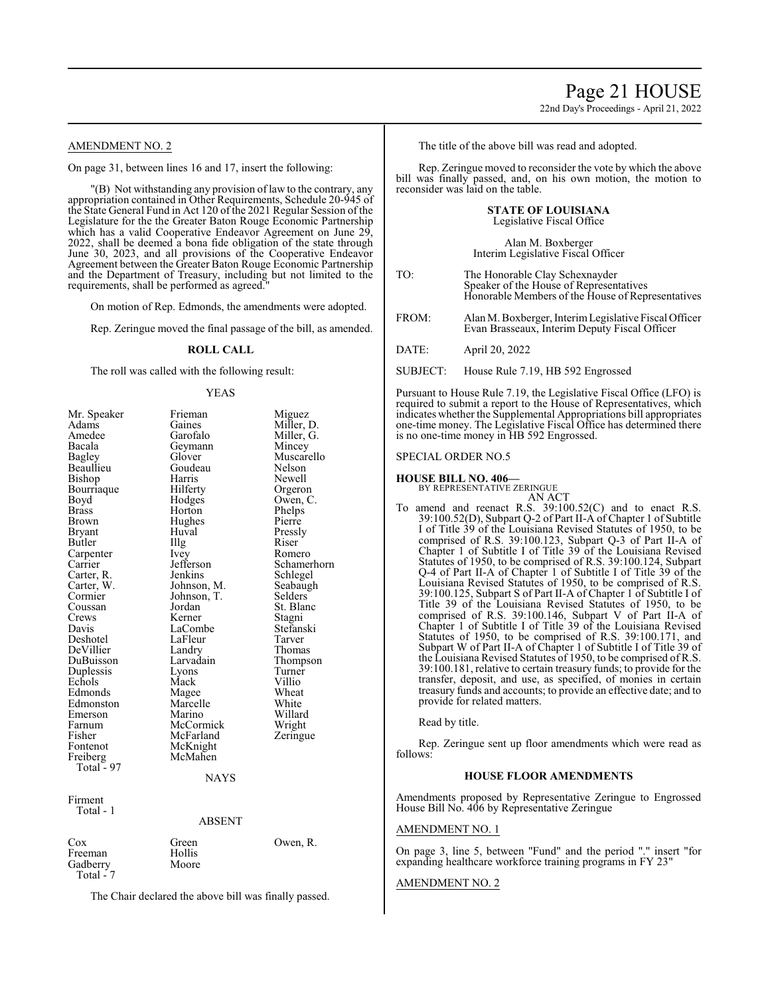22nd Day's Proceedings - April 21, 2022

#### AMENDMENT NO. 2

On page 31, between lines 16 and 17, insert the following:

"(B) Not withstanding any provision of law to the contrary, any appropriation contained in Other Requirements, Schedule 20-945 of the State General Fund in Act 120 of the 2021 Regular Session of the Legislature for the the Greater Baton Rouge Economic Partnership which has a valid Cooperative Endeavor Agreement on June 29 2022, shall be deemed a bona fide obligation of the state through June 30, 2023, and all provisions of the Cooperative Endeavor Agreement between the Greater Baton Rouge Economic Partnership and the Department of Treasury, including but not limited to the requirements, shall be performed as agreed."

On motion of Rep. Edmonds, the amendments were adopted.

Rep. Zeringue moved the final passage of the bill, as amended.

#### **ROLL CALL**

The roll was called with the following result:

#### YEAS

| Mr. Speaker  | Frieman       | Miguez      |
|--------------|---------------|-------------|
| Adams        | Gaines        | Miller, D.  |
| Amedee       | Garofalo      | Miller, G.  |
| Bacala       | Geymann       | Mincey      |
| Bagley       | Glover        | Muscarello  |
| Beaullieu    | Goudeau       | Nelson      |
| Bishop       | Harris        | Newell      |
| Bourriaque   | Hilferty      | Orgeron     |
| Boyd         | Hodges        | Owen, C.    |
| <b>Brass</b> | Horton        | Phelps      |
| Brown        | Hughes        | Pierre      |
| Bryant       | Huval         | Pressly     |
| Butler       | Illg          | Riser       |
| Carpenter    | Ivey          | Romero      |
| Carrier      | Jefferson     | Schamerhorn |
| Carter, R.   | Jenkins       | Schlegel    |
| Carter, W.   | Johnson, M.   | Seabaugh    |
| Cormier      | Johnson, T.   | Selders     |
| Coussan      | Jordan        | St. Blanc   |
| Crews        | Kerner        | Stagni      |
| Davis        | LaCombe       | Stefanski   |
| Deshotel     | LaFleur       | Tarver      |
| DeVillier    | Landry        | Thomas      |
| DuBuisson    | Larvadain     | Thompson    |
| Duplessis    | Lyons         | Turner      |
| Echols       | Mack          | Villio      |
| Edmonds      | Magee         | Wheat       |
| Edmonston    | Marcelle      | White       |
| Emerson      | Marino        | Willard     |
| Farnum       | McCormick     | Wright      |
| Fisher       | McFarland     | Zeringue    |
| Fontenot     | McKnight      |             |
| Freiberg     | McMahen       |             |
| Total - 97   |               |             |
|              | <b>NAYS</b>   |             |
| Firment      |               |             |
| Total - 1    |               |             |
|              | <b>ABSENT</b> |             |
| Cox          | Green         | Owen, R.    |
| Freeman      | Hollis        |             |
| Gadberry     | Moore         |             |
| Total - 7    |               |             |
|              |               |             |

The Chair declared the above bill was finally passed.

The title of the above bill was read and adopted.

Rep. Zeringue moved to reconsider the vote by which the above bill was finally passed, and, on his own motion, the motion to reconsider was laid on the table.

#### **STATE OF LOUISIANA** Legislative Fiscal Office

#### Alan M. Boxberger Interim Legislative Fiscal Officer

- TO: The Honorable Clay Schexnayder Speaker of the House of Representatives Honorable Members of the House of Representatives
- FROM: AlanM. Boxberger, InterimLegislative Fiscal Officer Evan Brasseaux, Interim Deputy Fiscal Officer

DATE: April 20, 2022

SUBJECT: House Rule 7.19, HB 592 Engrossed

Pursuant to House Rule 7.19, the Legislative Fiscal Office (LFO) is required to submit a report to the House of Representatives, which indicates whether the Supplemental Appropriations bill appropriates one-time money. The Legislative Fiscal Office has determined there is no one-time money in HB 592 Engrossed.

#### SPECIAL ORDER NO.5

**HOUSE BILL NO. 406—** BY REPRESENTATIVE ZERINGUE

To amend and reenact R.S. 39:100.52(C) and to enact R.S. 39:100.52(D), Subpart Q-2 of Part II-A of Chapter 1 of Subtitle I of Title 39 of the Louisiana Revised Statutes of 1950, to be comprised of R.S. 39:100.123, Subpart Q-3 of Part II-A of Chapter 1 of Subtitle I of Title 39 of the Louisiana Revised Statutes of 1950, to be comprised of R.S. 39:100.124, Subpart Q-4 of Part II-A of Chapter 1 of Subtitle I of Title 39 of the Louisiana Revised Statutes of 1950, to be comprised of R.S. 39:100.125, Subpart S of Part II-A of Chapter 1 of Subtitle I of Title 39 of the Louisiana Revised Statutes of 1950, to be comprised of R.S. 39:100.146, Subpart V of Part II-A of Chapter 1 of Subtitle I of Title 39 of the Louisiana Revised Statutes of 1950, to be comprised of R.S. 39:100.171, and Subpart W of Part II-A of Chapter 1 of Subtitle I of Title 39 of the Louisiana Revised Statutes of 1950, to be comprised of R.S. 39:100.181, relative to certain treasury funds; to provide for the transfer, deposit, and use, as specified, of monies in certain treasury funds and accounts; to provide an effective date; and to provide for related matters.

Read by title.

Rep. Zeringue sent up floor amendments which were read as follows:

#### **HOUSE FLOOR AMENDMENTS**

Amendments proposed by Representative Zeringue to Engrossed House Bill No. 406 by Representative Zeringue

#### AMENDMENT NO. 1

On page 3, line 5, between "Fund" and the period "." insert "for expanding healthcare workforce training programs in FY 23"

#### AMENDMENT NO. 2

AN ACT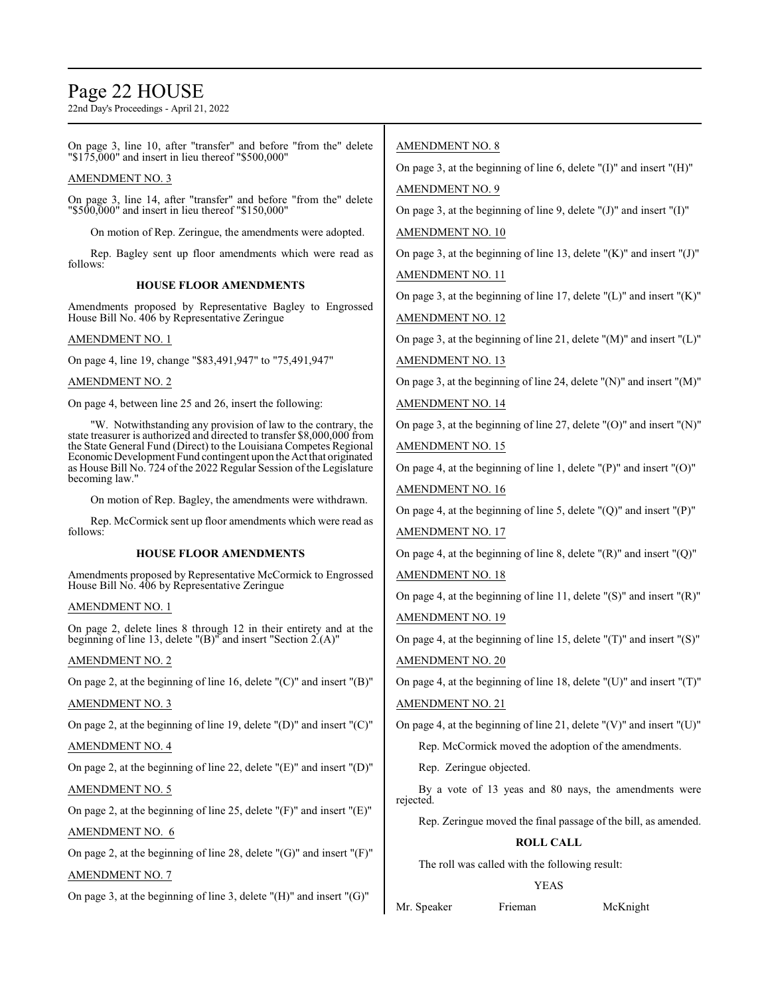# Page 22 HOUSE

22nd Day's Proceedings - April 21, 2022

On page 3, line 10, after "transfer" and before "from the" delete "\$175,000" and insert in lieu thereof "\$500,000"

#### AMENDMENT NO. 3

On page 3, line 14, after "transfer" and before "from the" delete "\$500,000" and insert in lieu thereof "\$150,000"

On motion of Rep. Zeringue, the amendments were adopted.

Rep. Bagley sent up floor amendments which were read as follows:

#### **HOUSE FLOOR AMENDMENTS**

Amendments proposed by Representative Bagley to Engrossed House Bill No. 406 by Representative Zeringue

#### AMENDMENT NO. 1

On page 4, line 19, change "\$83,491,947" to "75,491,947"

#### AMENDMENT NO. 2

On page 4, between line 25 and 26, insert the following:

"W. Notwithstanding any provision of law to the contrary, the state treasurer is authorized and directed to transfer \$8,000,000 from the State General Fund (Direct) to the Louisiana Competes Regional Economic Development Fund contingent upon the Act that originated as House Bill No. 724 of the 2022 Regular Session of the Legislature becoming law."

On motion of Rep. Bagley, the amendments were withdrawn.

Rep. McCormick sent up floor amendments which were read as follows:

#### **HOUSE FLOOR AMENDMENTS**

Amendments proposed by Representative McCormick to Engrossed House Bill No. 406 by Representative Zeringue

#### AMENDMENT NO. 1

On page 2, delete lines 8 through 12 in their entirety and at the beginning of line 13, delete "(B)" and insert "Section 2.(A)"

#### AMENDMENT NO. 2

On page 2, at the beginning of line 16, delete "(C)" and insert "(B)"

### AMENDMENT NO. 3

On page 2, at the beginning of line 19, delete "(D)" and insert "(C)"

#### AMENDMENT NO. 4

On page 2, at the beginning of line 22, delete "(E)" and insert "(D)"

#### AMENDMENT NO. 5

On page 2, at the beginning of line 25, delete "(F)" and insert "(E)"

## AMENDMENT NO. 6

On page 2, at the beginning of line 28, delete "(G)" and insert "(F)"

#### AMENDMENT NO. 7

On page 3, at the beginning of line 3, delete "(H)" and insert "(G)"

### AMENDMENT NO. 8

On page 3, at the beginning of line 6, delete "(I)" and insert "(H)" AMENDMENT NO. 9

On page 3, at the beginning of line 9, delete " $(J)$ " and insert " $(I)$ "

#### AMENDMENT NO. 10

On page 3, at the beginning of line 13, delete " $(K)$ " and insert " $(J)$ " AMENDMENT NO. 11

On page 3, at the beginning of line 17, delete  $"({\rm L})"$  and insert  $"({\rm K})"$ 

AMENDMENT NO. 12

On page 3, at the beginning of line 21, delete "(M)" and insert "(L)"

AMENDMENT NO. 13

On page 3, at the beginning of line 24, delete "(N)" and insert "(M)"

### AMENDMENT NO. 14

On page 3, at the beginning of line 27, delete "(O)" and insert "(N)"

AMENDMENT NO. 15

On page 4, at the beginning of line 1, delete "(P)" and insert "(O)"

AMENDMENT NO. 16

On page 4, at the beginning of line 5, delete " $(Q)$ " and insert " $(P)$ "

AMENDMENT NO. 17

On page 4, at the beginning of line 8, delete  $!(R)$ " and insert " $(Q)$ "

AMENDMENT NO. 18

On page 4, at the beginning of line 11, delete "(S)" and insert "(R)" AMENDMENT NO. 19

On page 4, at the beginning of line 15, delete "(T)" and insert "(S)" AMENDMENT NO. 20

On page 4, at the beginning of line 18, delete "(U)" and insert "(T)"

#### AMENDMENT NO. 21

On page 4, at the beginning of line 21, delete " $(V)$ " and insert " $(U)$ "

Rep. McCormick moved the adoption of the amendments.

Rep. Zeringue objected.

By a vote of 13 yeas and 80 nays, the amendments were rejected.

Rep. Zeringue moved the final passage of the bill, as amended.

#### **ROLL CALL**

The roll was called with the following result:

#### YEAS

Mr. Speaker Frieman McKnight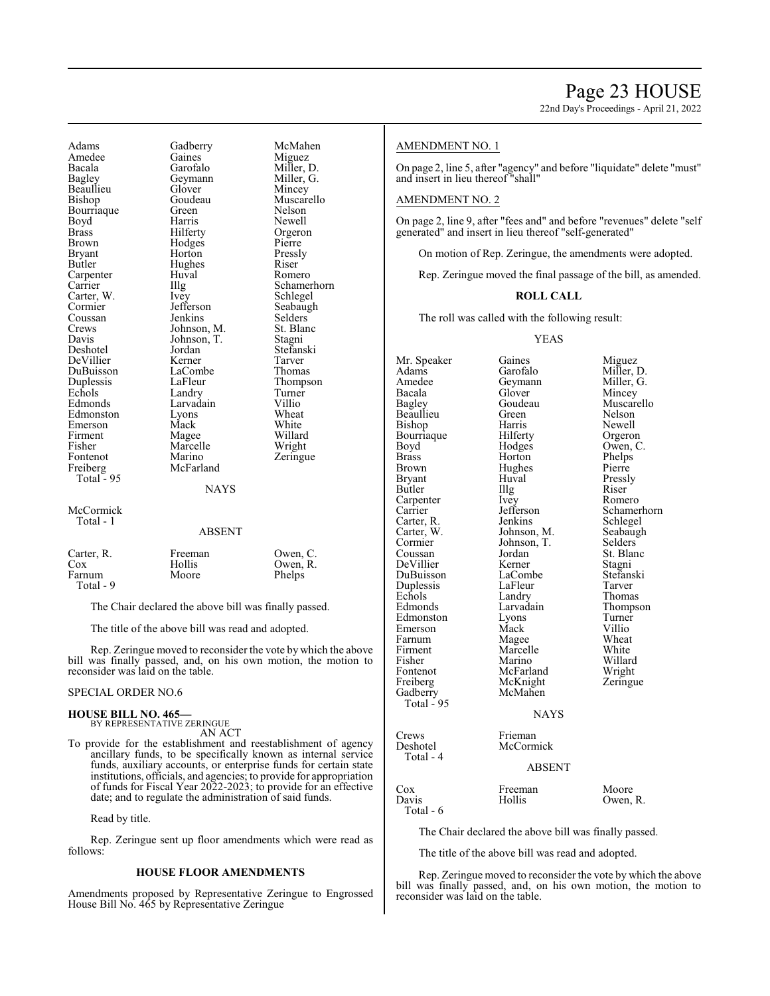22nd Day's Proceedings - April 21, 2022

Adams Gadberry McMahen<br>Amedee Gaines Miguez Amedee Gaines<br>Bacala Garofalo Bacala Garofalo Miller, D. Beaullieu Glover<br>Bishop Goudeau Bourriaque Green Nelson<br>
Boyd Harris Newell Boyd Harris Newell<br>Brass Hilferty Orgero Brass Hilferty Orgeron Brown Hodges<br>Bryant Horton Bryant Horton Pressly<br>Butler Hughes Riser Carpenter Huv<br>Carrier Hllg Carrier Illg Schamerhorn<br>Carter W. Ivev Schlegel Cormier Jefferson Seabaugh<br>
Coussan Jenkins Selders Coussan Jenkins Selders<br>Crews Johnson, M. St. Blanc Crews Johnson, M. St. Blanch<br>Davis Johnson, T. Stagni Davis Johnson, T.<br>Deshotel Jordan DeVillier Kerner Tarver<br>
DuBuisson LaCombe Thomas DuBuisson LaComb<br>
Duplessis LaFleur Duplessis LaFleur Thompson Echols Landry Turner Edmonds Larvadain Villio<br>Edmonston Lyons Wheat Edmonston Lyons Wheat<br>Emerson Mack White Emerson Mack White<br>Firment Magee Willard Firment Magee Willard<br>Fisher Marcelle Wright Fisher Marcelle<br>Fontenot Marino Freiberg McFarland Total - 95 McCormick Total - 1

Geymann Miller, Glover Miller, Hughes Riser<br>Huval Romero Ivey Schlegel<br>Jefferson Seabaugh Jordan Stefanski<br>Kerner Tarver Marino Zeringue<br>McFarland

Muscarello

#### **NAYS**

#### ABSENT

| Carter, R. | Freeman | Owen, C. |
|------------|---------|----------|
| Cox        | Hollis  | Owen, R. |
| Farnum     | Moore   | Phelps   |
| Total - 9  |         |          |

The Chair declared the above bill was finally passed.

The title of the above bill was read and adopted.

Rep. Zeringue moved to reconsider the vote by which the above bill was finally passed, and, on his own motion, the motion to reconsider was laid on the table.

#### SPECIAL ORDER NO.6

#### **HOUSE BILL NO. 465—**

BY REPRESENTATIVE ZERINGUE AN ACT

To provide for the establishment and reestablishment of agency ancillary funds, to be specifically known as internal service funds, auxiliary accounts, or enterprise funds for certain state institutions, officials, and agencies; to provide for appropriation of funds for Fiscal Year 2022-2023; to provide for an effective date; and to regulate the administration of said funds.

Read by title.

Rep. Zeringue sent up floor amendments which were read as follows:

#### **HOUSE FLOOR AMENDMENTS**

Amendments proposed by Representative Zeringue to Engrossed House Bill No. 465 by Representative Zeringue

#### AMENDMENT NO. 1

On page 2, line 5, after "agency" and before "liquidate" delete "must" and insert in lieu thereof "shall"

#### AMENDMENT NO. 2

On page 2, line 9, after "fees and" and before "revenues" delete "self generated" and insert in lieu thereof "self-generated"

On motion of Rep. Zeringue, the amendments were adopted.

Rep. Zeringue moved the final passage of the bill, as amended.

#### **ROLL CALL**

The roll was called with the following result:

#### YEAS

Mr. Speaker Gaines Miguez<br>Adams Garofalo Miller, 1 Adams Garofalo Miller, D.<br>Amedee Geymann Miller, G. Amedee Geymann<br>Bacala Glover Bacala Glover Mincey<br>Bagley Goudeau Muscar Beaullieu Green<br>Bishop Harris Harris Newell<br>
Hilferty Orgeron Bourriaque Hilferty Orgeron<br>Boyd Hodges Owen, C. Boyd Hodges<br>Brass Horton Brass Horton Phelps<br>Brown Hughes Pierre Brown Hughes<br>Bryant Huval Huval Pressly<br>Illg Riser Butler IIIg Riser<br>
Carpenter Ivey Romero Carpenter Ivey<br>Carrier Iefferson Carter, R. Jenkins Schlegel<br>Carter, W. Johnson, M. Seabaugh Johnson, M. Cormier Johnson, T. Selders<br>Coussan Jordan St. Blar Jordan St. Blanc<br>
Kerner Stagni DeVillier Kerner Stagni<br>DuBuisson LaCombe Stefanski DuBuisson LaCombe Stefans<br>Duplessis LaFleur Tarver Duplessis LaFleur<br>Echols Landry Echols Landry Thomas<br>Edmonds Larvadain Thomps Edmonston Lyons Turner<br>
Emerson Mack Villio Emerson Mack Villio<br>
Farnum Magee Wheat Farnum Magee Wheat<br>
Firment Marcelle White Firment Marcelle White<br>
Fisher Marino Willard Fisher Marino Willard Fontenot McFarland<br>Freiberg McKnight McKnight Zeringue<br>McMahen Gadberry Total  $-95$ NAYS Crews Frieman<br>Deshotel McCorn McCormick Total - 4

Goudeau Muscarello<br>Green Nelson Jefferson Schamerhorn<br>Jenkins Schlegel Larvadain Thompson<br>
Lyons Turner

### ABSENT

Cox Freeman Moore<br>Davis Hollis Owen, Owen, R. Total - 6

The Chair declared the above bill was finally passed.

The title of the above bill was read and adopted.

Rep. Zeringue moved to reconsider the vote by which the above bill was finally passed, and, on his own motion, the motion to reconsider was laid on the table.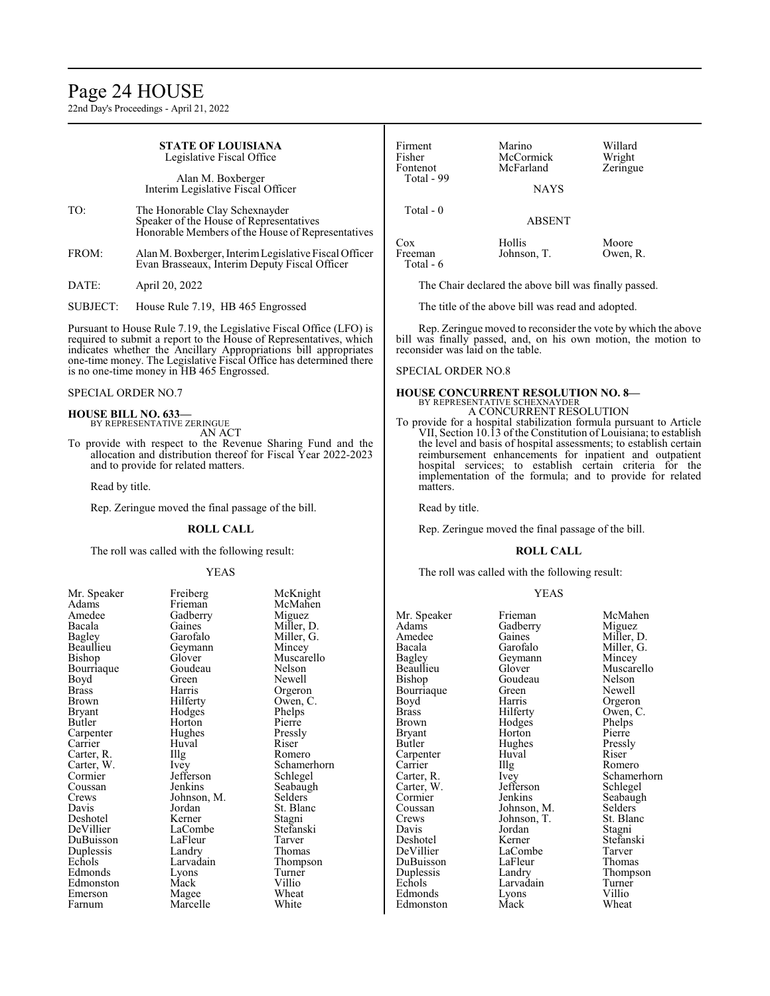# Page 24 HOUSE

22nd Day's Proceedings - April 21, 2022

|                                                                                                                                                                                                                                                                                          | <b>STATE OF LOUISIANA</b><br>Legislative Fiscal Office<br>Alan M. Boxberger<br>Interim Legislative Fiscal Officer |                                                                                                                                                                      | Firment<br>Fisher<br>Fontenot<br>Total - 99                                                           | Marino<br>McCormick<br>McFarland<br><b>NAYS</b>                                                                                                                                                                                                                                                                                                                                                   | Willard<br>Wright<br>Zeringue                                                   |
|------------------------------------------------------------------------------------------------------------------------------------------------------------------------------------------------------------------------------------------------------------------------------------------|-------------------------------------------------------------------------------------------------------------------|----------------------------------------------------------------------------------------------------------------------------------------------------------------------|-------------------------------------------------------------------------------------------------------|---------------------------------------------------------------------------------------------------------------------------------------------------------------------------------------------------------------------------------------------------------------------------------------------------------------------------------------------------------------------------------------------------|---------------------------------------------------------------------------------|
| TO:                                                                                                                                                                                                                                                                                      | The Honorable Clay Schexnayder<br>Speaker of the House of Representatives                                         | Honorable Members of the House of Representatives                                                                                                                    | Total - 0                                                                                             | <b>ABSENT</b>                                                                                                                                                                                                                                                                                                                                                                                     |                                                                                 |
| FROM:                                                                                                                                                                                                                                                                                    | Evan Brasseaux, Interim Deputy Fiscal Officer                                                                     | Alan M. Boxberger, Interim Legislative Fiscal Officer                                                                                                                | Cox<br>Freeman<br>Total - 6                                                                           | Hollis<br>Johnson, T.                                                                                                                                                                                                                                                                                                                                                                             | Moore<br>Owen, R.                                                               |
| DATE:                                                                                                                                                                                                                                                                                    | April 20, 2022                                                                                                    |                                                                                                                                                                      |                                                                                                       | The Chair declared the above bill was finally passed.                                                                                                                                                                                                                                                                                                                                             |                                                                                 |
| <b>SUBJECT:</b>                                                                                                                                                                                                                                                                          | House Rule 7.19, HB 465 Engrossed                                                                                 |                                                                                                                                                                      |                                                                                                       | The title of the above bill was read and adopted.                                                                                                                                                                                                                                                                                                                                                 |                                                                                 |
| Pursuant to House Rule 7.19, the Legislative Fiscal Office (LFO) is<br>required to submit a report to the House of Representatives, which<br>indicates whether the Ancillary Appropriations bill appropriates<br>one-time money. The Legislative Fiscal Office has determined there      |                                                                                                                   | Rep. Zeringue moved to reconsider the vote by which the above<br>bill was finally passed, and, on his own motion, the motion to<br>reconsider was laid on the table. |                                                                                                       |                                                                                                                                                                                                                                                                                                                                                                                                   |                                                                                 |
| is no one-time money in HB 465 Engrossed.                                                                                                                                                                                                                                                |                                                                                                                   | <b>SPECIAL ORDER NO.8</b>                                                                                                                                            |                                                                                                       |                                                                                                                                                                                                                                                                                                                                                                                                   |                                                                                 |
| <b>SPECIAL ORDER NO.7</b><br><b>HOUSE BILL NO. 633-</b><br>BY REPRESENTATIVE ZERINGUE<br>AN ACT<br>To provide with respect to the Revenue Sharing Fund and the<br>allocation and distribution thereof for Fiscal Year 2022-2023<br>and to provide for related matters.<br>Read by title. |                                                                                                                   | matters.                                                                                                                                                             | <b>HOUSE CONCURRENT RESOLUTION NO. 8-</b><br>BY REPRESENTATIVE SCHEXNAYDER<br>A CONCURRENT RESOLUTION | To provide for a hospital stabilization formula pursuant to Article<br>VII, Section 10.13 of the Constitution of Louisiana; to establish<br>the level and basis of hospital assessments; to establish certain<br>reimbursement enhancements for inpatient and outpatient<br>hospital services; to establish certain criteria for the<br>implementation of the formula; and to provide for related |                                                                                 |
| Rep. Zeringue moved the final passage of the bill.                                                                                                                                                                                                                                       |                                                                                                                   | Read by title.                                                                                                                                                       |                                                                                                       |                                                                                                                                                                                                                                                                                                                                                                                                   |                                                                                 |
| <b>ROLL CALL</b>                                                                                                                                                                                                                                                                         |                                                                                                                   | Rep. Zeringue moved the final passage of the bill.                                                                                                                   |                                                                                                       |                                                                                                                                                                                                                                                                                                                                                                                                   |                                                                                 |
|                                                                                                                                                                                                                                                                                          | The roll was called with the following result:                                                                    |                                                                                                                                                                      | <b>ROLL CALL</b>                                                                                      |                                                                                                                                                                                                                                                                                                                                                                                                   |                                                                                 |
| <b>YEAS</b>                                                                                                                                                                                                                                                                              |                                                                                                                   | The roll was called with the following result:                                                                                                                       |                                                                                                       |                                                                                                                                                                                                                                                                                                                                                                                                   |                                                                                 |
| Mr. Speaker<br>Adams<br>Amedee<br>Bacala<br>Bagley<br>Beaullieu<br>Bishop<br>Bourriaque<br>Boyd                                                                                                                                                                                          | Freiberg<br>Frieman<br>Gadberry<br>Gaines<br>Garofalo<br>Geymann<br>Glover<br>Goudeau<br>Green                    | McKnight<br>McMahen<br>Miguez<br>Miller, D.<br>Miller, G.<br>Mincey<br>Muscarello<br>Nelson<br>Newell                                                                | Mr. Speaker<br>Adams<br>Amedee<br>Bacala<br>Bagley<br>Beaullieu<br><b>Bishop</b>                      | <b>YEAS</b><br>Frieman<br>Gadberry<br>Gaines<br>Garofalo<br>Geymann<br>Glover<br>Goudeau                                                                                                                                                                                                                                                                                                          | McMahen<br>Miguez<br>Miller, D.<br>Miller, G.<br>Mincey<br>Muscarello<br>Nelson |

Goudeau Nelson<br>Green Newell

Hughes Pressl<br>Huval Riser

Larvadain Turner<br>Lyons Villio

Boyd Harris Orgeron<br>Brass Hilferty Owen, C Brass Hilferty Owen, C.<br>Brown Hodges Phelps Brown Hodges Phelps<br>Bryant Horton Pierre Bryant Horton Pierre<br>Butler Hughes Pressly

Carpenter Huval Riser Carrier Huval Riser Romero

Cormier Jenkins Seabaugh<br>Coussan Johnson, M. Selders Coussan Johnson, M. Selders Crews Johnson, T. St. Blanc Crews Johnson, T. St. Blanch<br>Davis Jordan Stagni

Deshotel Kerner Stefanski DeVillier LaCombe Tarver DuBuisson LaFleur Thomas Duplessis Landry Thompson<br>
Echols Larvadain Turner

Edmonds Lyons Villio

Carter, R. Ivey Schamerhorn<br>
Carter, W. Jefferson Schlegel

Bourriaque Green<br>Boyd Harris

Carter, R. Vey<br>Carter, W. Jefferson<br>Cormier Jenkins

Davis Jordan<br>Deshotel Kerner

Carrier<br>Carter, R.

Edmonston

Bourriaque Goudeau Nelson<br>Boyd Green Newell Boyd Green Newell<br>Brass Harris Orgeron Brass Harris Orgeron<br>Brown Hilferty Owen, C Brown Hilferty Owen, C.<br>Bryant Hodges Phelps Bryant Hodges Phelps<br>Butler Horton Pierre Carpenter Hughes Pressl<br>Carrier Huval Riser Carrier Huval Riser<br>Carter, R. Illg Romero Carter, R. Illg<br>Carter, W. Ivey Cormier Jefferson<br>Coussan Jenkins Coussan Jenkins Seabaugh<br>Crews Johnson, M. Selders Crews Johnson, M.<br>Davis Jordan Deshotel Kerner Stagni<br>
DeVillier LaCombe Stefanski DuBuisson LaFleur Tarver Edmonds Lyons Turner Edmonston Mack Villio<br>Emerson Magee Wheat

Horton Pierre<br>Hughes Pressly Jordan St. Blanc<br>Kerner Stagni LaCombe<br>LaFleur Tarver Duplessis Landry Thomas Echols Larvadain Thompson Emerson Magee Wheat<br>
Farnum Marcelle White Marcelle

Carter, W. Ivey Schamerhorn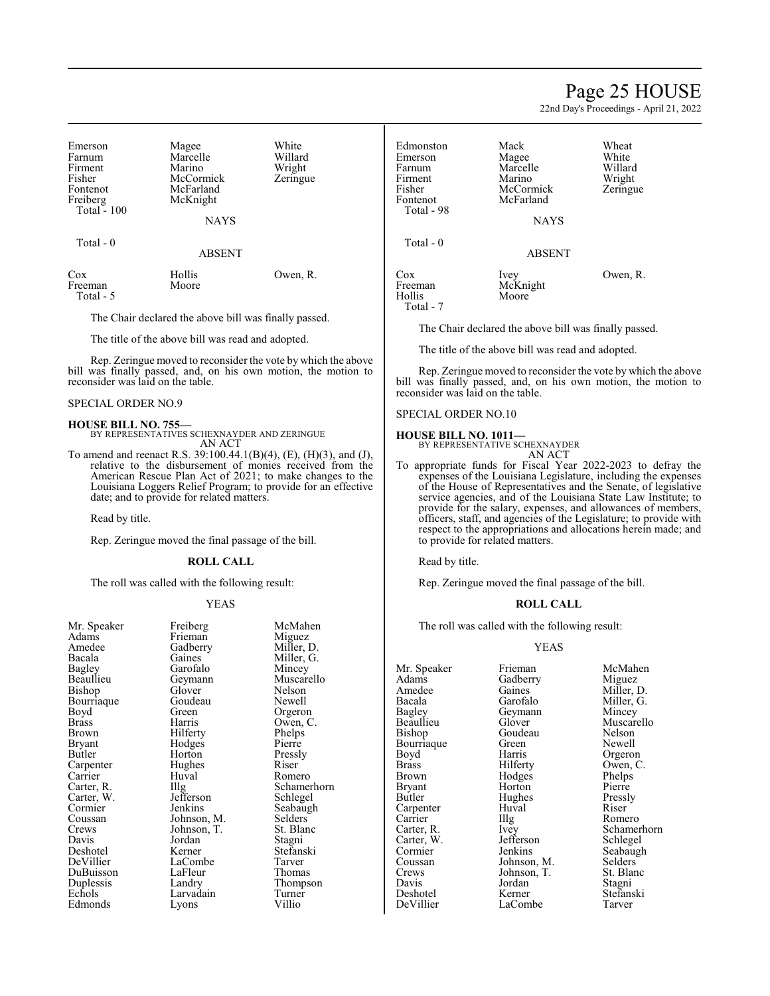# Page 25 HOUSE

22nd Day's Proceedings - April 21, 2022

| Emerson<br>Farnum<br>Firment<br>Fisher<br>Fontenot<br>Freiberg<br>Total $-100$ | Magee<br>Marcelle<br>Marino<br>McCormick<br>McFarland<br>McKnight<br><b>NAYS</b> | White<br>Willard<br>Wright<br>Zeringue |
|--------------------------------------------------------------------------------|----------------------------------------------------------------------------------|----------------------------------------|
| Total $-0$                                                                     | <b>ABSENT</b>                                                                    |                                        |

| Cox       | Hollis | Owen, R. |
|-----------|--------|----------|
| Freeman   | Moore  |          |
| Total - 5 |        |          |

The Chair declared the above bill was finally passed.

The title of the above bill was read and adopted.

Rep. Zeringue moved to reconsider the vote by which the above bill was finally passed, and, on his own motion, the motion to reconsider was laid on the table.

#### SPECIAL ORDER NO.9

#### **HOUSE BILL NO. 755—**

BY REPRESENTATIVES SCHEXNAYDER AND ZERINGUE AN ACT

To amend and reenact R.S. 39:100.44.1(B)(4), (E), (H)(3), and (J), relative to the disbursement of monies received from the American Rescue Plan Act of 2021; to make changes to the Louisiana Loggers Relief Program; to provide for an effective date; and to provide for related matters.

Read by title.

Rep. Zeringue moved the final passage of the bill.

#### **ROLL CALL**

The roll was called with the following result:

#### YEAS

| Mr. Speaker | Freiberg    | McMahen    |
|-------------|-------------|------------|
| Adams       | Frieman     | Miguez     |
| Amedee      | Gadberry    | Miller, D. |
| Bacala      | Gaines      | Miller, G. |
| Bagley      | Garofalo    | Mincey     |
| Beaullieu   | Geymann     | Muscarelle |
| Bishop      | Glover      | Nelson     |
| Bourriaque  | Goudeau     | Newell     |
| Boyd        | Green       | Orgeron    |
| Brass       | Harris      | Owen, C.   |
| Brown       | Hilferty    | Phelps     |
| Bryant      | Hodges      | Pierre     |
| Butler      | Horton      | Pressly    |
| Carpenter   | Hughes      | Riser      |
| Carrier     | Huval       | Romero     |
| Carter, R.  | Illg        | Schamerho  |
| Carter, W.  | Jefferson   | Schlegel   |
| Cormier     | Jenkins     | Seabaugh   |
| Coussan     | Johnson, M. | Selders    |
| Crews       | Johnson, T. | St. Blanc  |
| Davis       | Jordan      | Stagni     |
| Deshotel    | Kerner      | Stefanski  |
| DeVillier   | LaCombe     | Tarver     |
| DuBuisson   | LaFleur     | Thomas     |
| Duplessis   | Landry      | Thompson   |
| Echols      | Larvadain   | Turner     |
| Edmonds     | Lyons       | Villio     |
|             |             |            |

Gadberry Miller, D.<br>Gaines Miller, G. Gaines Miller, G.<br>Garofalo Mincey Garofalo Mincey<br>Geymann Muscar Muscarello<br>Nelson Glover Nelson<br>Goudeau Newell Green Orgeron<br>Harris Owen, C Owen, C.<br>Phelps Hilferty<br>Hodges Pierre Pressly<br>Riser Huval Romero<br>Illg Schamer Schamerhorn<br>Schlegel Seabaugh<br>Selders Johnson, M. Selders<br>Johnson, T. St. Blanc Johnson, T. St. Blanch<br>Jordan Stagni Stefanski<br>Tarver LaCombe Tarver<br>
LaFleur Thomas Thompson<br>Turner Larvadain Turner<br>Lyons Villio

| Edmonston<br>Emerson<br>Farnum<br>Firment<br>Fisher<br>Fontenot<br>Total - 98 | Mack<br>Magee<br>Marcelle<br>Marino<br>McCormick<br>McFarland<br><b>NAYS</b> | Wheat<br>White<br>Willard<br>Wright<br>Zeringue |
|-------------------------------------------------------------------------------|------------------------------------------------------------------------------|-------------------------------------------------|
| Total $-0$                                                                    | <b>ABSENT</b>                                                                |                                                 |
| Cox<br>Freeman<br>Hollis<br>Total - 7                                         | Ivey<br>McKnight<br>Moore                                                    | Owen, R.                                        |

The Chair declared the above bill was finally passed.

The title of the above bill was read and adopted.

Rep. Zeringue moved to reconsider the vote by which the above bill was finally passed, and, on his own motion, the motion to reconsider was laid on the table.

#### SPECIAL ORDER NO.10

#### **HOUSE BILL NO. 1011—**

BY REPRESENTATIVE SCHEXNAYDER AN ACT

To appropriate funds for Fiscal Year 2022-2023 to defray the expenses of the Louisiana Legislature, including the expenses of the House of Representatives and the Senate, of legislative service agencies, and of the Louisiana State Law Institute; to provide for the salary, expenses, and allowances of members, officers, staff, and agencies of the Legislature; to provide with respect to the appropriations and allocations herein made; and to provide for related matters.

Read by title.

Rep. Zeringue moved the final passage of the bill.

#### **ROLL CALL**

The roll was called with the following result:

#### YEAS

Mr. Speaker Frieman McMahen<br>Adams Gadberry Miguez Adams Gadberry<br>Amedee Gaines Bagley Geymann<br>Beaullieu Glover Bourriaque Green<br>Boyd Harris Carpenter Huv<br>Carrier Hllg Carter, W. Jefferson<br>Cormier Jenkins DeVillier

Goudeau Nelson<br>Green Newell Boyd Harris Orgeron<br>Brass Hilferty Owen, C Brass Hilferty Owen, C.<br>Brown Hodges Phelps Brown Hodges Phelps<br>Bryant Horton Pierre Bryant Horton Pierre<br>Butler Hughes Pressly Hughes Pressl<br>Huval Riser Carrier IIIg Romero<br>Carter, R. Ivey Schamer Cormier Jenkins Seabaugh<br>Coussan Johnson M. Selders Coussan Johnson, M. Selders<br>Crews Johnson, T. St. Blanc Crews Johnson, T. St. Blanch<br>Davis Jordan Stagni Deshotel Kerner Stefans<br>DeVillier LaCombe Tarver

Amedee Gaines Miller, D.<br>Bacala Garofalo Miller, G. Bacala Garofalo Miller, G.<br>Bagley Geymann Mincey Beaullieu Glover Muscarello Ivey Schamerhorn<br>Jefferson Schlegel Jordan Stagni<br>Kerner Stefanski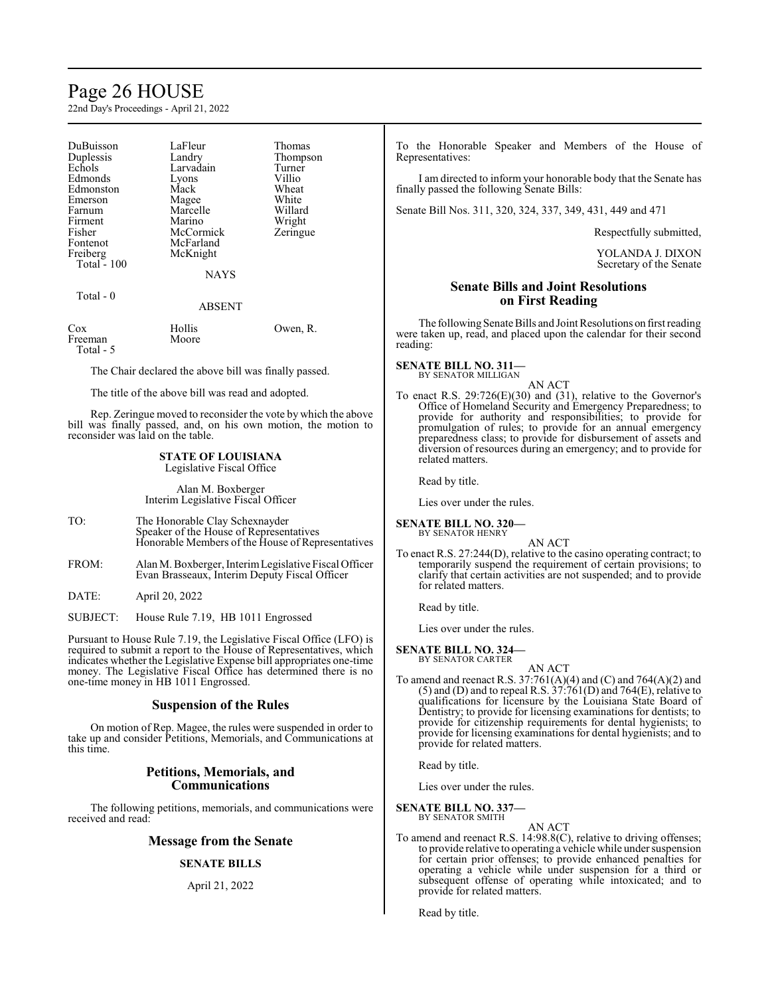# Page 26 HOUSE

22nd Day's Proceedings - April 21, 2022

| DuBuisson<br>Duplessis<br>Echols<br>Edmonds<br>Edmonston<br>Emerson<br>Farnum<br>Firment<br>Fisher<br>Fontenot<br>Freiberg<br>Total - $100$<br>Total - 0 | LaFleur<br>Landry<br>Larvadain<br>Lyons<br>Mack<br>Magee<br>Marcelle<br>Marino<br>McCormick<br>McFarland<br>McKnight<br><b>NAYS</b> | Thomas<br>Thompson<br>Turner<br>Villio<br>Wheat<br>White<br>Willard<br>Wright<br>Zeringue |
|----------------------------------------------------------------------------------------------------------------------------------------------------------|-------------------------------------------------------------------------------------------------------------------------------------|-------------------------------------------------------------------------------------------|
|                                                                                                                                                          | <b>ABSENT</b>                                                                                                                       |                                                                                           |
| Cox<br>Freeman<br>Total - 5                                                                                                                              | Hollis<br>Moore                                                                                                                     | Owen, R.                                                                                  |
|                                                                                                                                                          |                                                                                                                                     |                                                                                           |

The Chair declared the above bill was finally passed.

The title of the above bill was read and adopted.

Rep. Zeringue moved to reconsider the vote by which the above bill was finally passed, and, on his own motion, the motion to reconsider was laid on the table.

#### **STATE OF LOUISIANA** Legislative Fiscal Office

Alan M. Boxberger Interim Legislative Fiscal Officer

- TO: The Honorable Clay Schexnayder Speaker of the House of Representatives Honorable Members of the House of Representatives
- FROM: Alan M. Boxberger, InterimLegislative Fiscal Officer Evan Brasseaux, Interim Deputy Fiscal Officer
- DATE: April 20, 2022
- SUBJECT: House Rule 7.19, HB 1011 Engrossed

Pursuant to House Rule 7.19, the Legislative Fiscal Office (LFO) is required to submit a report to the House of Representatives, which indicates whether the Legislative Expense bill appropriates one-time money. The Legislative Fiscal Office has determined there is no one-time money in HB 1011 Engrossed.

#### **Suspension of the Rules**

On motion of Rep. Magee, the rules were suspended in order to take up and consider Petitions, Memorials, and Communications at this time.

## **Petitions, Memorials, and Communications**

The following petitions, memorials, and communications were received and read:

### **Message from the Senate**

## **SENATE BILLS**

#### April 21, 2022

To the Honorable Speaker and Members of the House of Representatives:

I am directed to inform your honorable body that the Senate has finally passed the following Senate Bills:

Senate Bill Nos. 311, 320, 324, 337, 349, 431, 449 and 471

Respectfully submitted,

YOLANDA J. DIXON Secretary of the Senate

## **Senate Bills and Joint Resolutions on First Reading**

The following Senate Bills and Joint Resolutions on first reading were taken up, read, and placed upon the calendar for their second reading:

# **SENATE BILL NO. 311—** BY SENATOR MILLIGAN

AN ACT

To enact R.S. 29:726(E)(30) and (31), relative to the Governor's Office of Homeland Security and Emergency Preparedness; to provide for authority and responsibilities; to provide for promulgation of rules; to provide for an annual emergency preparedness class; to provide for disbursement of assets and diversion of resources during an emergency; and to provide for related matters.

Read by title.

Lies over under the rules.

**SENATE BILL NO. 320—** BY SENATOR HENRY

AN ACT

To enact R.S. 27:244(D), relative to the casino operating contract; to temporarily suspend the requirement of certain provisions; to clarify that certain activities are not suspended; and to provide for related matters.

Read by title.

Lies over under the rules.

#### **SENATE BILL NO. 324—** BY SENATOR CARTER

AN ACT

To amend and reenact R.S. 37:761(A)(4) and (C) and 764(A)(2) and  $(5)$  and  $(D)$  and to repeal R.S.  $37:761(D)$  and  $764(E)$ , relative to qualifications for licensure by the Louisiana State Board of Dentistry; to provide for licensing examinations for dentists; to provide for citizenship requirements for dental hygienists; to provide for licensing examinations for dental hygienists; and to provide for related matters.

Read by title.

Lies over under the rules.

**SENATE BILL NO. 337—** BY SENATOR SMITH

AN ACT

To amend and reenact R.S. 14:98.8(C), relative to driving offenses; to provide relative to operating a vehicle while under suspension for certain prior offenses; to provide enhanced penalties for operating a vehicle while under suspension for a third or subsequent offense of operating while intoxicated; and to provide for related matters.

Read by title.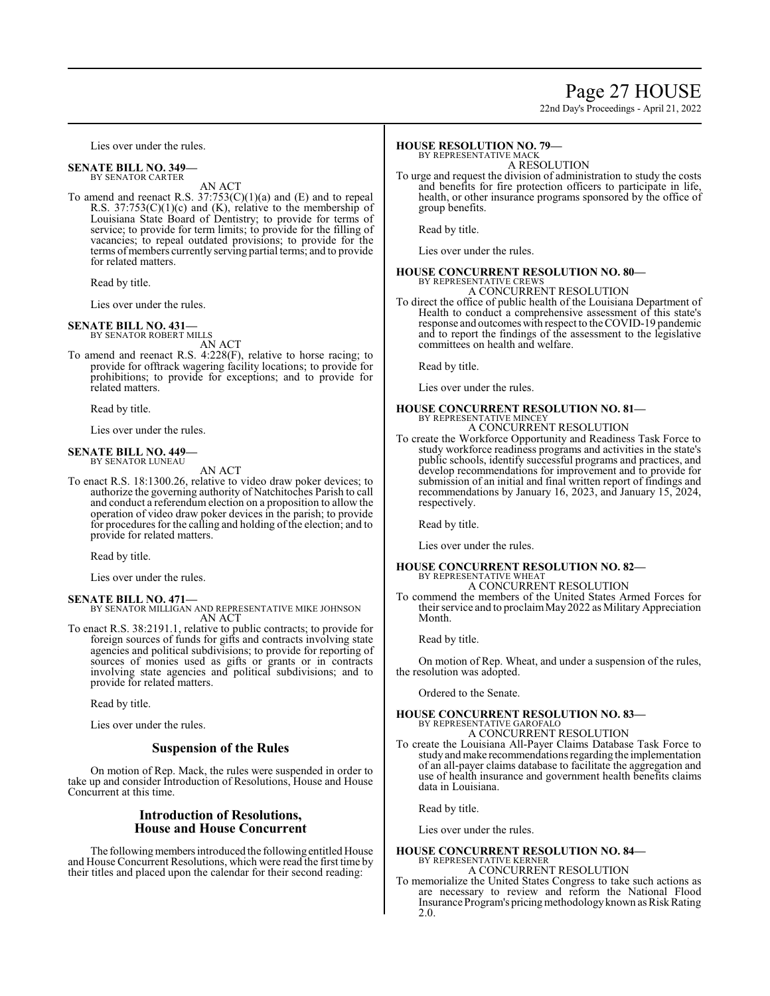# Page 27 HOUSE

22nd Day's Proceedings - April 21, 2022

Lies over under the rules.

#### **SENATE BILL NO. 349—** BY SENATOR CARTER

AN ACT

To amend and reenact R.S.  $37:753(C)(1)(a)$  and  $(E)$  and to repeal R.S.  $37:753(C)(1)(c)$  and (K), relative to the membership of Louisiana State Board of Dentistry; to provide for terms of service; to provide for term limits; to provide for the filling of vacancies; to repeal outdated provisions; to provide for the terms ofmembers currently serving partial terms; and to provide for related matters.

Read by title.

Lies over under the rules.

### **SENATE BILL NO. 431—**

BY SENATOR ROBERT MILLS AN ACT

To amend and reenact R.S. 4:228(F), relative to horse racing; to provide for offtrack wagering facility locations; to provide for prohibitions; to provide for exceptions; and to provide for related matters.

Read by title.

Lies over under the rules.

#### **SENATE BILL NO. 449—** BY SENATOR LUNEAU

AN ACT

To enact R.S. 18:1300.26, relative to video draw poker devices; to authorize the governing authority of Natchitoches Parish to call and conduct a referendum election on a proposition to allow the operation of video draw poker devices in the parish; to provide for procedures for the calling and holding of the election; and to provide for related matters.

Read by title.

Lies over under the rules.

**SENATE BILL NO. 471—** BY SENATOR MILLIGAN AND REPRESENTATIVE MIKE JOHNSON AN ACT

To enact R.S. 38:2191.1, relative to public contracts; to provide for foreign sources of funds for gifts and contracts involving state agencies and political subdivisions; to provide for reporting of sources of monies used as gifts or grants or in contracts involving state agencies and political subdivisions; and to provide for related matters.

Read by title.

Lies over under the rules.

### **Suspension of the Rules**

On motion of Rep. Mack, the rules were suspended in order to take up and consider Introduction of Resolutions, House and House Concurrent at this time.

## **Introduction of Resolutions, House and House Concurrent**

The following members introduced the following entitled House and House Concurrent Resolutions, which were read the first time by their titles and placed upon the calendar for their second reading:

#### **HOUSE RESOLUTION NO. 79—**

BY REPRESENTATIVE MACK A RESOLUTION

To urge and request the division of administration to study the costs and benefits for fire protection officers to participate in life, health, or other insurance programs sponsored by the office of group benefits.

Read by title.

Lies over under the rules.

# **HOUSE CONCURRENT RESOLUTION NO. 80—**

BY REPRESENTATIVE CREWS A CONCURRENT RESOLUTION

To direct the office of public health of the Louisiana Department of Health to conduct a comprehensive assessment of this state's response and outcomes with respect to the COVID-19 pandemic and to report the findings of the assessment to the legislative committees on health and welfare.

Read by title.

Lies over under the rules.

# **HOUSE CONCURRENT RESOLUTION NO. 81—** BY REPRESENTATIVE MINCEY

A CONCURRENT RESOLUTION

To create the Workforce Opportunity and Readiness Task Force to study workforce readiness programs and activities in the state's public schools, identify successful programs and practices, and develop recommendations for improvement and to provide for submission of an initial and final written report of findings and recommendations by January 16, 2023, and January 15, 2024, respectively.

Read by title.

Lies over under the rules.

#### **HOUSE CONCURRENT RESOLUTION NO. 82—** BY REPRESENTATIVE WHEAT A CONCURRENT RESOLUTION

To commend the members of the United States Armed Forces for their service and to proclaim May 2022 as Military Appreciation Month.

Read by title.

On motion of Rep. Wheat, and under a suspension of the rules, the resolution was adopted.

Ordered to the Senate.

# **HOUSE CONCURRENT RESOLUTION NO. 83—** BY REPRESENTATIVE GAROFALO

A CONCURRENT RESOLUTION

To create the Louisiana All-Payer Claims Database Task Force to study and make recommendations regarding the implementation of an all-payer claims database to facilitate the aggregation and use of health insurance and government health benefits claims data in Louisiana.

Read by title.

Lies over under the rules.

#### **HOUSE CONCURRENT RESOLUTION NO. 84—** BY REPRESENTATIVE KERNER

A CONCURRENT RESOLUTION

To memorialize the United States Congress to take such actions as are necessary to review and reform the National Flood Insurance Program's pricing methodology known as Risk Rating 2.0.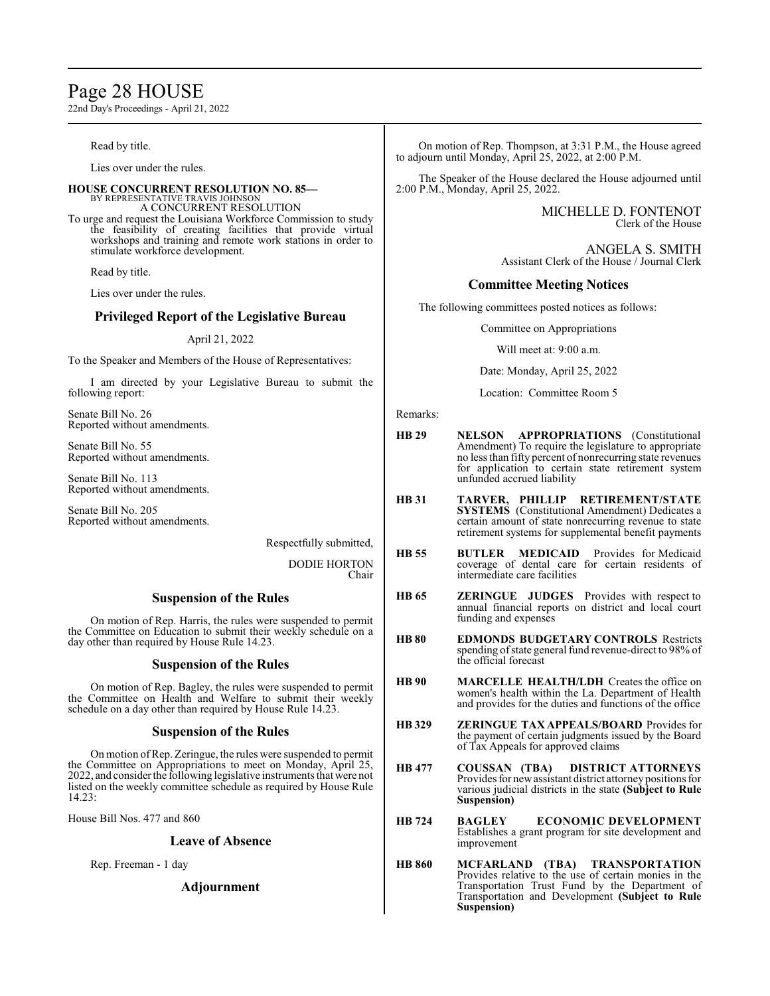# Page 28 HOUSE

22nd Day's Proceedings - April 21, 2022

Read by title.

Lies over under the rules.

#### **HOUSE CONCURRENT RESOLUTION NO. 85—**

BY REPRESENTATIVE TRAVIS JOHNSON A CONCURRENT RESOLUTION

To urge and request the Louisiana Workforce Commission to study the feasibility of creating facilities that provide virtual workshops and training and remote work stations in order to stimulate workforce development.

Read by title.

Lies over under the rules.

# **Privileged Report of the Legislative Bureau**

#### April 21, 2022

To the Speaker and Members of the House of Representatives:

I am directed by your Legislative Bureau to submit the following report:

Senate Bill No. 26 Reported without amendments.

Senate Bill No. 55 Reported without amendments.

Senate Bill No. 113 Reported without amendments.

Senate Bill No. 205 Reported without amendments.

Respectfully submitted,

DODIE HORTON Chair

# **Suspension of the Rules**

On motion of Rep. Harris, the rules were suspended to permit the Committee on Education to submit their weekly schedule on a day other than required by House Rule 14.23.

### **Suspension of the Rules**

On motion of Rep. Bagley, the rules were suspended to permit the Committee on Health and Welfare to submit their weekly schedule on a day other than required by House Rule 14.23.

### **Suspension of the Rules**

On motion ofRep. Zeringue, the rules were suspended to permit the Committee on Appropriations to meet on Monday, April 25, 2022, and considerthe following legislative instruments that were not listed on the weekly committee schedule as required by House Rule 14.23:

House Bill Nos. 477 and 860

### **Leave of Absence**

Rep. Freeman - 1 day

### **Adjournment**

On motion of Rep. Thompson, at 3:31 P.M., the House agreed to adjourn until Monday, April 25, 2022, at 2:00 P.M.

The Speaker of the House declared the House adjourned until 2:00 P.M., Monday, April 25, 2022.

> MICHELLE D. FONTENOT Clerk of the House

ANGELA S. SMITH Assistant Clerk of the House / Journal Clerk

# **Committee Meeting Notices**

The following committees posted notices as follows:

Committee on Appropriations

Will meet at: 9:00 a.m.

Date: Monday, April 25, 2022

Location: Committee Room 5

Remarks:

- **HB 29 NELSON APPROPRIATIONS** (Constitutional Amendment) To require the legislature to appropriate no less than fifty percent of nonrecurring state revenues for application to certain state retirement system unfunded accrued liability
- **HB 31 TARVER, PHILLIP RETIREMENT/STATE SYSTEMS** (Constitutional Amendment) Dedicates a certain amount of state nonrecurring revenue to state retirement systems for supplemental benefit payments
- **HB 55 BUTLER MEDICAID** Provides for Medicaid coverage of dental care for certain residents of intermediate care facilities
- **HB 65 ZERINGUE JUDGES** Provides with respect to annual financial reports on district and local court funding and expenses
- **HB 80 EDMONDS BUDGETARY CONTROLS** Restricts spending of state general fund revenue-direct to 98% of the official forecast
- **HB 90 MARCELLE HEALTH/LDH** Creates the office on women's health within the La. Department of Health and provides for the duties and functions of the office
- **HB 329 ZERINGUE TAX APPEALS/BOARD** Provides for the payment of certain judgments issued by the Board of Tax Appeals for approved claims
- **HB 477 COUSSAN (TBA) DISTRICT ATTORNEYS**  Provides for newassistant district attorneypositions for various judicial districts in the state **(Subject to Rule Suspension)**
- **HB 724 BAGLEY ECONOMIC DEVELOPMENT**  Establishes a grant program for site development and improvement
- **HB 860 MCFARLAND (TBA) TRANSPORTATION**  Provides relative to the use of certain monies in the Transportation Trust Fund by the Department of Transportation and Development **(Subject to Rule Suspension)**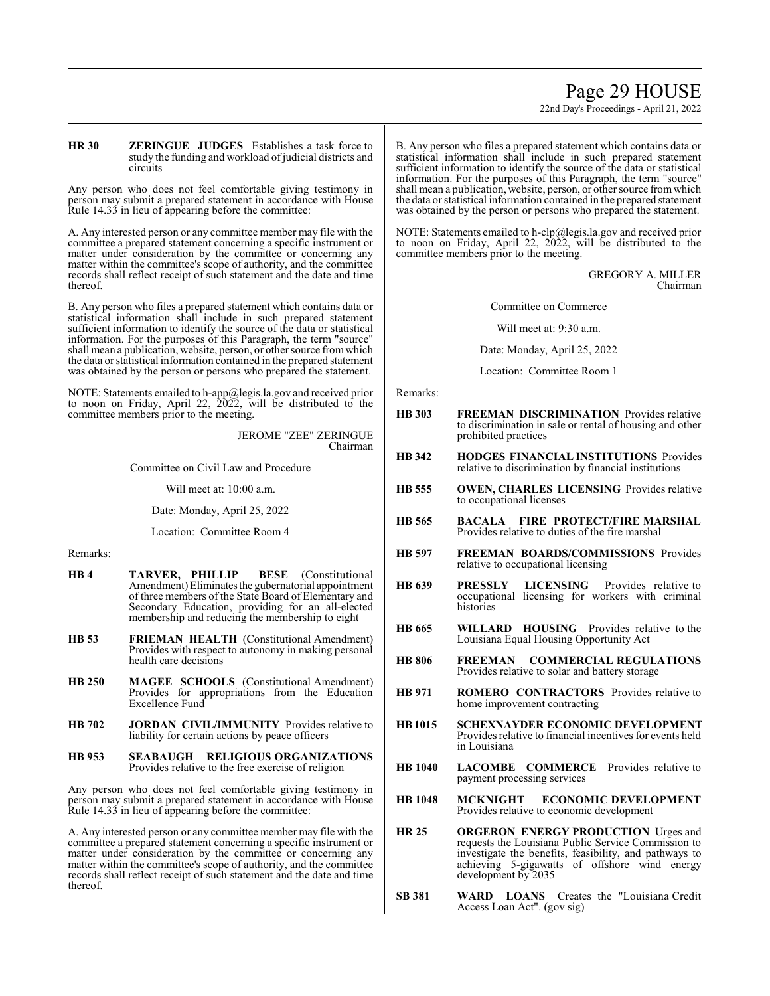# Page 29 HOUSE

22nd Day's Proceedings - April 21, 2022

#### **HR 30 ZERINGUE JUDGES** Establishes a task force to study the funding and workload of judicial districts and circuits

Any person who does not feel comfortable giving testimony in person may submit a prepared statement in accordance with House Rule 14.33 in lieu of appearing before the committee:

A. Any interested person or any committee member may file with the committee a prepared statement concerning a specific instrument or matter under consideration by the committee or concerning any matter within the committee's scope of authority, and the committee records shall reflect receipt of such statement and the date and time thereof.

B. Any person who files a prepared statement which contains data or statistical information shall include in such prepared statement sufficient information to identify the source of the data or statistical information. For the purposes of this Paragraph, the term "source" shall mean a publication, website, person, or other source fromwhich the data or statistical information contained in the prepared statement was obtained by the person or persons who prepared the statement.

NOTE: Statements emailed to h-app@legis.la.gov and received prior to noon on Friday, April 22, 2022, will be distributed to the committee members prior to the meeting.

> JEROME "ZEE" ZERINGUE Chairman

Committee on Civil Law and Procedure

Will meet at: 10:00 a.m.

Date: Monday, April 25, 2022

Location: Committee Room 4

Remarks:

- **HB 4 TARVER, PHILLIP BESE** (Constitutional Amendment) Eliminates the gubernatorial appointment of three members of the State Board of Elementary and Secondary Education, providing for an all-elected membership and reducing the membership to eight
- **HB 53 FRIEMAN HEALTH** (Constitutional Amendment) Provides with respect to autonomy in making personal health care decisions
- **HB 250 MAGEE SCHOOLS** (Constitutional Amendment) Provides for appropriations from the Education Excellence Fund
- **HB 702 JORDAN CIVIL/IMMUNITY** Provides relative to liability for certain actions by peace officers
- **HB 953 SEABAUGH RELIGIOUS ORGANIZATIONS**  Provides relative to the free exercise of religion

Any person who does not feel comfortable giving testimony in person may submit a prepared statement in accordance with House Rule 14.33 in lieu of appearing before the committee:

A. Any interested person or any committee member may file with the committee a prepared statement concerning a specific instrument or matter under consideration by the committee or concerning any matter within the committee's scope of authority, and the committee records shall reflect receipt of such statement and the date and time thereof.

B. Any person who files a prepared statement which contains data or statistical information shall include in such prepared statement sufficient information to identify the source of the data or statistical information. For the purposes of this Paragraph, the term "source" shall mean a publication, website, person, or other source fromwhich the data or statistical information contained in the prepared statement was obtained by the person or persons who prepared the statement.

NOTE: Statements emailed to h-clp@legis.la.gov and received prior to noon on Friday, April 22, 2022, will be distributed to the committee members prior to the meeting.

> GREGORY A. MILLER Chairman

Committee on Commerce

Will meet at: 9:30 a.m.

Date: Monday, April 25, 2022

Location: Committee Room 1

Remarks:

- **HB 303 FREEMAN DISCRIMINATION** Provides relative to discrimination in sale or rental of housing and other prohibited practices
- **HB 342 HODGES FINANCIAL INSTITUTIONS** Provides relative to discrimination by financial institutions
- **HB 555 OWEN, CHARLES LICENSING** Provides relative to occupational licenses
- **HB 565 BACALA FIRE PROTECT/FIRE MARSHAL** Provides relative to duties of the fire marshal
- **HB 597 FREEMAN BOARDS/COMMISSIONS** Provides relative to occupational licensing
- **HB 639 PRESSLY LICENSING** Provides relative to occupational licensing for workers with criminal histories
- **HB 665 WILLARD HOUSING** Provides relative to the Louisiana Equal Housing Opportunity Act
- **HB 806 FREEMAN COMMERCIAL REGULATIONS**  Provides relative to solar and battery storage
- **HB 971 ROMERO CONTRACTORS** Provides relative to home improvement contracting
- **HB1015 SCHEXNAYDER ECONOMIC DEVELOPMENT**  Provides relative to financial incentives for events held in Louisiana
- **HB 1040 LACOMBE COMMERCE** Provides relative to payment processing services
- **HB 1048 MCKNIGHT ECONOMIC DEVELOPMENT**  Provides relative to economic development
- **HR 25 ORGERON ENERGY PRODUCTION** Urges and requests the Louisiana Public Service Commission to investigate the benefits, feasibility, and pathways to achieving 5-gigawatts of offshore wind energy development by 2035
- **SB 381 WARD LOANS** Creates the "Louisiana Credit Access Loan Act". (gov sig)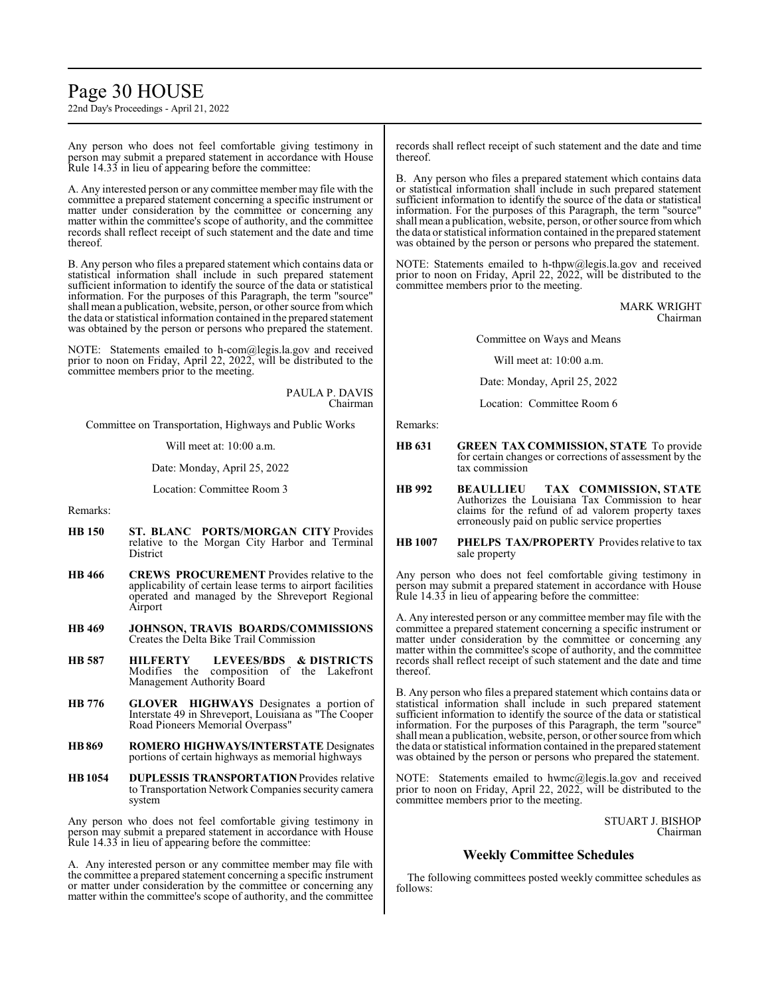# Page 30 HOUSE

22nd Day's Proceedings - April 21, 2022

Any person who does not feel comfortable giving testimony in person may submit a prepared statement in accordance with House Rule 14.33 in lieu of appearing before the committee:

A. Any interested person or any committee member may file with the committee a prepared statement concerning a specific instrument or matter under consideration by the committee or concerning any matter within the committee's scope of authority, and the committee records shall reflect receipt of such statement and the date and time thereof.

B. Any person who files a prepared statement which contains data or statistical information shall include in such prepared statement sufficient information to identify the source of the data or statistical information. For the purposes of this Paragraph, the term "source" shall mean a publication, website, person, or other source fromwhich the data or statistical information contained in the prepared statement was obtained by the person or persons who prepared the statement.

NOTE: Statements emailed to h-com@legis.la.gov and received prior to noon on Friday, April 22, 2022, will be distributed to the committee members prior to the meeting.

> PAULA P. DAVIS Chairman

Committee on Transportation, Highways and Public Works

Will meet at: 10:00 a.m.

Date: Monday, April 25, 2022

Location: Committee Room 3

Remarks:

- **HB 150 ST. BLANC PORTS/MORGAN CITY** Provides relative to the Morgan City Harbor and Terminal District
- **HB 466 CREWS PROCUREMENT** Provides relative to the applicability of certain lease terms to airport facilities operated and managed by the Shreveport Regional Airport
- **HB 469 JOHNSON, TRAVIS BOARDS/COMMISSIONS** Creates the Delta Bike Trail Commission
- **HB 587 HILFERTY LEVEES/BDS & DISTRICTS** Modifies the composition of the Lakefront Management Authority Board
- **HB 776 GLOVER HIGHWAYS** Designates a portion of Interstate 49 in Shreveport, Louisiana as "The Cooper Road Pioneers Memorial Overpass"
- **HB869 ROMERO HIGHWAYS/INTERSTATE** Designates portions of certain highways as memorial highways
- **HB1054 DUPLESSIS TRANSPORTATION**Provides relative to Transportation Network Companies security camera system

Any person who does not feel comfortable giving testimony in person may submit a prepared statement in accordance with House Rule 14.33 in lieu of appearing before the committee:

A. Any interested person or any committee member may file with the committee a prepared statement concerning a specific instrument or matter under consideration by the committee or concerning any matter within the committee's scope of authority, and the committee records shall reflect receipt of such statement and the date and time thereof.

B. Any person who files a prepared statement which contains data or statistical information shall include in such prepared statement sufficient information to identify the source of the data or statistical information. For the purposes of this Paragraph, the term "source" shall mean a publication, website, person, or other source fromwhich the data or statistical information contained in the prepared statement was obtained by the person or persons who prepared the statement.

NOTE: Statements emailed to h-thpw@legis.la.gov and received prior to noon on Friday, April 22, 2022, will be distributed to the committee members prior to the meeting.

> MARK WRIGHT Chairman

Committee on Ways and Means

Will meet at: 10:00 a.m.

Date: Monday, April 25, 2022

Location: Committee Room 6

Remarks:

- **HB 631 GREEN TAX COMMISSION, STATE** To provide for certain changes or corrections of assessment by the tax commission
- **HB 992 BEAULLIEU TAX COMMISSION, STATE**  Authorizes the Louisiana Tax Commission to hear claims for the refund of ad valorem property taxes erroneously paid on public service properties

#### **HB 1007 PHELPS TAX/PROPERTY** Provides relative to tax sale property

Any person who does not feel comfortable giving testimony in person may submit a prepared statement in accordance with House Rule 14.33 in lieu of appearing before the committee:

A. Any interested person or any committee member may file with the committee a prepared statement concerning a specific instrument or matter under consideration by the committee or concerning any matter within the committee's scope of authority, and the committee records shall reflect receipt of such statement and the date and time thereof.

B. Any person who files a prepared statement which contains data or statistical information shall include in such prepared statement sufficient information to identify the source of the data or statistical information. For the purposes of this Paragraph, the term "source" shall mean a publication, website, person, or other source fromwhich the data or statistical information contained in the prepared statement was obtained by the person or persons who prepared the statement.

NOTE: Statements emailed to hwmc@legis.la.gov and received prior to noon on Friday, April 22, 2022, will be distributed to the committee members prior to the meeting.

> STUART J. BISHOP Chairman

# **Weekly Committee Schedules**

The following committees posted weekly committee schedules as follows: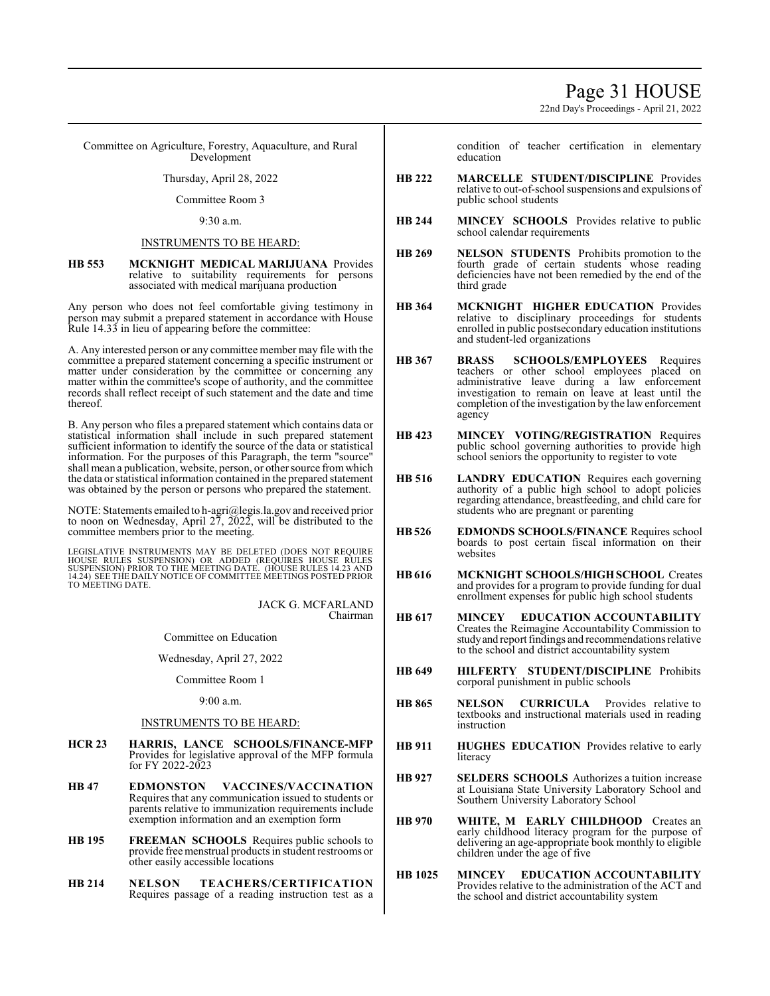22nd Day's Proceedings - April 21, 2022

Committee on Agriculture, Forestry, Aquaculture, and Rural Development

Thursday, April 28, 2022

Committee Room 3

9:30 a.m.

### INSTRUMENTS TO BE HEARD:

**HB 553 MCKNIGHT MEDICAL MARIJUANA** Provides relative to suitability requirements for persons associated with medical marijuana production

Any person who does not feel comfortable giving testimony in person may submit a prepared statement in accordance with House Rule 14.33 in lieu of appearing before the committee:

A. Any interested person or any committee member may file with the committee a prepared statement concerning a specific instrument or matter under consideration by the committee or concerning any matter within the committee's scope of authority, and the committee records shall reflect receipt of such statement and the date and time thereof.

B. Any person who files a prepared statement which contains data or statistical information shall include in such prepared statement sufficient information to identify the source of the data or statistical information. For the purposes of this Paragraph, the term "source" shall mean a publication, website, person, or other source fromwhich the data or statistical information contained in the prepared statement was obtained by the person or persons who prepared the statement.

NOTE: Statements emailed to h-agri@legis.la.gov and received prior to noon on Wednesday, April  $27, 2022,$  will be distributed to the committee members prior to the meeting.

LEGISLATIVE INSTRUMENTS MAY BE DELETED (DOES NOT REQUIRE<br>HOUSE RULES SUSPENSION) OR ADDED (REQUIRES HOUSE RULES<br>SUSPENSION) PRIOR TO THE MEETING DATE. (HOUSE RULES 14.23 AND<br>14.24) SEE THE DAILY NOTICE OF COMMITTEE MEETING TO MEETING DATE.

> JACK G. MCFARLAND Chairman

Committee on Education

Wednesday, April 27, 2022

Committee Room 1

9:00 a.m.

### INSTRUMENTS TO BE HEARD:

- **HCR 23 HARRIS, LANCE SCHOOLS/FINANCE-MFP** Provides for legislative approval of the MFP formula for FY 2022-2023
- **HB 47 EDMONSTON VACCINES/VACCINATION** Requires that any communication issued to students or parents relative to immunization requirements include exemption information and an exemption form
- **HB 195 FREEMAN SCHOOLS** Requires public schools to provide free menstrual products in student restrooms or other easily accessible locations
- **HB 214 NELSON TEACHERS/CERTIFICATION** Requires passage of a reading instruction test as a

condition of teacher certification in elementary education

- **HB 222 MARCELLE STUDENT/DISCIPLINE** Provides relative to out-of-school suspensions and expulsions of public school students
- **HB 244 MINCEY SCHOOLS** Provides relative to public school calendar requirements
- **HB 269 NELSON STUDENTS** Prohibits promotion to the fourth grade of certain students whose reading deficiencies have not been remedied by the end of the third grade
- **HB 364 MCKNIGHT HIGHER EDUCATION** Provides relative to disciplinary proceedings for students enrolled in public postsecondary education institutions and student-led organizations
- **HB 367 BRASS SCHOOLS/EMPLOYEES** Requires teachers or other school employees placed on administrative leave during a law enforcement investigation to remain on leave at least until the completion of the investigation by the law enforcement agency
- **HB 423 MINCEY VOTING/REGISTRATION** Requires public school governing authorities to provide high school seniors the opportunity to register to vote
- **HB 516 LANDRY EDUCATION** Requires each governing authority of a public high school to adopt policies regarding attendance, breastfeeding, and child care for students who are pregnant or parenting
- **HB526 EDMONDS SCHOOLS/FINANCE** Requires school boards to post certain fiscal information on their websites
- **HB 616 MCKNIGHT SCHOOLS/HIGH SCHOOL** Creates and provides for a program to provide funding for dual enrollment expenses for public high school students
- **HB 617 MINCEY EDUCATION ACCOUNTABILITY** Creates the Reimagine Accountability Commission to studyand report findings and recommendations relative to the school and district accountability system
- **HB 649 HILFERTY STUDENT/DISCIPLINE** Prohibits corporal punishment in public schools
- **HB 865 NELSON CURRICULA** Provides relative to textbooks and instructional materials used in reading instruction
- **HB 911 HUGHES EDUCATION** Provides relative to early literacy
- **HB 927 SELDERS SCHOOLS** Authorizes a tuition increase at Louisiana State University Laboratory School and Southern University Laboratory School
- **HB 970 WHITE, M EARLY CHILDHOOD** Creates an early childhood literacy program for the purpose of delivering an age-appropriate book monthly to eligible children under the age of five
- **HB 1025 MINCEY EDUCATION ACCOUNTABILITY** Provides relative to the administration of the ACT and the school and district accountability system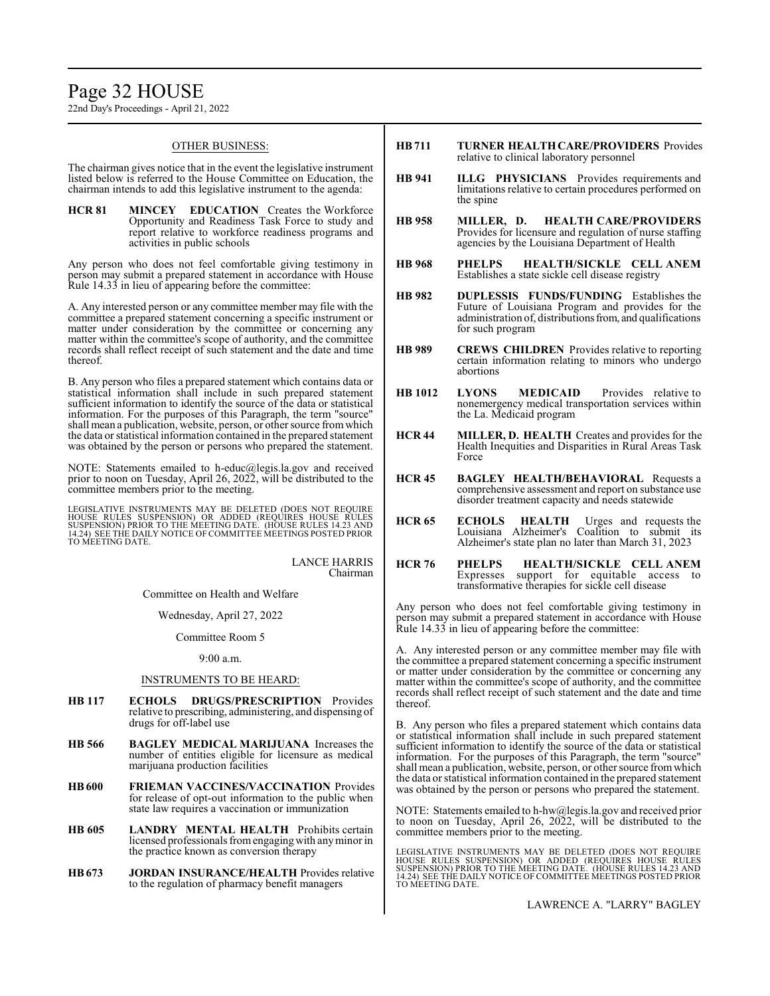# Page 32 HOUSE

22nd Day's Proceedings - April 21, 2022

#### OTHER BUSINESS:

The chairman gives notice that in the event the legislative instrument listed below is referred to the House Committee on Education, the chairman intends to add this legislative instrument to the agenda:

**HCR 81 MINCEY EDUCATION** Creates the Workforce Opportunity and Readiness Task Force to study and report relative to workforce readiness programs and activities in public schools

Any person who does not feel comfortable giving testimony in person may submit a prepared statement in accordance with House Rule 14.33 in lieu of appearing before the committee:

A. Any interested person or any committee member may file with the committee a prepared statement concerning a specific instrument or matter under consideration by the committee or concerning any matter within the committee's scope of authority, and the committee records shall reflect receipt of such statement and the date and time thereof.

B. Any person who files a prepared statement which contains data or statistical information shall include in such prepared statement sufficient information to identify the source of the data or statistical information. For the purposes of this Paragraph, the term "source" shall mean a publication, website, person, or other source fromwhich the data or statistical information contained in the prepared statement was obtained by the person or persons who prepared the statement.

NOTE: Statements emailed to h-educ@legis.la.gov and received prior to noon on Tuesday, April 26, 2022, will be distributed to the committee members prior to the meeting.

LEGISLATIVE INSTRUMENTS MAY BE DELETED (DOES NOT REQUIRE<br>HOUSE RULES SUSPENSION) OR ADDED (REQUIRES HOUSE RULES<br>SUSPENSION) PRIOR TO THE MEETING DATE. (HOUSE RULES 14.23 AND<br>14.24) SEE THE DAILY NOTICE OF COMMITTEE MEETING TO MEETING DATE.

> LANCE HARRIS Chairman

Committee on Health and Welfare

Wednesday, April 27, 2022

Committee Room 5

#### 9:00 a.m.

#### INSTRUMENTS TO BE HEARD:

- **HB 117 ECHOLS DRUGS/PRESCRIPTION** Provides relative to prescribing, administering, and dispensing of drugs for off-label use
- **HB 566 BAGLEY MEDICAL MARIJUANA** Increases the number of entities eligible for licensure as medical marijuana production facilities
- **HB600 FRIEMAN VACCINES/VACCINATION** Provides for release of opt-out information to the public when state law requires a vaccination or immunization
- **HB 605 LANDRY MENTAL HEALTH** Prohibits certain licensed professionals fromengagingwith anyminor in the practice known as conversion therapy
- **HB673 JORDAN INSURANCE/HEALTH** Provides relative to the regulation of pharmacy benefit managers
- **HB711 TURNER HEALTH CARE/PROVIDERS** Provides relative to clinical laboratory personnel
- **HB 941 ILLG PHYSICIANS** Provides requirements and limitations relative to certain procedures performed on the spine
- **HB 958 MILLER, D. HEALTH CARE/PROVIDERS** Provides for licensure and regulation of nurse staffing agencies by the Louisiana Department of Health
- **HB 968 PHELPS HEALTH/SICKLE CELL ANEM** Establishes a state sickle cell disease registry
- **HB 982 DUPLESSIS FUNDS/FUNDING** Establishes the Future of Louisiana Program and provides for the administration of, distributions from, and qualifications for such program
- **HB 989 CREWS CHILDREN** Provides relative to reporting certain information relating to minors who undergo abortions
- **HB 1012 LYONS MEDICAID** Provides relative to nonemergency medical transportation services within the La. Medicaid program
- **HCR 44 MILLER, D. HEALTH** Creates and provides for the Health Inequities and Disparities in Rural Areas Task Force
- **HCR 45 BAGLEY HEALTH/BEHAVIORAL** Requests a comprehensive assessment and report on substance use disorder treatment capacity and needs statewide
- **HCR 65 ECHOLS HEALTH** Urges and requests the Louisiana Alzheimer's Coalition to submit its Alzheimer's state plan no later than March 31, 2023
- **HCR 76 PHELPS HEALTH/SICKLE CELL ANEM** Expresses support for equitable access to transformative therapies for sickle cell disease

Any person who does not feel comfortable giving testimony in person may submit a prepared statement in accordance with House Rule 14.33 in lieu of appearing before the committee:

A. Any interested person or any committee member may file with the committee a prepared statement concerning a specific instrument or matter under consideration by the committee or concerning any matter within the committee's scope of authority, and the committee records shall reflect receipt of such statement and the date and time thereof.

B. Any person who files a prepared statement which contains data or statistical information shall include in such prepared statement sufficient information to identify the source of the data or statistical information. For the purposes of this Paragraph, the term "source" shall mean a publication, website, person, or other source fromwhich the data or statistical information contained in the prepared statement was obtained by the person or persons who prepared the statement.

NOTE: Statements emailed to h-hw@legis.la.gov and received prior to noon on Tuesday, April 26, 2022, will be distributed to the committee members prior to the meeting.

LEGISLATIVE INSTRUMENTS MAY BE DELETED (DOES NOT REQUIRE<br>HOUSE RULES SUSPENSION) OR ADDED (REQUIRES HOUSE RULES<br>SUSPENSION) PRIOR TO THE MEETING DATE. (HOUSE RULES 14.23 AND<br>14.24) SEE THE DAILY NOTICE OF COMMITTEE MEETING TO MEETING DATE.

LAWRENCE A. "LARRY" BAGLEY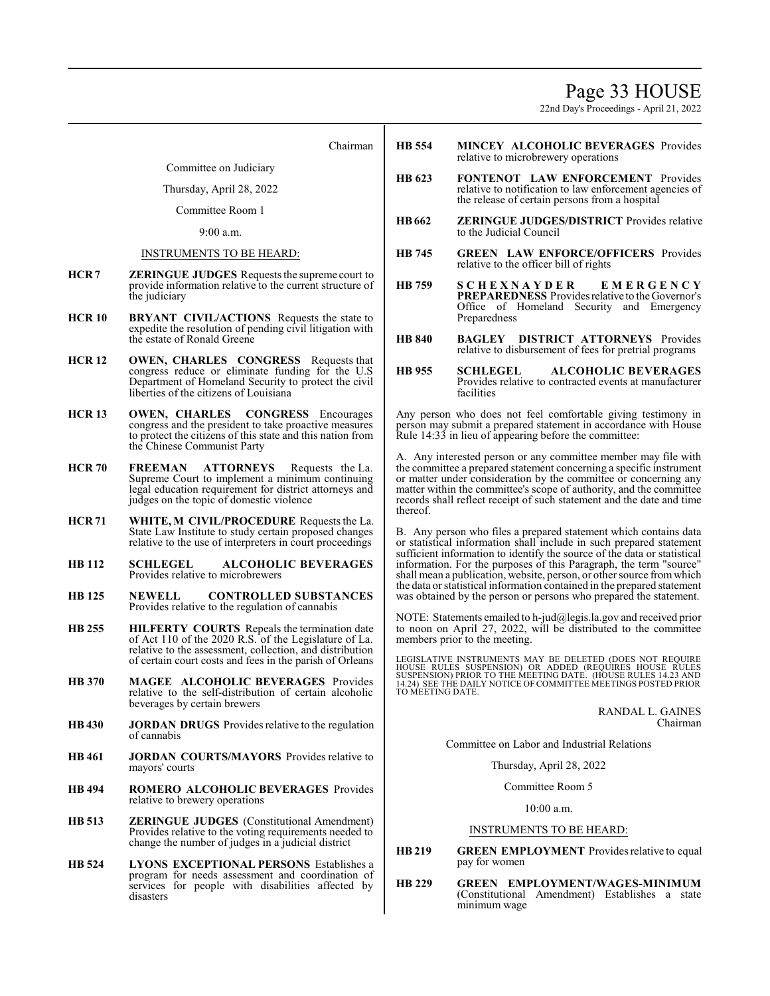Page 33 HOUSE

22nd Day's Proceedings - April 21, 2022

Chairman

Committee on Judiciary

Thursday, April 28, 2022

Committee Room 1

9:00 a.m.

#### INSTRUMENTS TO BE HEARD:

- **HCR 7 ZERINGUE JUDGES** Requests the supreme court to provide information relative to the current structure of the judiciary
- **HCR 10 BRYANT CIVIL/ACTIONS** Requests the state to expedite the resolution of pending civil litigation with the estate of Ronald Greene
- **HCR 12 OWEN, CHARLES CONGRESS** Requests that congress reduce or eliminate funding for the U.S Department of Homeland Security to protect the civil liberties of the citizens of Louisiana
- **HCR 13 OWEN, CHARLES CONGRESS** Encourages congress and the president to take proactive measures to protect the citizens of this state and this nation from the Chinese Communist Party
- **HCR 70 FREEMAN ATTORNEYS** Requests the La. Supreme Court to implement a minimum continuing legal education requirement for district attorneys and judges on the topic of domestic violence
- **HCR 71 WHITE, M CIVIL/PROCEDURE** Requests the La. State Law Institute to study certain proposed changes relative to the use of interpreters in court proceedings
- **HB 112 SCHLEGEL ALCOHOLIC BEVERAGES** Provides relative to microbrewers
- **HB 125 NEWELL CONTROLLED SUBSTANCES** Provides relative to the regulation of cannabis
- **HB 255 HILFERTY COURTS** Repeals the termination date of Act 110 of the 2020 R.S. of the Legislature of La. relative to the assessment, collection, and distribution of certain court costs and fees in the parish of Orleans
- **HB 370 MAGEE ALCOHOLIC BEVERAGES** Provides relative to the self-distribution of certain alcoholic beverages by certain brewers
- **HB 430 JORDAN DRUGS** Provides relative to the regulation of cannabis
- **HB 461 JORDAN COURTS/MAYORS** Provides relative to mayors' courts
- **HB 494 ROMERO ALCOHOLIC BEVERAGES** Provides relative to brewery operations
- **HB 513 ZERINGUE JUDGES** (Constitutional Amendment) Provides relative to the voting requirements needed to change the number of judges in a judicial district
- **HB 524 LYONS EXCEPTIONAL PERSONS** Establishes a program for needs assessment and coordination of services for people with disabilities affected by disasters
- **HB 554 MINCEY ALCOHOLIC BEVERAGES** Provides relative to microbrewery operations
- **HB 623 FONTENOT LAW ENFORCEMENT** Provides relative to notification to law enforcement agencies of the release of certain persons from a hospital
- **HB662 ZERINGUE JUDGES/DISTRICT** Provides relative to the Judicial Council
- **HB 745 GREEN LAW ENFORCE/OFFICERS** Provides relative to the officer bill of rights
- **HB 759 S C H E X N A Y D E R E M E R G E N C Y PREPAREDNESS** Providesrelative to the Governor's Office of Homeland Security and Emergency Preparedness
- **HB 840 BAGLEY DISTRICT ATTORNEYS** Provides relative to disbursement of fees for pretrial programs
- **HB 955 SCHLEGEL ALCOHOLIC BEVERAGES** Provides relative to contracted events at manufacturer facilities

Any person who does not feel comfortable giving testimony in person may submit a prepared statement in accordance with House Rule 14:33 in lieu of appearing before the committee:

A. Any interested person or any committee member may file with the committee a prepared statement concerning a specific instrument or matter under consideration by the committee or concerning any matter within the committee's scope of authority, and the committee records shall reflect receipt of such statement and the date and time thereof.

B. Any person who files a prepared statement which contains data or statistical information shall include in such prepared statement sufficient information to identify the source of the data or statistical information. For the purposes of this Paragraph, the term "source" shall mean a publication, website, person, or other source fromwhich the data or statistical information contained in the prepared statement was obtained by the person or persons who prepared the statement.

NOTE: Statements emailed to h-jud@legis.la.gov and received prior to noon on April 27, 2022, will be distributed to the committee members prior to the meeting.

LEGISLATIVE INSTRUMENTS MAY BE DELETED (DOES NOT REQUIRE<br>HOUSE RULES SUSPENSION) OR ADDED (REQUIRES HOUSE RULES<br>SUSPENSION) PRIOR TO THE MEETING DATE. (HOUSE RULES 14.23 AND 14.24) SEE THE DAILY NOTICE OF COMMITTEE MEETINGS POSTED PRIOR TO MEETING DATE.

> RANDAL L. GAINES Chairman

Committee on Labor and Industrial Relations

Thursday, April 28, 2022

Committee Room 5

10:00 a.m.

#### INSTRUMENTS TO BE HEARD:

**HB 219 GREEN EMPLOYMENT** Provides relative to equal pay for women

**HB 229 GREEN EMPLOYMENT/WAGES-MINIMUM** (Constitutional Amendment) Establishes a state minimum wage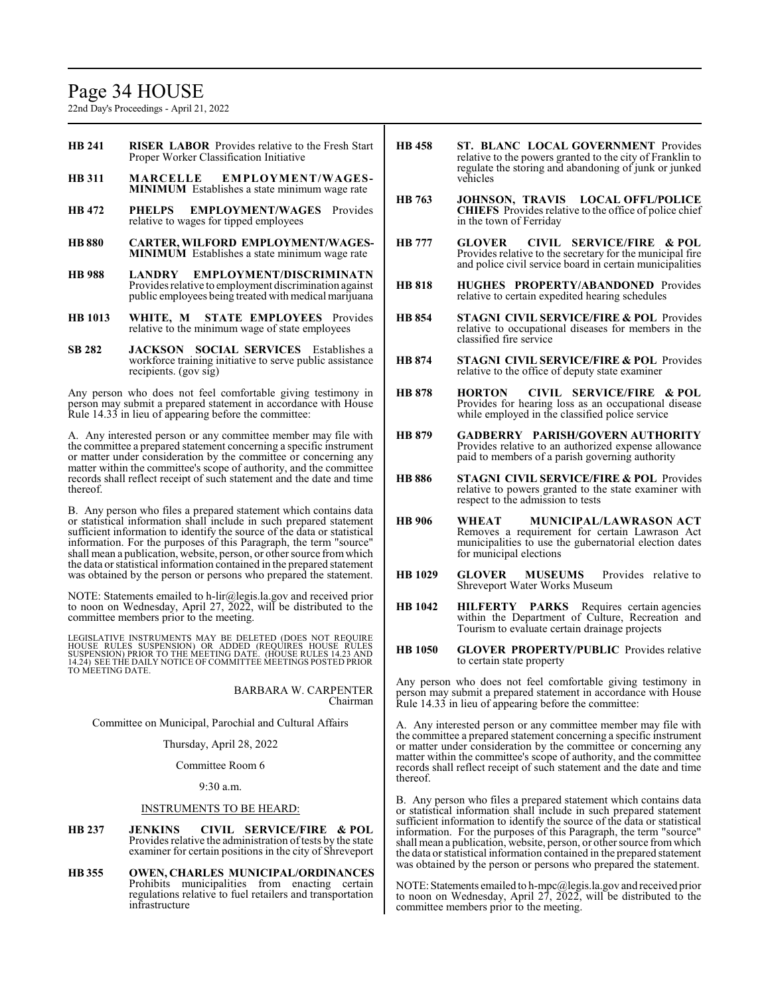# Page 34 HOUSE

22nd Day's Proceedings - April 21, 2022

- **HB 241 RISER LABOR** Provides relative to the Fresh Start Proper Worker Classification Initiative
- **HB 311 MARCELLE EMPLOYMENT/WAGES-MINIMUM** Establishes a state minimum wage rate
- **HB 472 PHELPS EMPLOYMENT/WAGES** Provides relative to wages for tipped employees
- **HB 880 CARTER, WILFORD EMPLOYMENT/WAGES-MINIMUM** Establishes a state minimum wage rate
- **HB 988 LANDRY EMPLOYMENT/DISCRIMINATN** Provides relative to employment discrimination against public employees being treated with medical marijuana
- **HB 1013 WHITE, M STATE EMPLOYEES** Provides relative to the minimum wage of state employees
- **SB 282 JACKSON SOCIAL SERVICES** Establishes a workforce training initiative to serve public assistance recipients. (gov sig)

Any person who does not feel comfortable giving testimony in person may submit a prepared statement in accordance with House Rule 14.33 in lieu of appearing before the committee:

A. Any interested person or any committee member may file with the committee a prepared statement concerning a specific instrument or matter under consideration by the committee or concerning any matter within the committee's scope of authority, and the committee records shall reflect receipt of such statement and the date and time thereof.

B. Any person who files a prepared statement which contains data or statistical information shall include in such prepared statement sufficient information to identify the source of the data or statistical information. For the purposes of this Paragraph, the term "source" shall mean a publication, website, person, or other source fromwhich the data or statistical information contained in the prepared statement was obtained by the person or persons who prepared the statement.

NOTE: Statements emailed to h-lir@legis.la.gov and received prior to noon on Wednesday, April 27, 2022, will be distributed to the committee members prior to the meeting.

LEGISLATIVE INSTRUMENTS MAY BE DELETED (DOES NOT REQUIRE<br>HOUSE RULES SUSPENSION) OR ADDED (REQUIRES HOUSE RULES<br>SUSPENSION) PRIOR TO THE MEETING DATE. (HOUSE RULES 14.23 AND<br>14.24) SEE THE DAILY NOTICE OF COMMITTEE MEETING TO MEETING DATE.

> BARBARA W. CARPENTER Chairman

Committee on Municipal, Parochial and Cultural Affairs

#### Thursday, April 28, 2022

Committee Room 6

9:30 a.m.

#### INSTRUMENTS TO BE HEARD:

- **HB 237 JENKINS CIVIL SERVICE/FIRE & POL** Provides relative the administration of tests by the state examiner for certain positions in the city of Shreveport
- **HB 355 OWEN, CHARLES MUNICIPAL/ORDINANCES** Prohibits municipalities from enacting certain regulations relative to fuel retailers and transportation infrastructure
- **HB 458 ST. BLANC LOCAL GOVERNMENT** Provides relative to the powers granted to the city of Franklin to regulate the storing and abandoning of junk or junked vehicles
- **HB 763 JOHNSON, TRAVIS LOCAL OFFL/POLICE CHIEFS** Provides relative to the office of police chief in the town of Ferriday
- **HB 777 GLOVER CIVIL SERVICE/FIRE & POL** Provides relative to the secretary for the municipal fire and police civil service board in certain municipalities
- **HB 818 HUGHES PROPERTY/ABANDONED** Provides relative to certain expedited hearing schedules
- **HB 854 STAGNI CIVIL SERVICE/FIRE & POL** Provides relative to occupational diseases for members in the classified fire service
- **HB 874 STAGNI CIVIL SERVICE/FIRE & POL** Provides relative to the office of deputy state examiner
- **HB 878 HORTON CIVIL SERVICE/FIRE & POL** Provides for hearing loss as an occupational disease while employed in the classified police service
- **HB 879 GADBERRY PARISH/GOVERN AUTHORITY** Provides relative to an authorized expense allowance paid to members of a parish governing authority
- **HB 886 STAGNI CIVIL SERVICE/FIRE & POL** Provides relative to powers granted to the state examiner with respect to the admission to tests
- **HB 906 WHEAT MUNICIPAL/LAWRASON ACT** Removes a requirement for certain Lawrason Act municipalities to use the gubernatorial election dates for municipal elections
- **HB 1029 GLOVER MUSEUMS** Provides relative to Shreveport Water Works Museum
- **HB 1042 HILFERTY PARKS** Requires certain agencies within the Department of Culture, Recreation and Tourism to evaluate certain drainage projects
- **HB 1050 GLOVER PROPERTY/PUBLIC** Provides relative to certain state property

Any person who does not feel comfortable giving testimony in person may submit a prepared statement in accordance with House Rule 14.33 in lieu of appearing before the committee:

A. Any interested person or any committee member may file with the committee a prepared statement concerning a specific instrument or matter under consideration by the committee or concerning any matter within the committee's scope of authority, and the committee records shall reflect receipt of such statement and the date and time thereof.

B. Any person who files a prepared statement which contains data or statistical information shall include in such prepared statement sufficient information to identify the source of the data or statistical information. For the purposes of this Paragraph, the term "source" shall mean a publication, website, person, or other source fromwhich the data or statistical information contained in the prepared statement was obtained by the person or persons who prepared the statement.

NOTE: Statements emailed to h-mpc@legis.la.gov and received prior to noon on Wednesday, April 27, 2022, will be distributed to the committee members prior to the meeting.